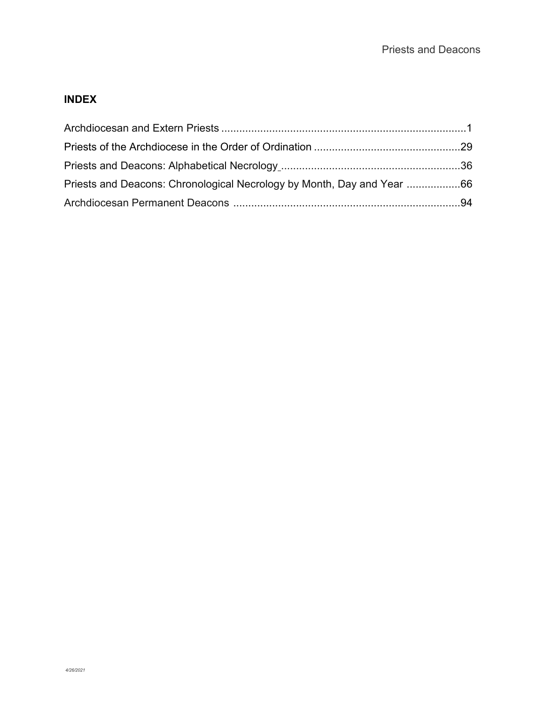# **INDEX**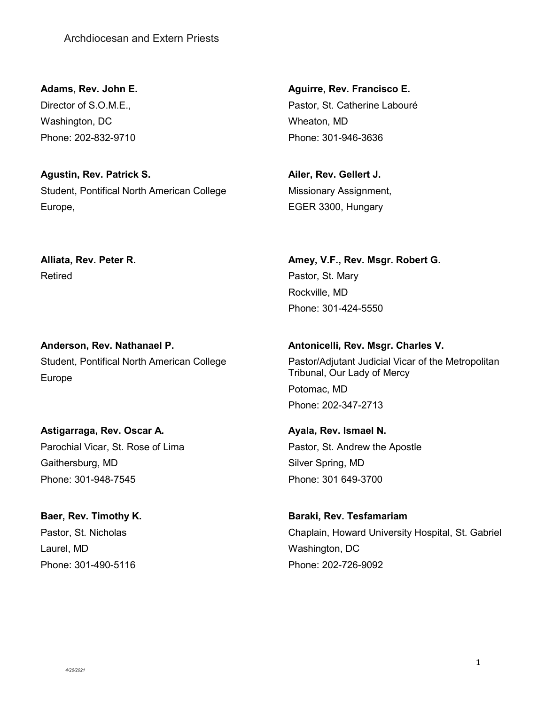<span id="page-1-0"></span>**Adams, Rev. John E.** Director of S.O.M.E., Washington, DC Phone: 202-832-9710

**Agustin, Rev. Patrick S.** Student, Pontifical North American College Europe,

**Alliata, Rev. Peter R.** Retired

**Anderson, Rev. Nathanael P.** Student, Pontifical North American College Europe

**Astigarraga, Rev. Oscar A.** Parochial Vicar, St. Rose of Lima Gaithersburg, MD Phone: 301-948-7545

**Baer, Rev. Timothy K.** Pastor, St. Nicholas Laurel, MD Phone: 301-490-5116

**Aguirre, Rev. Francisco E.** Pastor, St. Catherine Labouré Wheaton, MD Phone: 301-946-3636

**Ailer, Rev. Gellert J.** Missionary Assignment, EGER 3300, Hungary

**Amey, V.F., Rev. Msgr. Robert G.** Pastor, St. Mary Rockville, MD Phone: 301-424-5550

**Antonicelli, Rev. Msgr. Charles V.** Pastor/Adjutant Judicial Vicar of the Metropolitan Tribunal, Our Lady of Mercy Potomac, MD Phone: 202-347-2713

**Ayala, Rev. Ismael N.** Pastor, St. Andrew the Apostle Silver Spring, MD Phone: 301 649-3700

**Baraki, Rev. Tesfamariam** Chaplain, Howard University Hospital, St. Gabriel Washington, DC Phone: 202-726-9092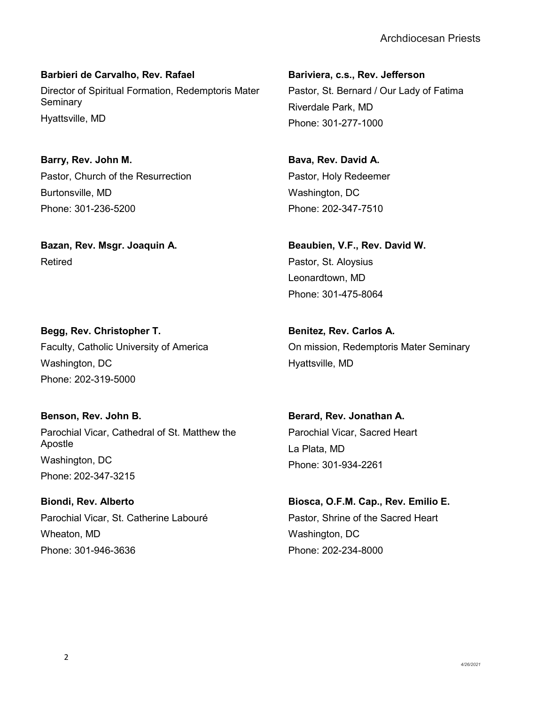**Barbieri de Carvalho, Rev. Rafael** Director of Spiritual Formation, Redemptoris Mater **Seminary** Hyattsville, MD

**Barry, Rev. John M.** Pastor, Church of the Resurrection Burtonsville, MD Phone: 301-236-5200

**Bazan, Rev. Msgr. Joaquin A.** Retired

**Begg, Rev. Christopher T.** Faculty, Catholic University of America Washington, DC Phone: 202-319-5000

**Benson, Rev. John B.** Parochial Vicar, Cathedral of St. Matthew the Apostle Washington, DC Phone: 202-347-3215

**Biondi, Rev. Alberto** Parochial Vicar, St. Catherine Labouré Wheaton, MD Phone: 301-946-3636

**Bariviera, c.s., Rev. Jefferson** Pastor, St. Bernard / Our Lady of Fatima Riverdale Park, MD Phone: 301-277-1000

**Bava, Rev. David A.** Pastor, Holy Redeemer Washington, DC Phone: 202-347-7510

**Beaubien, V.F., Rev. David W.** Pastor, St. Aloysius Leonardtown, MD Phone: 301-475-8064

**Benitez, Rev. Carlos A.** On mission, Redemptoris Mater Seminary Hyattsville, MD

**Berard, Rev. Jonathan A.** Parochial Vicar, Sacred Heart La Plata, MD Phone: 301-934-2261

**Biosca, O.F.M. Cap., Rev. Emilio E.** Pastor, Shrine of the Sacred Heart Washington, DC Phone: 202-234-8000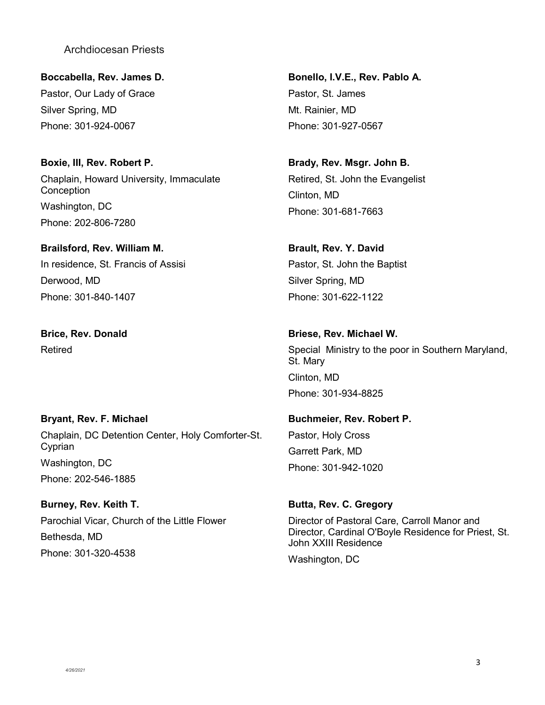**Boccabella, Rev. James D.** Pastor, Our Lady of Grace Silver Spring, MD Phone: 301-924-0067

**Boxie, III, Rev. Robert P.** Chaplain, Howard University, Immaculate **Conception** Washington, DC Phone: 202-806-7280

# **Brailsford, Rev. William M.** In residence, St. Francis of Assisi Derwood, MD Phone: 301-840-1407

**Brice, Rev. Donald** Retired

# **Bryant, Rev. F. Michael** Chaplain, DC Detention Center, Holy Comforter-St. Cyprian Washington, DC Phone: 202-546-1885

**Burney, Rev. Keith T.** Parochial Vicar, Church of the Little Flower Bethesda, MD Phone: 301-320-4538

**Bonello, I.V.E., Rev. Pablo A.** Pastor, St. James Mt. Rainier, MD Phone: 301-927-0567

**Brady, Rev. Msgr. John B.** Retired, St. John the Evangelist Clinton, MD Phone: 301-681-7663

#### **Brault, Rev. Y. David**

Pastor, St. John the Baptist Silver Spring, MD Phone: 301-622-1122

#### **Briese, Rev. Michael W.**

Special Ministry to the poor in Southern Maryland, St. Mary Clinton, MD Phone: 301-934-8825

#### **Buchmeier, Rev. Robert P.**

Pastor, Holy Cross Garrett Park, MD Phone: 301-942-1020

#### **Butta, Rev. C. Gregory**

Director of Pastoral Care, Carroll Manor and Director, Cardinal O'Boyle Residence for Priest, St. John XXIII Residence

Washington, DC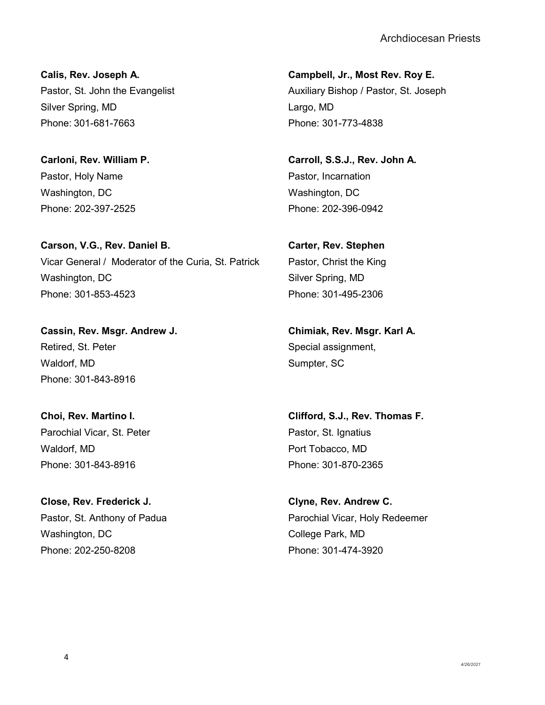**Calis, Rev. Joseph A.** Pastor, St. John the Evangelist Silver Spring, MD Phone: 301-681-7663

**Carloni, Rev. William P.** Pastor, Holy Name Washington, DC Phone: 202-397-2525

**Carson, V.G., Rev. Daniel B.** Vicar General / Moderator of the Curia, St. Patrick Washington, DC Phone: 301-853-4523

**Cassin, Rev. Msgr. Andrew J.** Retired, St. Peter Waldorf, MD Phone: 301-843-8916

**Choi, Rev. Martino I.** Parochial Vicar, St. Peter Waldorf, MD Phone: 301-843-8916

**Close, Rev. Frederick J.** Pastor, St. Anthony of Padua Washington, DC Phone: 202-250-8208

**Campbell, Jr., Most Rev. Roy E.** Auxiliary Bishop / Pastor, St. Joseph Largo, MD Phone: 301-773-4838

**Carroll, S.S.J., Rev. John A.** Pastor, Incarnation Washington, DC Phone: 202-396-0942

**Carter, Rev. Stephen** Pastor, Christ the King Silver Spring, MD Phone: 301-495-2306

**Chimiak, Rev. Msgr. Karl A.** Special assignment, Sumpter, SC

**Clifford, S.J., Rev. Thomas F.** Pastor, St. Ignatius Port Tobacco, MD Phone: 301-870-2365

**Clyne, Rev. Andrew C.** Parochial Vicar, Holy Redeemer College Park, MD Phone: 301-474-3920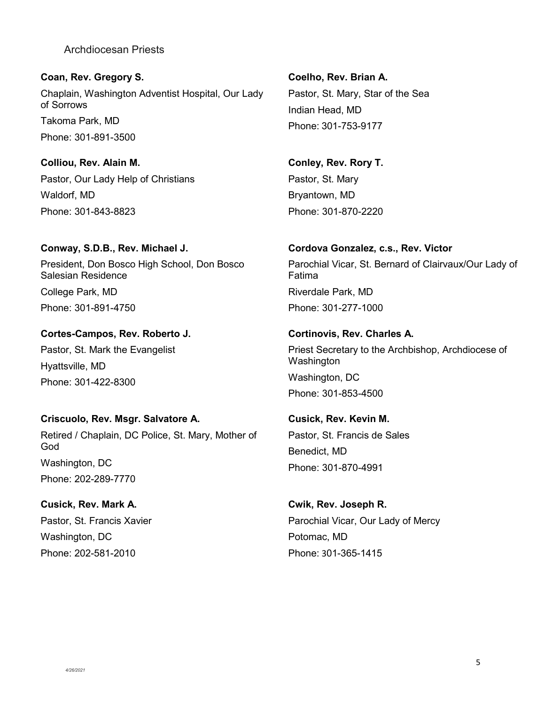**Coan, Rev. Gregory S.** Chaplain, Washington Adventist Hospital, Our Lady of Sorrows Takoma Park, MD Phone: 301-891-3500

**Colliou, Rev. Alain M.** Pastor, Our Lady Help of Christians Waldorf, MD Phone: 301-843-8823

#### **Conway, S.D.B., Rev. Michael J.**

President, Don Bosco High School, Don Bosco Salesian Residence College Park, MD Phone: 301-891-4750

#### **Cortes-Campos, Rev. Roberto J.**

Pastor, St. Mark the Evangelist Hyattsville, MD Phone: 301-422-8300

#### **Criscuolo, Rev. Msgr. Salvatore A.**

Retired / Chaplain, DC Police, St. Mary, Mother of God Washington, DC Phone: 202-289-7770

**Cusick, Rev. Mark A.** Pastor, St. Francis Xavier Washington, DC Phone: 202-581-2010

**Coelho, Rev. Brian A.** Pastor, St. Mary, Star of the Sea Indian Head, MD Phone: 301-753-9177

**Conley, Rev. Rory T.** Pastor, St. Mary Bryantown, MD Phone: 301-870-2220

#### **Cordova Gonzalez, c.s., Rev. Victor**

Parochial Vicar, St. Bernard of Clairvaux/Our Lady of Fatima Riverdale Park, MD Phone: 301-277-1000

#### **Cortinovis, Rev. Charles A.**

Priest Secretary to the Archbishop, Archdiocese of Washington Washington, DC Phone: 301-853-4500

**Cusick, Rev. Kevin M.** Pastor, St. Francis de Sales Benedict, MD Phone: 301-870-4991

**Cwik, Rev. Joseph R.** Parochial Vicar, Our Lady of Mercy Potomac, MD Phone: 301-365-1415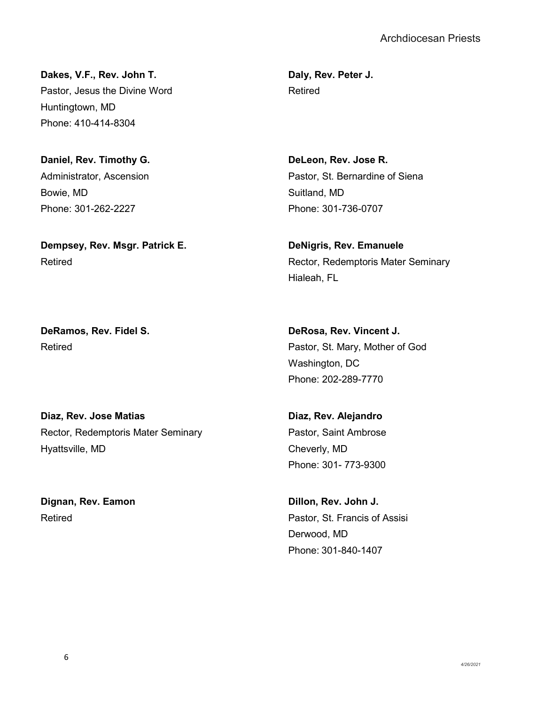**Dakes, V.F., Rev. John T.** Pastor, Jesus the Divine Word Huntingtown, MD Phone: 410-414-8304

**Daniel, Rev. Timothy G.** Administrator, Ascension Bowie, MD Phone: 301-262-2227

**Dempsey, Rev. Msgr. Patrick E.** Retired

**DeRamos, Rev. Fidel S.** Retired

**Diaz, Rev. Jose Matias** Rector, Redemptoris Mater Seminary Hyattsville, MD

**Dignan, Rev. Eamon** Retired

**Daly, Rev. Peter J.** Retired

**DeLeon, Rev. Jose R.** Pastor, St. Bernardine of Siena Suitland, MD Phone: 301-736-0707

**DeNigris, Rev. Emanuele** Rector, Redemptoris Mater Seminary Hialeah, FL

**DeRosa, Rev. Vincent J.** Pastor, St. Mary, Mother of God Washington, DC Phone: 202-289-7770

**Diaz, Rev. Alejandro** Pastor, Saint Ambrose Cheverly, MD Phone: 301- 773-9300

**Dillon, Rev. John J.** Pastor, St. Francis of Assisi Derwood, MD Phone: 301-840-1407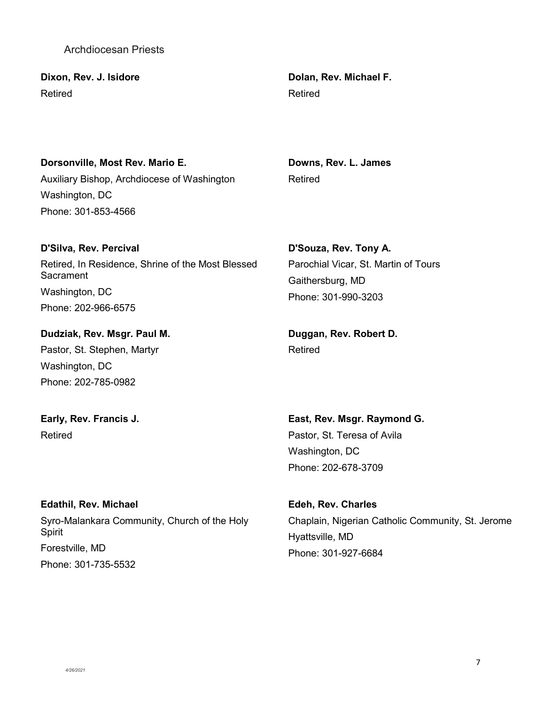**Sacrament** 

Washington, DC Phone: 202-966-6575

**Dudziak, Rev. Msgr. Paul M.** Pastor, St. Stephen, Martyr Washington, DC Phone: 202-785-0982

**Early, Rev. Francis J.** Retired

**Edathil, Rev. Michael**

Spirit Forestville, MD Phone: 301-735-5532

Syro-Malankara Community, Church of the Holy

**Dolan, Rev. Michael F.** Retired

**Downs, Rev. L. James**

**D'Souza, Rev. Tony A.** Parochial Vicar, St. Martin of Tours Gaithersburg, MD Phone: 301-990-3203

**Duggan, Rev. Robert D.** Retired

**East, Rev. Msgr. Raymond G.** Pastor, St. Teresa of Avila Washington, DC Phone: 202-678-3709

**Edeh, Rev. Charles** Chaplain, Nigerian Catholic Community, St. Jerome Hyattsville, MD Phone: 301-927-6684

# Retired

#### Archdiocesan Priests

**Dorsonville, Most Rev. Mario E.**

Auxiliary Bishop, Archdiocese of Washington

Retired, In Residence, Shrine of the Most Blessed

**Dixon, Rev. J. Isidore** Retired

Washington, DC

Phone: 301-853-4566

**D'Silva, Rev. Percival**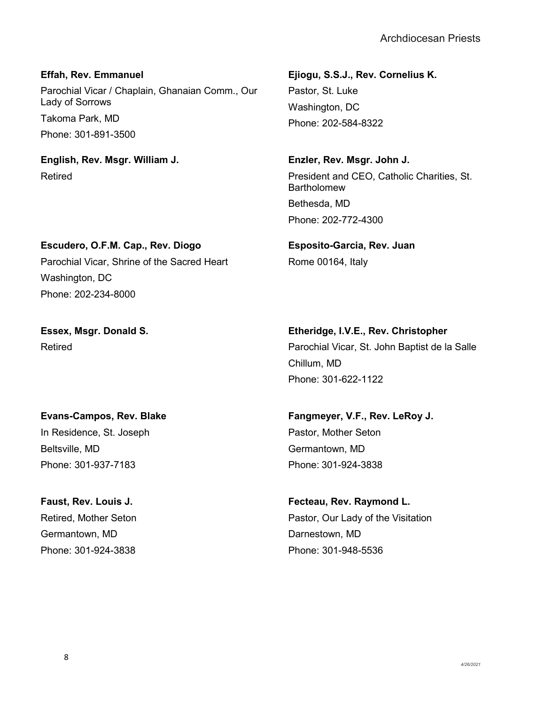**Effah, Rev. Emmanuel** Parochial Vicar / Chaplain, Ghanaian Comm., Our Lady of Sorrows Takoma Park, MD Phone: 301-891-3500

**English, Rev. Msgr. William J.** Retired

**Escudero, O.F.M. Cap., Rev. Diogo**

Parochial Vicar, Shrine of the Sacred Heart

**Ejiogu, S.S.J., Rev. Cornelius K.** Pastor, St. Luke Washington, DC Phone: 202-584-8322

**Enzler, Rev. Msgr. John J.** President and CEO, Catholic Charities, St. Bartholomew Bethesda, MD Phone: 202-772-4300

**Esposito-Garcia, Rev. Juan** Rome 00164, Italy

**Essex, Msgr. Donald S.**

Washington, DC

Retired

Phone: 202-234-8000

**Etheridge, I.V.E., Rev. Christopher** Parochial Vicar, St. John Baptist de la Salle Chillum, MD Phone: 301-622-1122

# **Evans-Campos, Rev. Blake** In Residence, St. Joseph

Beltsville, MD Phone: 301-937-7183

# **Faust, Rev. Louis J.** Retired, Mother Seton Germantown, MD Phone: 301-924-3838

**Fangmeyer, V.F., Rev. LeRoy J.** Pastor, Mother Seton Germantown, MD Phone: 301-924-3838

**Fecteau, Rev. Raymond L.** Pastor, Our Lady of the Visitation Darnestown, MD Phone: 301-948-5536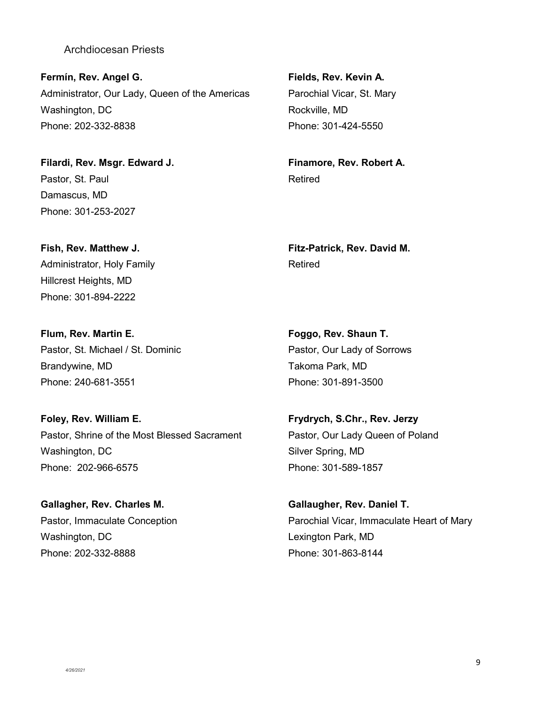**Fermín, Rev. Angel G.** Administrator, Our Lady, Queen of the Americas Washington, DC Phone: 202-332-8838

**Filardi, Rev. Msgr. Edward J.** Pastor, St. Paul Damascus, MD Phone: 301-253-2027

**Fish, Rev. Matthew J.** Administrator, Holy Family Hillcrest Heights, MD Phone: 301-894-2222

**Flum, Rev. Martin E.** Pastor, St. Michael / St. Dominic Brandywine, MD Phone: 240-681-3551

**Foley, Rev. William E.** Pastor, Shrine of the Most Blessed Sacrament Washington, DC Phone: 202-966-6575

**Gallagher, Rev. Charles M.** Pastor, Immaculate Conception Washington, DC Phone: 202-332-8888

**Fields, Rev. Kevin A.** Parochial Vicar, St. Mary Rockville, MD Phone: 301-424-5550

**Finamore, Rev. Robert A.** Retired

**Fitz-Patrick, Rev. David M.** Retired

**Foggo, Rev. Shaun T.** Pastor, Our Lady of Sorrows Takoma Park, MD Phone: 301-891-3500

**Frydrych, S.Chr., Rev. Jerzy** Pastor, Our Lady Queen of Poland Silver Spring, MD Phone: 301-589-1857

**Gallaugher, Rev. Daniel T.** Parochial Vicar, Immaculate Heart of Mary Lexington Park, MD Phone: 301-863-8144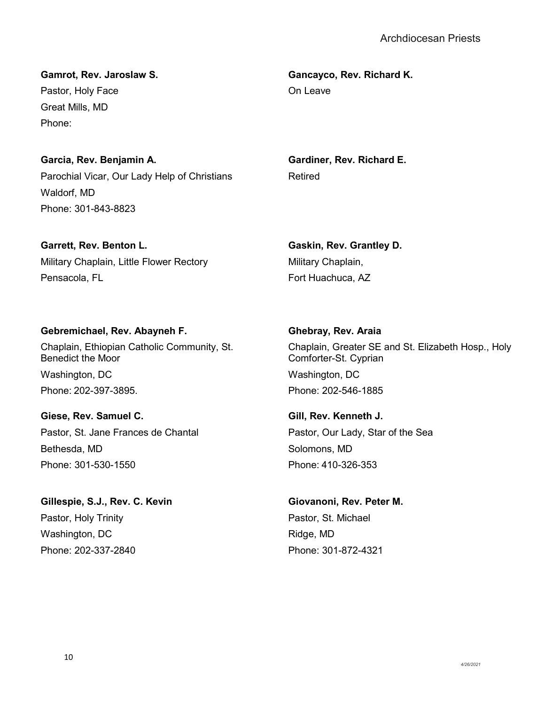**Gamrot, Rev. Jaroslaw S.** Pastor, Holy Face Great Mills, MD Phone:

# **Garcia, Rev. Benjamin A.**

Parochial Vicar, Our Lady Help of Christians Waldorf, MD Phone: 301-843-8823

**Garrett, Rev. Benton L.** Military Chaplain, Little Flower Rectory Pensacola, FL

**Gebremichael, Rev. Abayneh F.** Chaplain, Ethiopian Catholic Community, St. Benedict the Moor Washington, DC Phone: 202-397-3895.

**Giese, Rev. Samuel C.** Pastor, St. Jane Frances de Chantal Bethesda, MD Phone: 301-530-1550

**Gillespie, S.J., Rev. C. Kevin** Pastor, Holy Trinity Washington, DC Phone: 202-337-2840

**Gancayco, Rev. Richard K.** On Leave

**Gardiner, Rev. Richard E.** Retired

**Gaskin, Rev. Grantley D.** Military Chaplain, Fort Huachuca, AZ

**Ghebray, Rev. Araia** Chaplain, Greater SE and St. Elizabeth Hosp., Holy Comforter-St. Cyprian Washington, DC Phone: 202-546-1885

**Gill, Rev. Kenneth J.** Pastor, Our Lady, Star of the Sea Solomons, MD Phone: 410-326-353

**Giovanoni, Rev. Peter M.** Pastor, St. Michael Ridge, MD Phone: 301-872-4321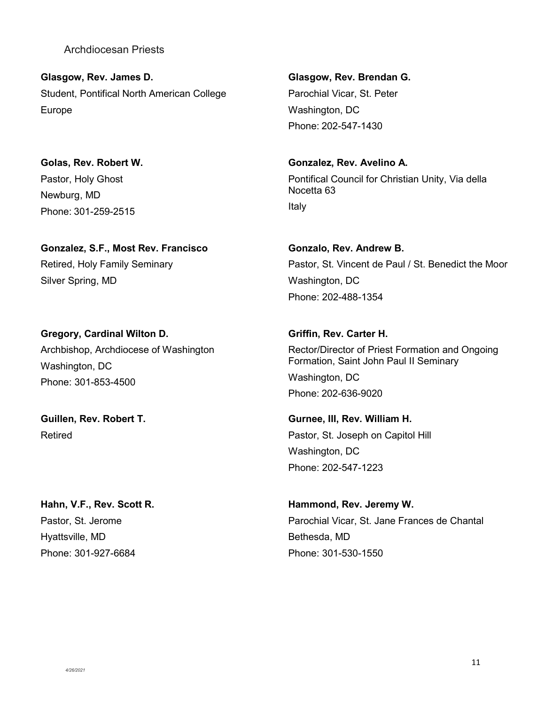**Glasgow, Rev. James D.** Student, Pontifical North American College Europe

**Golas, Rev. Robert W.** Pastor, Holy Ghost Newburg, MD Phone: 301-259-2515

**Gonzalez, S.F., Most Rev. Francisco** Retired, Holy Family Seminary Silver Spring, MD

**Gregory, Cardinal Wilton D.** Archbishop, Archdiocese of Washington Washington, DC Phone: 301-853-4500

**Guillen, Rev. Robert T.** Retired

**Hahn, V.F., Rev. Scott R.** Pastor, St. Jerome Hyattsville, MD Phone: 301-927-6684

**Glasgow, Rev. Brendan G.** Parochial Vicar, St. Peter Washington, DC Phone: 202-547-1430

**Gonzalez, Rev. Avelino A.** Pontifical Council for Christian Unity, Via della Nocetta 63 Italy

**Gonzalo, Rev. Andrew B.** Pastor, St. Vincent de Paul / St. Benedict the Moor Washington, DC Phone: 202-488-1354

**Griffin, Rev. Carter H.** Rector/Director of Priest Formation and Ongoing Formation, Saint John Paul II Seminary Washington, DC Phone: 202-636-9020

**Gurnee, III, Rev. William H.** Pastor, St. Joseph on Capitol Hill Washington, DC Phone: 202-547-1223

**Hammond, Rev. Jeremy W.** Parochial Vicar, St. Jane Frances de Chantal Bethesda, MD Phone: 301-530-1550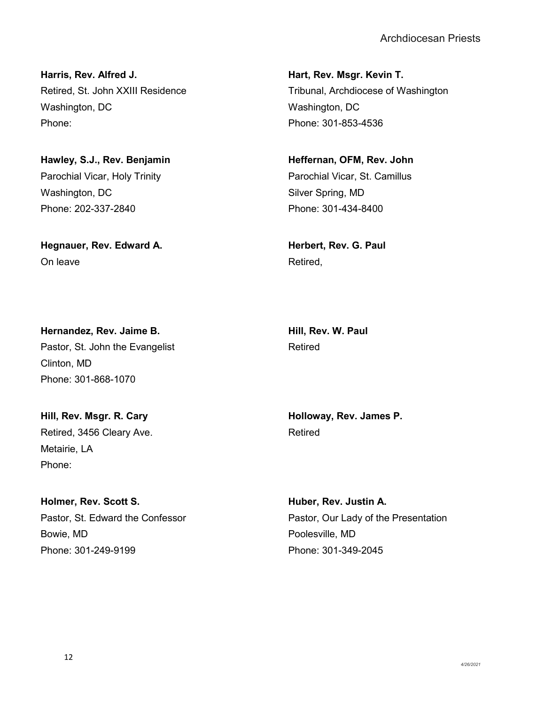**Harris, Rev. Alfred J.** Retired, St. John XXIII Residence Washington, DC Phone:

**Hawley, S.J., Rev. Benjamin** Parochial Vicar, Holy Trinity Washington, DC Phone: 202-337-2840

**Hegnauer, Rev. Edward A.** On leave

**Hart, Rev. Msgr. Kevin T.** Tribunal, Archdiocese of Washington Washington, DC Phone: 301-853-4536

**Heffernan, OFM, Rev. John** Parochial Vicar, St. Camillus Silver Spring, MD Phone: 301-434-8400

**Herbert, Rev. G. Paul** Retired,

**Hill, Rev. W. Paul** Retired

**Hernandez, Rev. Jaime B.** Pastor, St. John the Evangelist Clinton, MD Phone: 301-868-1070

**Hill, Rev. Msgr. R. Cary** Retired, 3456 Cleary Ave. Metairie, LA Phone:

**Holmer, Rev. Scott S.** Pastor, St. Edward the Confessor Bowie, MD Phone: 301-249-9199

**Holloway, Rev. James P.** Retired

**Huber, Rev. Justin A.** Pastor, Our Lady of the Presentation Poolesville, MD Phone: 301-349-2045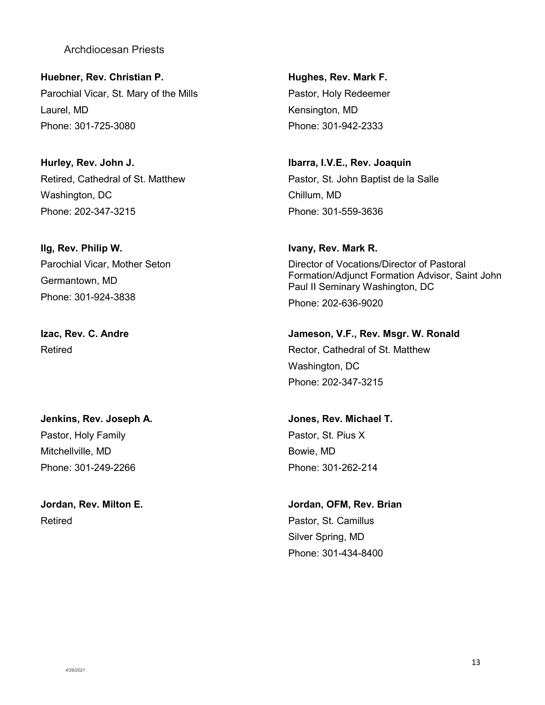**Huebner, Rev. Christian P.** Parochial Vicar, St. Mary of the Mills Laurel, MD Phone: 301-725-3080

**Hurley, Rev. John J.** Retired, Cathedral of St. Matthew Washington, DC Phone: 202-347-3215

**Ilg, Rev. Philip W.** Parochial Vicar, Mother Seton Germantown, MD Phone: 301-924-3838

**Izac, Rev. C. Andre** Retired

**Jenkins, Rev. Joseph A.** Pastor, Holy Family Mitchellville, MD Phone: 301-249-2266

**Jordan, Rev. Milton E.** Retired

**Hughes, Rev. Mark F.** Pastor, Holy Redeemer Kensington, MD Phone: 301-942-2333

**Ibarra, I.V.E., Rev. Joaquin** Pastor, St. John Baptist de la Salle Chillum, MD Phone: 301-559-3636

**Ivany, Rev. Mark R.** Director of Vocations/Director of Pastoral Formation/Adjunct Formation Advisor, Saint John Paul II Seminary Washington, DC Phone: 202-636-9020

**Jameson, V.F., Rev. Msgr. W. Ronald** Rector, Cathedral of St. Matthew Washington, DC Phone: 202-347-3215

**Jones, Rev. Michael T.** Pastor, St. Pius X Bowie, MD Phone: 301-262-214

**Jordan, OFM, Rev. Brian** Pastor, St. Camillus Silver Spring, MD Phone: 301-434-8400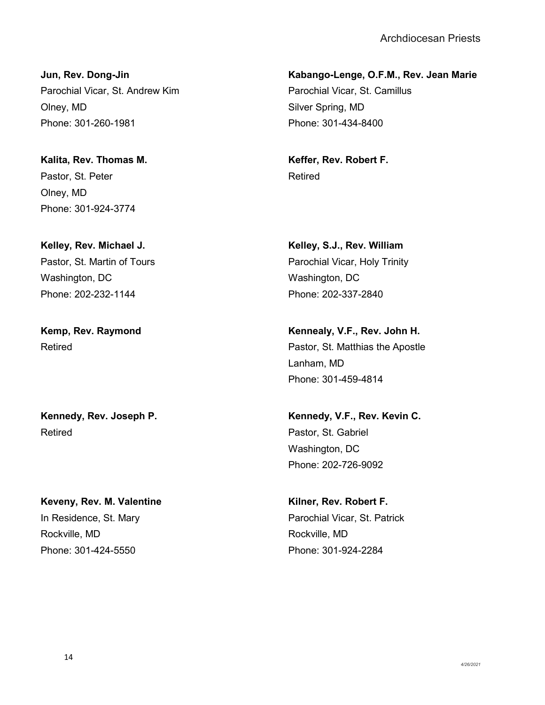**Jun, Rev. Dong-Jin** Parochial Vicar, St. Andrew Kim Olney, MD Phone: 301-260-1981

**Kalita, Rev. Thomas M.** Pastor, St. Peter Olney, MD Phone: 301-924-3774

**Kelley, Rev. Michael J.** Pastor, St. Martin of Tours Washington, DC Phone: 202-232-1144

**Kemp, Rev. Raymond** Retired

**Kennedy, Rev. Joseph P.** Retired

**Keveny, Rev. M. Valentine** In Residence, St. Mary Rockville, MD Phone: 301-424-5550

**Kabango-Lenge, O.F.M., Rev. Jean Marie** Parochial Vicar, St. Camillus Silver Spring, MD Phone: 301-434-8400

**Keffer, Rev. Robert F.** Retired

**Kelley, S.J., Rev. William** Parochial Vicar, Holy Trinity Washington, DC Phone: 202-337-2840

**Kennealy, V.F., Rev. John H.** Pastor, St. Matthias the Apostle Lanham, MD Phone: 301-459-4814

**Kennedy, V.F., Rev. Kevin C.** Pastor, St. Gabriel Washington, DC Phone: 202-726-9092

**Kilner, Rev. Robert F.** Parochial Vicar, St. Patrick Rockville, MD Phone: 301-924-2284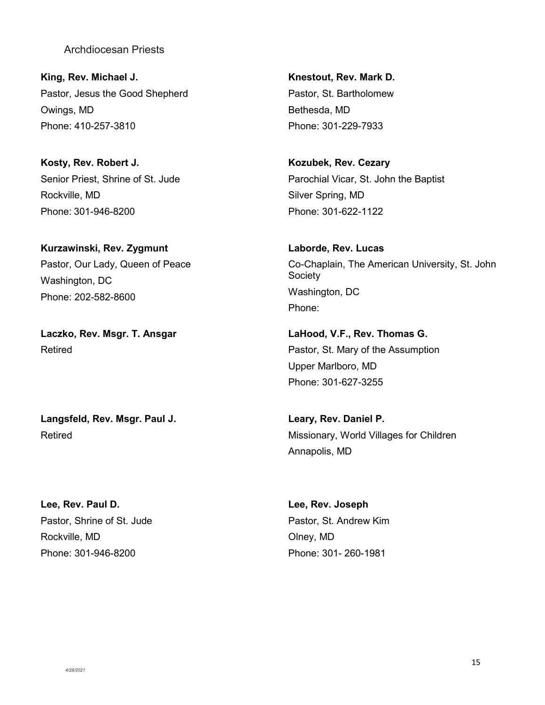**King, Rev. Michael J.** Pastor, Jesus the Good Shepherd Owings, MD Phone: 410-257-3810

**Kosty, Rev. Robert J.** Senior Priest, Shrine of St. Jude Rockville, MD Phone: 301-946-8200

**Kurzawinski, Rev. Zygmunt** Pastor, Our Lady, Queen of Peace Washington, DC Phone: 202-582-8600

**Laczko, Rev. Msgr. T. Ansgar** Retired

**Langsfeld, Rev. Msgr. Paul J.** Retired

**Lee, Rev. Paul D.** Pastor, Shrine of St. Jude Rockville, MD Phone: 301-946-8200

**Knestout, Rev. Mark D.** Pastor, St. Bartholomew Bethesda, MD Phone: 301-229-7933

**Kozubek, Rev. Cezary** Parochial Vicar, St. John the Baptist Silver Spring, MD Phone: 301-622-1122

**Laborde, Rev. Lucas** Co-Chaplain, The American University, St. John **Society** Washington, DC Phone:

**LaHood, V.F., Rev. Thomas G.** Pastor, St. Mary of the Assumption Upper Marlboro, MD Phone: 301-627-3255

**Leary, Rev. Daniel P.** Missionary, World Villages for Children Annapolis, MD

**Lee, Rev. Joseph** Pastor, St. Andrew Kim Olney, MD Phone: 301- 260-1981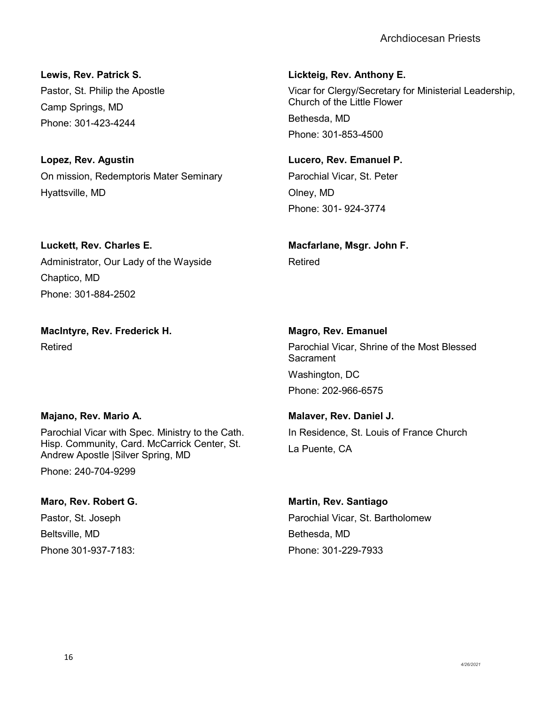**Lewis, Rev. Patrick S.** Pastor, St. Philip the Apostle Camp Springs, MD Phone: 301-423-4244

**Lopez, Rev. Agustin** On mission, Redemptoris Mater Seminary Hyattsville, MD

**Luckett, Rev. Charles E.** Administrator, Our Lady of the Wayside Chaptico, MD Phone: 301-884-2502

**MacIntyre, Rev. Frederick H.** Retired

# **Majano, Rev. Mario A.**

Parochial Vicar with Spec. Ministry to the Cath. Hisp. Community, Card. McCarrick Center, St. Andrew Apostle |Silver Spring, MD

Phone: 240-704-9299

**Maro, Rev. Robert G.** Pastor, St. Joseph Beltsville, MD Phone 301-937-7183:

**Lickteig, Rev. Anthony E.**

Vicar for Clergy/Secretary for Ministerial Leadership, Church of the Little Flower Bethesda, MD Phone: 301-853-4500

**Lucero, Rev. Emanuel P.** Parochial Vicar, St. Peter Olney, MD Phone: 301- 924-3774

**Macfarlane, Msgr. John F.** Retired

**Magro, Rev. Emanuel** Parochial Vicar, Shrine of the Most Blessed **Sacrament** Washington, DC Phone: 202-966-6575

**Malaver, Rev. Daniel J.** In Residence, St. Louis of France Church La Puente, CA

**Martin, Rev. Santiago** Parochial Vicar, St. Bartholomew Bethesda, MD Phone: 301-229-7933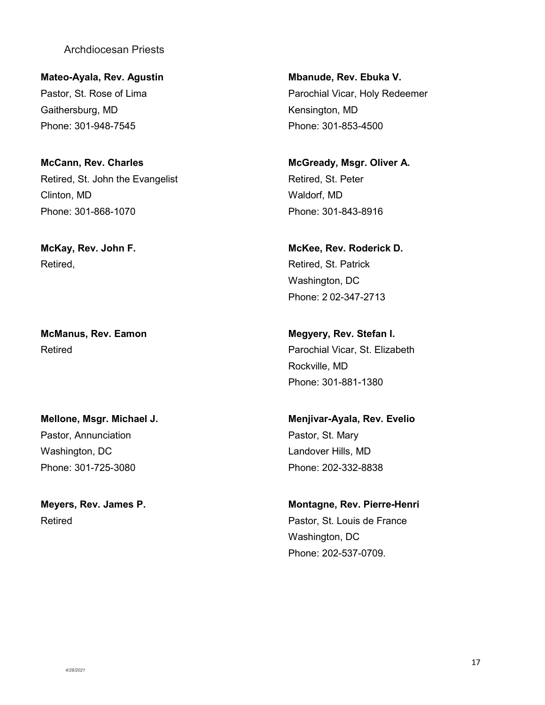**Mateo-Ayala, Rev. Agustin** Pastor, St. Rose of Lima Gaithersburg, MD Phone: 301-948-7545

**McCann, Rev. Charles** Retired, St. John the Evangelist Clinton, MD Phone: 301-868-1070

**McKay, Rev. John F.** Retired,

**McManus, Rev. Eamon** Retired

**Mellone, Msgr. Michael J.** Pastor, Annunciation Washington, DC Phone: 301-725-3080

**Meyers, Rev. James P.** Retired

**Mbanude, Rev. Ebuka V.** Parochial Vicar, Holy Redeemer Kensington, MD Phone: 301-853-4500

**McGready, Msgr. Oliver A.** Retired, St. Peter Waldorf, MD Phone: 301-843-8916

**McKee, Rev. Roderick D.** Retired, St. Patrick Washington, DC Phone: 2 02-347-2713

**Megyery, Rev. Stefan I.** Parochial Vicar, St. Elizabeth Rockville, MD Phone: 301-881-1380

**Menjivar-Ayala, Rev. Evelio** Pastor, St. Mary Landover Hills, MD Phone: 202-332-8838

**Montagne, Rev. Pierre-Henri** Pastor, St. Louis de France Washington, DC Phone: 202-537-0709.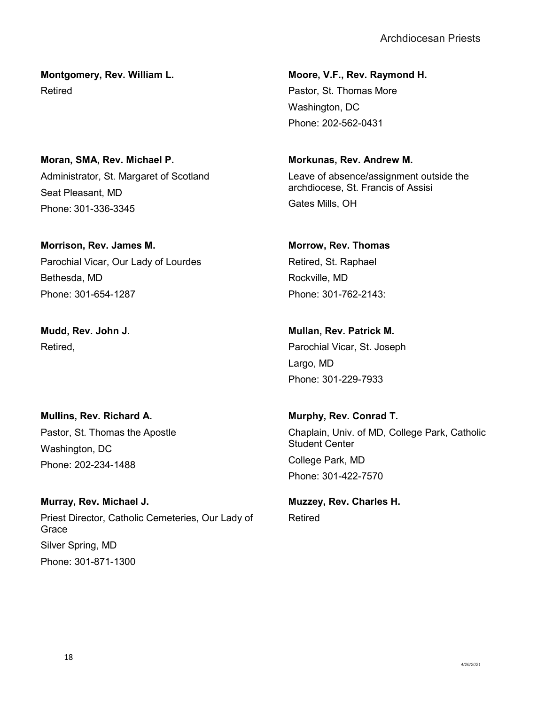**Montgomery, Rev. William L.** Retired

**Moran, SMA, Rev. Michael P.** Administrator, St. Margaret of Scotland Seat Pleasant, MD Phone: 301-336-3345

**Morrison, Rev. James M.** Parochial Vicar, Our Lady of Lourdes Bethesda, MD Phone: 301-654-1287

**Mudd, Rev. John J.** Retired,

**Mullins, Rev. Richard A.** Pastor, St. Thomas the Apostle Washington, DC Phone: 202-234-1488

**Murray, Rev. Michael J.** Priest Director, Catholic Cemeteries, Our Lady of **Grace** Silver Spring, MD Phone: 301-871-1300

**Moore, V.F., Rev. Raymond H.** Pastor, St. Thomas More Washington, DC Phone: 202-562-0431

**Morkunas, Rev. Andrew M.** Leave of absence/assignment outside the archdiocese, St. Francis of Assisi Gates Mills, OH

# **Morrow, Rev. Thomas**

Retired, St. Raphael Rockville, MD Phone: 301-762-2143:

**Mullan, Rev. Patrick M.**

Parochial Vicar, St. Joseph Largo, MD Phone: 301-229-7933

**Murphy, Rev. Conrad T.** Chaplain, Univ. of MD, College Park, Catholic Student Center College Park, MD Phone: 301-422-7570

**Muzzey, Rev. Charles H.** Retired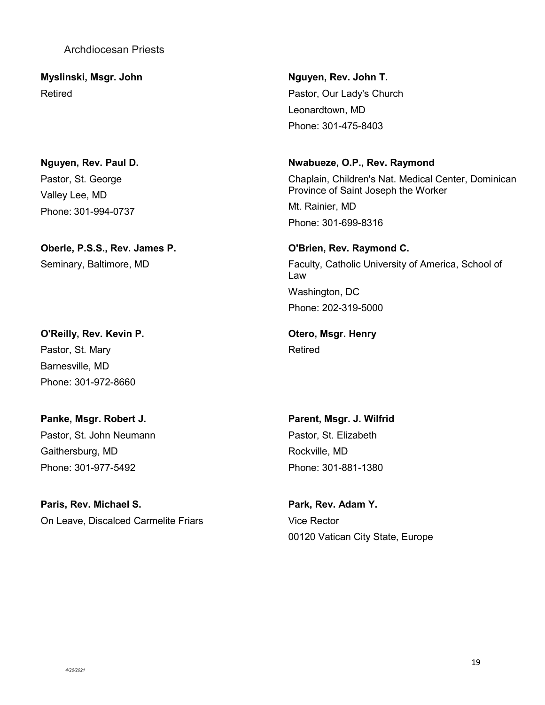**Myslinski, Msgr. John** Retired

**Nguyen, Rev. Paul D.** Pastor, St. George Valley Lee, MD Phone: 301-994-0737

**Oberle, P.S.S., Rev. James P.** Seminary, Baltimore, MD

**O'Reilly, Rev. Kevin P.** Pastor, St. Mary Barnesville, MD Phone: 301-972-8660

**Panke, Msgr. Robert J.** Pastor, St. John Neumann Gaithersburg, MD Phone: 301-977-5492

**Paris, Rev. Michael S.** On Leave, Discalced Carmelite Friars

**Nguyen, Rev. John T.** Pastor, Our Lady's Church Leonardtown, MD Phone: 301-475-8403

#### **Nwabueze, O.P., Rev. Raymond**

Chaplain, Children's Nat. Medical Center, Dominican Province of Saint Joseph the Worker

Mt. Rainier, MD Phone: 301-699-8316

**O'Brien, Rev. Raymond C.** Faculty, Catholic University of America, School of Law Washington, DC Phone: 202-319-5000

**Otero, Msgr. Henry** Retired

**Parent, Msgr. J. Wilfrid** Pastor, St. Elizabeth Rockville, MD Phone: 301-881-1380

**Park, Rev. Adam Y.** Vice Rector 00120 Vatican City State, Europe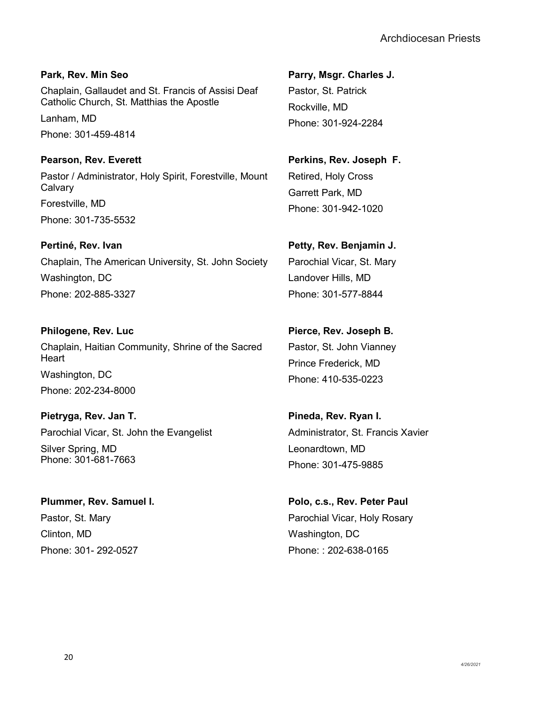**Park, Rev. Min Seo** Chaplain, Gallaudet and St. Francis of Assisi Deaf Catholic Church, St. Matthias the Apostle Lanham, MD

Phone: 301-459-4814

**Pearson, Rev. Everett** Pastor / Administrator, Holy Spirit, Forestville, Mount **Calvary** Forestville, MD Phone: 301-735-5532

# **Pertiné, Rev. Ivan**

Chaplain, The American University, St. John Society Washington, DC Phone: 202-885-3327

**Philogene, Rev. Luc** Chaplain, Haitian Community, Shrine of the Sacred **Heart** Washington, DC Phone: 202-234-8000

**Pietryga, Rev. Jan T.** Parochial Vicar, St. John the Evangelist Silver Spring, MD Phone: 301-681-7663

**Plummer, Rev. Samuel I.** Pastor, St. Mary Clinton, MD Phone: 301- 292-0527

**Parry, Msgr. Charles J.** Pastor, St. Patrick Rockville, MD Phone: 301-924-2284

**Perkins, Rev. Joseph F.** Retired, Holy Cross Garrett Park, MD Phone: 301-942-1020

**Petty, Rev. Benjamin J.** Parochial Vicar, St. Mary Landover Hills, MD Phone: 301-577-8844

**Pierce, Rev. Joseph B.**

Pastor, St. John Vianney Prince Frederick, MD Phone: 410-535-0223

**Pineda, Rev. Ryan I.** Administrator, St. Francis Xavier Leonardtown, MD Phone: 301-475-9885

**Polo, c.s., Rev. Peter Paul** Parochial Vicar, Holy Rosary Washington, DC Phone: : 202-638-0165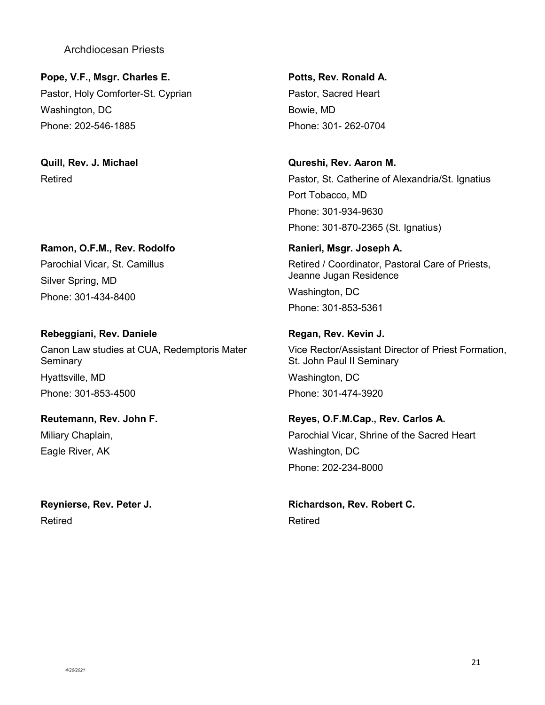**Pope, V.F., Msgr. Charles E.** Pastor, Holy Comforter-St. Cyprian Washington, DC Phone: 202-546-1885

**Quill, Rev. J. Michael** Retired

**Ramon, O.F.M., Rev. Rodolfo** Parochial Vicar, St. Camillus Silver Spring, MD Phone: 301-434-8400

**Rebeggiani, Rev. Daniele** Canon Law studies at CUA, Redemptoris Mater **Seminary** Hyattsville, MD Phone: 301-853-4500

**Reutemann, Rev. John F.** Miliary Chaplain, Eagle River, AK

**Reynierse, Rev. Peter J.** Retired

**Potts, Rev. Ronald A.** Pastor, Sacred Heart Bowie, MD Phone: 301- 262-0704

**Qureshi, Rev. Aaron M.** Pastor, St. Catherine of Alexandria/St. Ignatius Port Tobacco, MD Phone: 301-934-9630 Phone: 301-870-2365 (St. Ignatius)

**Ranieri, Msgr. Joseph A.** Retired / Coordinator, Pastoral Care of Priests, Jeanne Jugan Residence Washington, DC Phone: 301-853-5361

**Regan, Rev. Kevin J.** Vice Rector/Assistant Director of Priest Formation, St. John Paul II Seminary

Washington, DC Phone: 301-474-3920

**Reyes, O.F.M.Cap., Rev. Carlos A.** Parochial Vicar, Shrine of the Sacred Heart Washington, DC Phone: 202-234-8000

**Richardson, Rev. Robert C.** Retired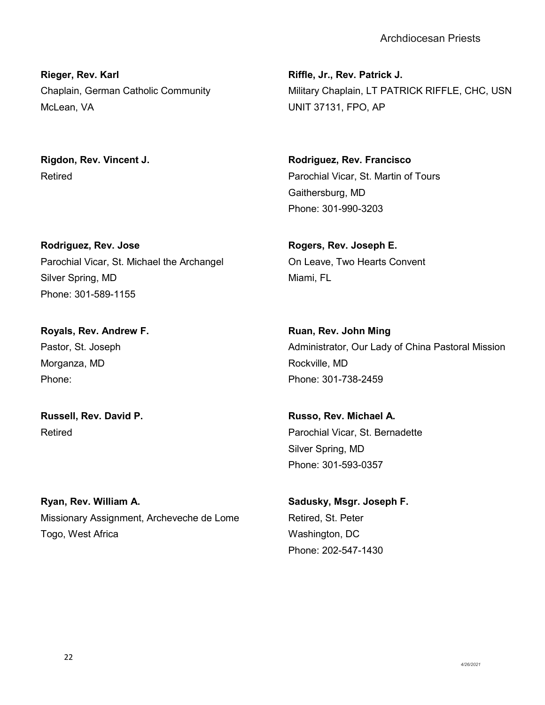**Rieger, Rev. Karl** Chaplain, German Catholic Community McLean, VA

**Rigdon, Rev. Vincent J.** Retired

**Rodriguez, Rev. Jose** Parochial Vicar, St. Michael the Archangel Silver Spring, MD Phone: 301-589-1155

**Royals, Rev. Andrew F.** Pastor, St. Joseph Morganza, MD Phone:

**Russell, Rev. David P.** Retired

**Ryan, Rev. William A.** Missionary Assignment, Archeveche de Lome Togo, West Africa

**Riffle, Jr., Rev. Patrick J.** Military Chaplain, LT PATRICK RIFFLE, CHC, USN UNIT 37131, FPO, AP

**Rodriguez, Rev. Francisco** Parochial Vicar, St. Martin of Tours Gaithersburg, MD Phone: 301-990-3203

**Rogers, Rev. Joseph E.** On Leave, Two Hearts Convent Miami, FL

**Ruan, Rev. John Ming** Administrator, Our Lady of China Pastoral Mission Rockville, MD Phone: 301-738-2459

**Russo, Rev. Michael A.** Parochial Vicar, St. Bernadette Silver Spring, MD Phone: 301-593-0357

**Sadusky, Msgr. Joseph F.** Retired, St. Peter Washington, DC Phone: 202-547-1430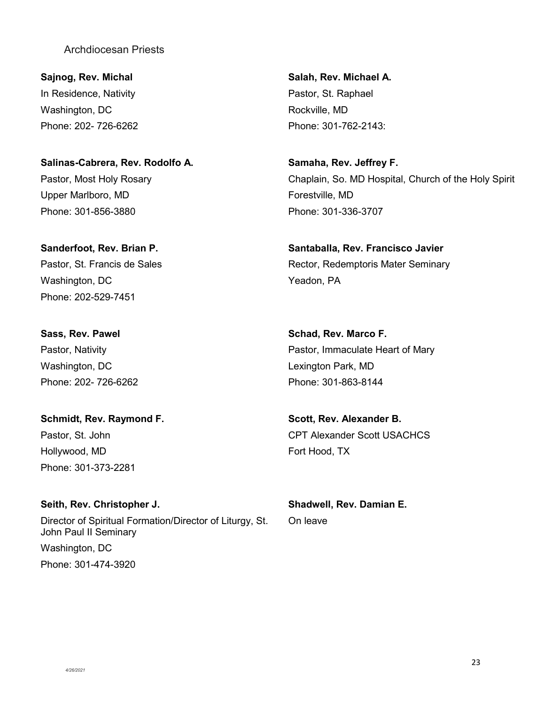**Sajnog, Rev. Michal** In Residence, Nativity Washington, DC Phone: 202- 726-6262

# **Salinas-Cabrera, Rev. Rodolfo A.** Pastor, Most Holy Rosary Upper Marlboro, MD Phone: 301-856-3880

**Sanderfoot, Rev. Brian P.** Pastor, St. Francis de Sales Washington, DC Phone: 202-529-7451

**Sass, Rev. Pawel** Pastor, Nativity Washington, DC Phone: 202- 726-6262

**Schmidt, Rev. Raymond F.** Pastor, St. John Hollywood, MD Phone: 301-373-2281

**Seith, Rev. Christopher J.** Director of Spiritual Formation/Director of Liturgy, St. John Paul II Seminary Washington, DC Phone: 301-474-3920

**Salah, Rev. Michael A.** Pastor, St. Raphael Rockville, MD Phone: 301-762-2143:

**Samaha, Rev. Jeffrey F.** Chaplain, So. MD Hospital, Church of the Holy Spirit Forestville, MD Phone: 301-336-3707

**Santaballa, Rev. Francisco Javier** Rector, Redemptoris Mater Seminary Yeadon, PA

**Schad, Rev. Marco F.** Pastor, Immaculate Heart of Mary Lexington Park, MD Phone: 301-863-8144

**Scott, Rev. Alexander B.** CPT Alexander Scott USACHCS Fort Hood, TX

**Shadwell, Rev. Damian E.** On leave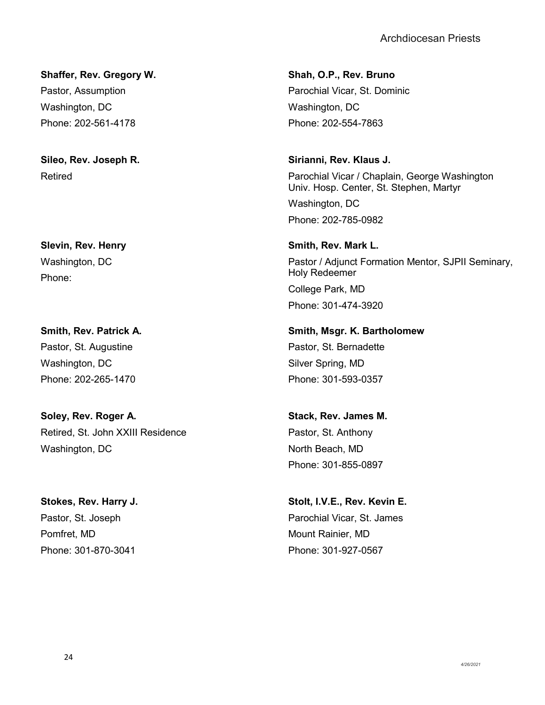**Shaffer, Rev. Gregory W.** Pastor, Assumption Washington, DC Phone: 202-561-4178

**Sileo, Rev. Joseph R.** Retired

**Slevin, Rev. Henry** Washington, DC Phone:

**Smith, Rev. Patrick A.** Pastor, St. Augustine Washington, DC Phone: 202-265-1470

**Soley, Rev. Roger A.** Retired, St. John XXIII Residence Washington, DC

**Stokes, Rev. Harry J.** Pastor, St. Joseph Pomfret, MD Phone: 301-870-3041

**Shah, O.P., Rev. Bruno** Parochial Vicar, St. Dominic Washington, DC Phone: 202-554-7863

**Sirianni, Rev. Klaus J.** Parochial Vicar / Chaplain, George Washington Univ. Hosp. Center, St. Stephen, Martyr Washington, DC Phone: 202-785-0982

**Smith, Rev. Mark L.** Pastor / Adjunct Formation Mentor, SJPII Seminary, Holy Redeemer College Park, MD Phone: 301-474-3920

**Smith, Msgr. K. Bartholomew** Pastor, St. Bernadette Silver Spring, MD Phone: 301-593-0357

**Stack, Rev. James M.** Pastor, St. Anthony North Beach, MD Phone: 301-855-0897

**Stolt, I.V.E., Rev. Kevin E.** Parochial Vicar, St. James Mount Rainier, MD Phone: 301-927-0567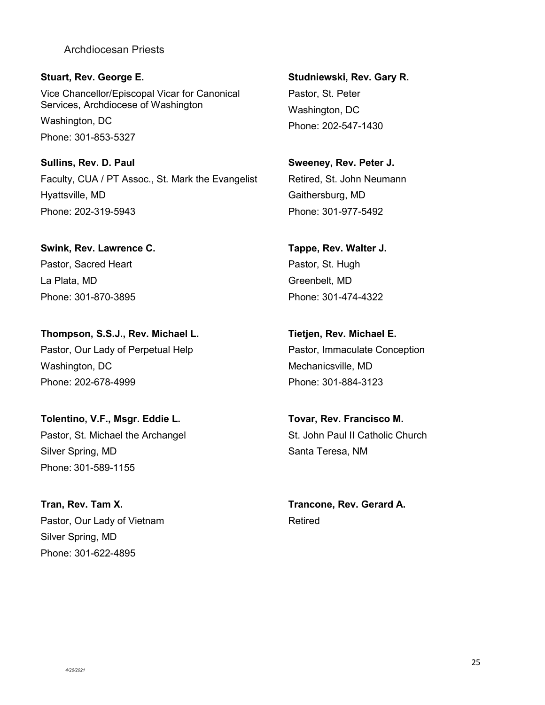**Stuart, Rev. George E.** Vice Chancellor/Episcopal Vicar for Canonical Services, Archdiocese of Washington Washington, DC Phone: 301-853-5327

**Sullins, Rev. D. Paul** Faculty, CUA / PT Assoc., St. Mark the Evangelist Hyattsville, MD Phone: 202-319-5943

**Swink, Rev. Lawrence C.** Pastor, Sacred Heart La Plata, MD Phone: 301-870-3895

**Thompson, S.S.J., Rev. Michael L.** Pastor, Our Lady of Perpetual Help Washington, DC Phone: 202-678-4999

**Tolentino, V.F., Msgr. Eddie L.** Pastor, St. Michael the Archangel Silver Spring, MD Phone: 301-589-1155

**Tran, Rev. Tam X.** Pastor, Our Lady of Vietnam Silver Spring, MD Phone: 301-622-4895

**Studniewski, Rev. Gary R.** Pastor, St. Peter Washington, DC Phone: 202-547-1430

**Sweeney, Rev. Peter J.** Retired, St. John Neumann Gaithersburg, MD Phone: 301-977-5492

**Tappe, Rev. Walter J.** Pastor, St. Hugh Greenbelt, MD Phone: 301-474-4322

**Tietjen, Rev. Michael E.** Pastor, Immaculate Conception Mechanicsville, MD Phone: 301-884-3123

**Tovar, Rev. Francisco M.** St. John Paul II Catholic Church Santa Teresa, NM

**Trancone, Rev. Gerard A.** Retired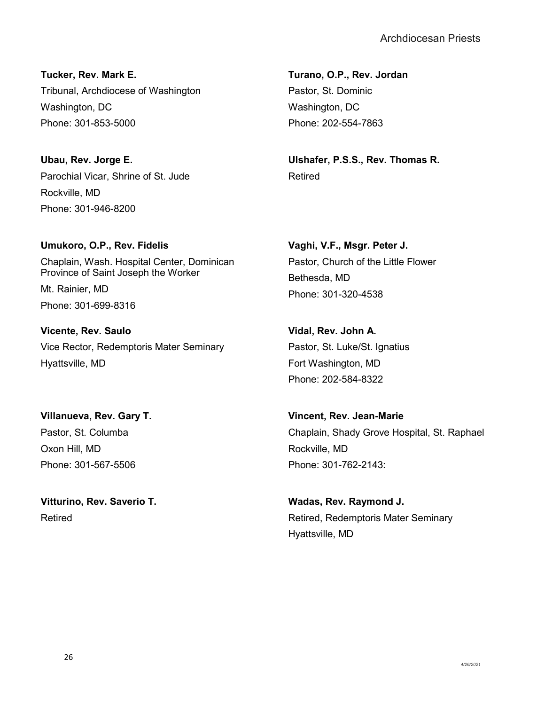**Tucker, Rev. Mark E.** Tribunal, Archdiocese of Washington Washington, DC Phone: 301-853-5000

**Ubau, Rev. Jorge E.** Parochial Vicar, Shrine of St. Jude Rockville, MD Phone: 301-946-8200

**Umukoro, O.P., Rev. Fidelis** Chaplain, Wash. Hospital Center, Dominican Province of Saint Joseph the Worker Mt. Rainier, MD Phone: 301-699-8316

**Vicente, Rev. Saulo** Vice Rector, Redemptoris Mater Seminary Hyattsville, MD

**Villanueva, Rev. Gary T.** Pastor, St. Columba Oxon Hill, MD Phone: 301-567-5506

**Vitturino, Rev. Saverio T.** Retired

**Turano, O.P., Rev. Jordan** Pastor, St. Dominic Washington, DC Phone: 202-554-7863

**Ulshafer, P.S.S., Rev. Thomas R.** Retired

**Vaghi, V.F., Msgr. Peter J.** Pastor, Church of the Little Flower Bethesda, MD Phone: 301-320-4538

**Vidal, Rev. John A.** Pastor, St. Luke/St. Ignatius Fort Washington, MD Phone: 202-584-8322

**Vincent, Rev. Jean-Marie** Chaplain, Shady Grove Hospital, St. Raphael Rockville, MD Phone: 301-762-2143:

**Wadas, Rev. Raymond J.** Retired, Redemptoris Mater Seminary Hyattsville, MD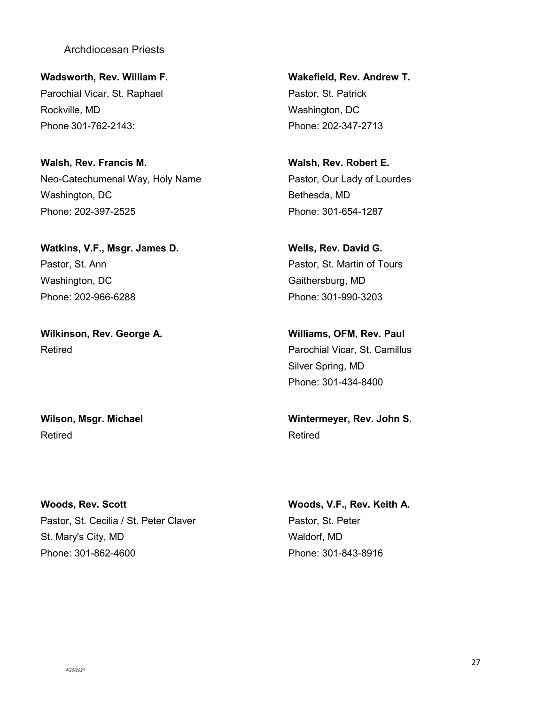**Wadsworth, Rev. William F.** Parochial Vicar, St. Raphael Rockville, MD Phone 301-762-2143:

**Walsh, Rev. Francis M.** Neo-Catechumenal Way, Holy Name Washington, DC Phone: 202-397-2525

**Watkins, V.F., Msgr. James D.** Pastor, St. Ann Washington, DC Phone: 202-966-6288

**Wilkinson, Rev. George A.** Retired

**Wilson, Msgr. Michael** Retired

**Woods, Rev. Scott** Pastor, St. Cecilia / St. Peter Claver St. Mary's City, MD Phone: 301-862-4600

**Wakefield, Rev. Andrew T.** Pastor, St. Patrick Washington, DC Phone: 202-347-2713

**Walsh, Rev. Robert E.** Pastor, Our Lady of Lourdes Bethesda, MD Phone: 301-654-1287

**Wells, Rev. David G.** Pastor, St. Martin of Tours Gaithersburg, MD Phone: 301-990-3203

**Williams, OFM, Rev. Paul** Parochial Vicar, St. Camillus Silver Spring, MD Phone: 301-434-8400

**Wintermeyer, Rev. John S.** Retired

**Woods, V.F., Rev. Keith A.** Pastor, St. Peter Waldorf, MD Phone: 301-843-8916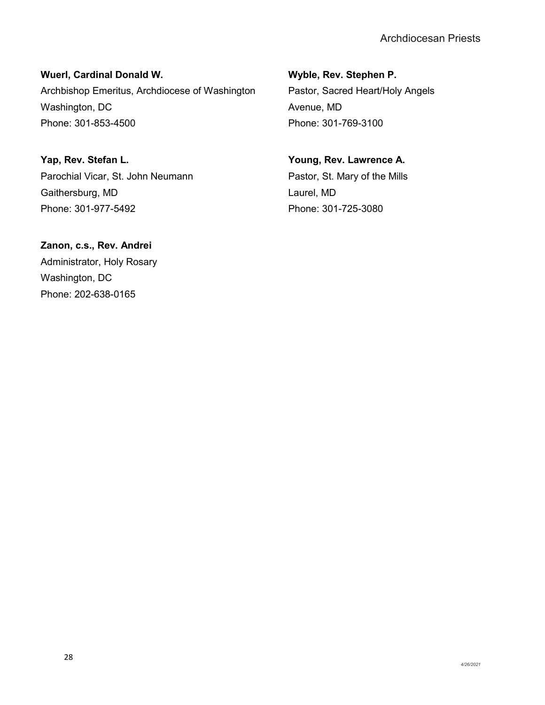**Wuerl, Cardinal Donald W.** Archbishop Emeritus, Archdiocese of Washington Washington, DC Phone: 301-853-4500

**Yap, Rev. Stefan L.** Parochial Vicar, St. John Neumann Gaithersburg, MD Phone: 301-977-5492

**Zanon, c.s., Rev. Andrei** Administrator, Holy Rosary Washington, DC Phone: 202-638-0165

**Wyble, Rev. Stephen P.** Pastor, Sacred Heart/Holy Angels Avenue, MD Phone: 301-769-3100

**Young, Rev. Lawrence A.** Pastor, St. Mary of the Mills Laurel, MD Phone: 301-725-3080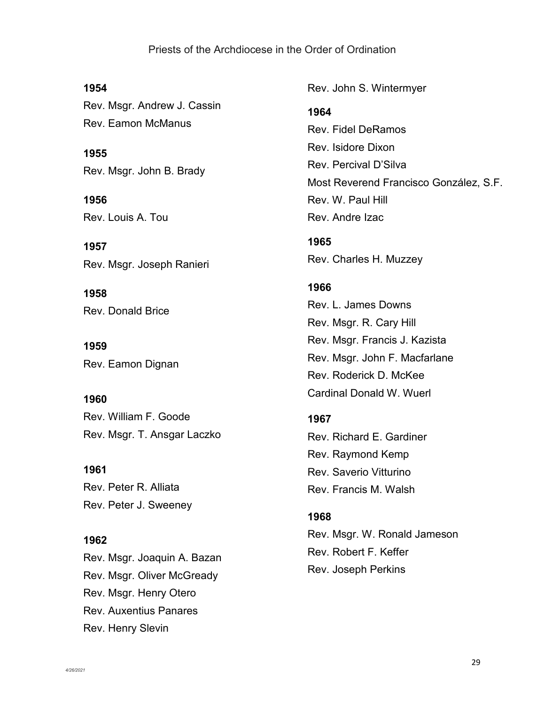<span id="page-29-0"></span>**1954** Rev. Msgr. Andrew J. Cassin Rev. Eamon McManus

**1955** Rev. Msgr. John B. Brady

**1956** Rev. Louis A. Tou

**1957** Rev. Msgr. Joseph Ranieri

**1958** Rev. Donald Brice

**1959** Rev. Eamon Dignan

**1960** Rev. William F. Goode Rev. Msgr. T. Ansgar Laczko

**1961** Rev. Peter R. Alliata Rev. Peter J. Sweeney

**1962** Rev. Msgr. Joaquin A. Bazan Rev. Msgr. Oliver McGready Rev. Msgr. Henry Otero Rev. Auxentius Panares Rev. Henry Slevin

Rev. John S. Wintermyer

#### **1964**

Rev. Fidel DeRamos Rev. Isidore Dixon Rev. Percival D'Silva Most Reverend Francisco González, S.F. Rev. W. Paul Hill Rev. Andre Izac

**1965** Rev. Charles H. Muzzey

# **1966**

Rev. L. James Downs Rev. Msgr. R. Cary Hill Rev. Msgr. Francis J. Kazista Rev. Msgr. John F. Macfarlane Rev. Roderick D. McKee Cardinal Donald W. Wuerl

# **1967**

Rev. Richard E. Gardiner Rev. Raymond Kemp Rev. Saverio Vitturino Rev. Francis M. Walsh

#### **1968**

Rev. Msgr. W. Ronald Jameson Rev. Robert F. Keffer Rev. Joseph Perkins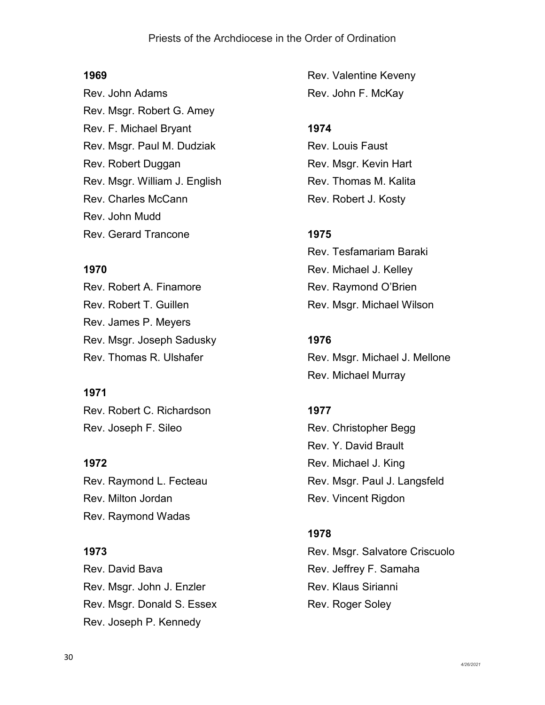# **1969**

Rev. John Adams Rev. Msgr. Robert G. Amey Rev. F. Michael Bryant Rev. Msgr. Paul M. Dudziak Rev. Robert Duggan Rev. Msgr. William J. English Rev. Charles McCann Rev. John Mudd Rev. Gerard Trancone

# **1970**

Rev. Robert A. Finamore Rev. Robert T. Guillen Rev. James P. Meyers Rev. Msgr. Joseph Sadusky Rev. Thomas R. Ulshafer

# **1971**

Rev. Robert C. Richardson Rev. Joseph F. Sileo

**1972** Rev. Raymond L. Fecteau Rev. Milton Jordan Rev. Raymond Wadas

# **1973**

Rev. David Bava Rev. Msgr. John J. Enzler Rev. Msgr. Donald S. Essex Rev. Joseph P. Kennedy

Rev. Valentine Keveny Rev. John F. McKay

# **1974**

Rev. Louis Faust Rev. Msgr. Kevin Hart Rev. Thomas M. Kalita Rev. Robert J. Kosty

# **1975**

Rev. Tesfamariam Baraki Rev. Michael J. Kelley Rev. Raymond O'Brien Rev. Msgr. Michael Wilson

# **1976**

Rev. Msgr. Michael J. Mellone Rev. Michael Murray

# **1977**

Rev. Christopher Begg Rev. Y. David Brault Rev. Michael J. King Rev. Msgr. Paul J. Langsfeld Rev. Vincent Rigdon

# **1978**

Rev. Msgr. Salvatore Criscuolo Rev. Jeffrey F. Samaha Rev. Klaus Sirianni Rev. Roger Soley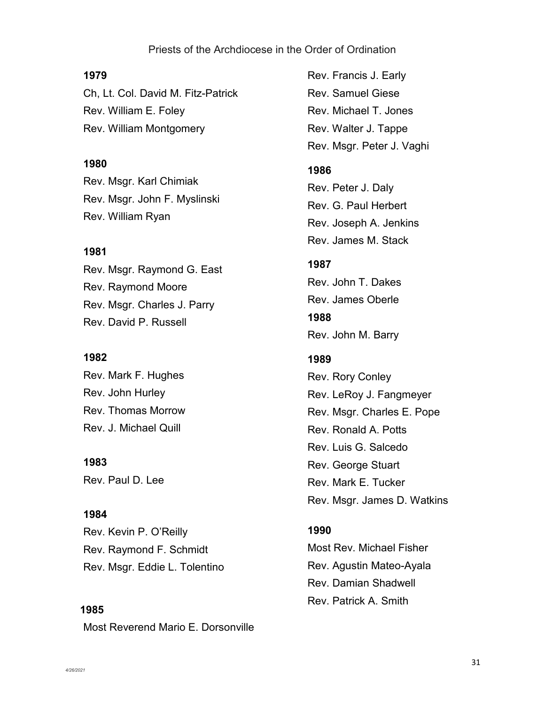#### **1979**

Ch, Lt. Col. David M. Fitz-Patrick Rev. William E. Foley Rev. William Montgomery

#### **1980**

Rev. Msgr. Karl Chimiak Rev. Msgr. John F. Myslinski Rev. William Ryan

#### **1981**

Rev. Msgr. Raymond G. East Rev. Raymond Moore Rev. Msgr. Charles J. Parry Rev. David P. Russell

#### **1982**

Rev. Mark F. Hughes Rev. John Hurley Rev. Thomas Morrow Rev. J. Michael Quill

**1983** Rev. Paul D. Lee

#### **1984**

Rev. Kevin P. O'Reilly Rev. Raymond F. Schmidt Rev. Msgr. Eddie L. Tolentino

**1985** Most Reverend Mario E. Dorsonville Rev. Francis J. Early Rev. Samuel Giese Rev. Michael T. Jones Rev. Walter J. Tappe Rev. Msgr. Peter J. Vaghi

#### **1986**

Rev. Peter J. Daly Rev. G. Paul Herbert Rev. Joseph A. Jenkins Rev. James M. Stack

### **1987**

Rev. John T. Dakes Rev. James Oberle **1988** Rev. John M. Barry

# **1989**

Rev. Rory Conley Rev. LeRoy J. Fangmeyer Rev. Msgr. Charles E. Pope Rev. Ronald A. Potts Rev. Luis G. Salcedo Rev. George Stuart Rev. Mark E. Tucker Rev. Msgr. James D. Watkins

#### **1990**

Most Rev. Michael Fisher Rev. Agustin Mateo-Ayala Rev. Damian Shadwell Rev. Patrick A. Smith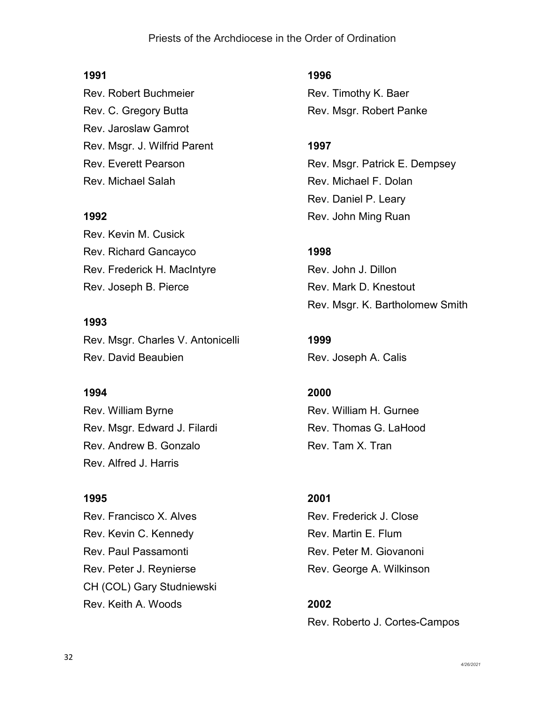### **1991**

Rev. Robert Buchmeier Rev. C. Gregory Butta Rev. Jaroslaw Gamrot Rev. Msgr. J. Wilfrid Parent Rev. Everett Pearson Rev. Michael Salah

#### **1992**

Rev. Kevin M. Cusick Rev. Richard Gancayco Rev. Frederick H. MacIntyre Rev. Joseph B. Pierce

#### **1993**

Rev. Msgr. Charles V. Antonicelli Rev. David Beaubien

#### **1994**

Rev. William Byrne Rev. Msgr. Edward J. Filardi Rev. Andrew B. Gonzalo Rev. Alfred J. Harris

#### **1995**

Rev. Francisco X. Alves Rev. Kevin C. Kennedy Rev. Paul Passamonti Rev. Peter J. Reynierse CH (COL) Gary Studniewski Rev. Keith A. Woods

**1996** Rev. Timothy K. Baer Rev. Msgr. Robert Panke

#### **1997**

Rev. Msgr. Patrick E. Dempsey Rev. Michael F. Dolan Rev. Daniel P. Leary Rev. John Ming Ruan

#### **1998**

Rev. John J. Dillon Rev. Mark D. Knestout Rev. Msgr. K. Bartholomew Smith

**1999** Rev. Joseph A. Calis

# **2000**

Rev. William H. Gurnee Rev. Thomas G. LaHood Rev. Tam X. Tran

# **2001**

Rev. Frederick J. Close Rev. Martin E. Flum Rev. Peter M. Giovanoni Rev. George A. Wilkinson

# **2002**

Rev. Roberto J. Cortes-Campos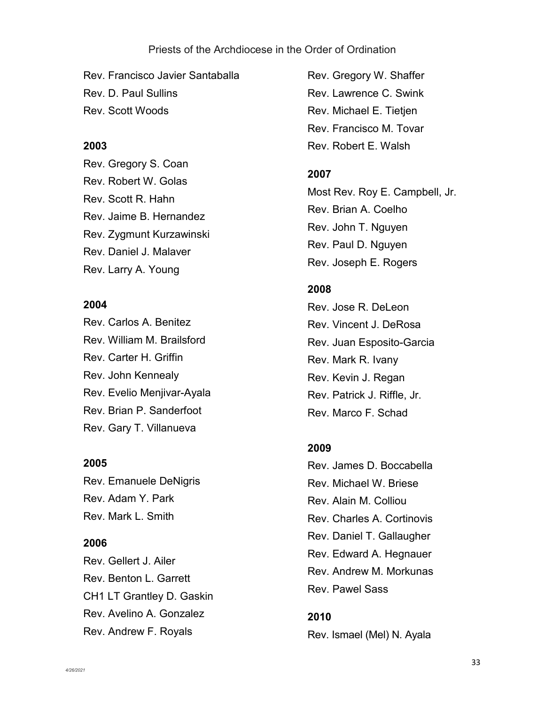Rev. Francisco Javier Santaballa Rev. D. Paul Sullins Rev. Scott Woods

#### **2003**

Rev. Gregory S. Coan Rev. Robert W. Golas Rev. Scott R. Hahn Rev. Jaime B. Hernandez Rev. Zygmunt Kurzawinski Rev. Daniel J. Malaver Rev. Larry A. Young

#### **2004**

Rev. Carlos A. Benitez Rev. William M. Brailsford Rev. Carter H. Griffin Rev. John Kennealy Rev. Evelio Menjivar-Ayala Rev. Brian P. Sanderfoot Rev. Gary T. Villanueva

#### **2005**

Rev. Emanuele DeNigris Rev. Adam Y. Park Rev. Mark L. Smith

#### **2006**

Rev. Gellert J. Ailer Rev. Benton L. Garrett CH1 LT Grantley D. Gaskin Rev. Avelino A. Gonzalez Rev. Andrew F. Royals

Rev. Gregory W. Shaffer Rev. Lawrence C. Swink Rev. Michael E. Tietjen Rev. Francisco M. Tovar Rev. Robert E. Walsh

#### **2007**

Most Rev. Roy E. Campbell, Jr. Rev. Brian A. Coelho Rev. John T. Nguyen Rev. Paul D. Nguyen Rev. Joseph E. Rogers

# **2008**

Rev. Jose R. DeLeon Rev. Vincent J. DeRosa Rev. Juan Esposito-Garcia Rev. Mark R. Ivany Rev. Kevin J. Regan Rev. Patrick J. Riffle, Jr. Rev. Marco F. Schad

#### **2009**

Rev. James D. Boccabella Rev. Michael W. Briese Rev. Alain M. Colliou Rev. Charles A. Cortinovis Rev. Daniel T. Gallaugher Rev. Edward A. Hegnauer Rev. Andrew M. Morkunas Rev. Pawel Sass

### **2010**

Rev. Ismael (Mel) N. Ayala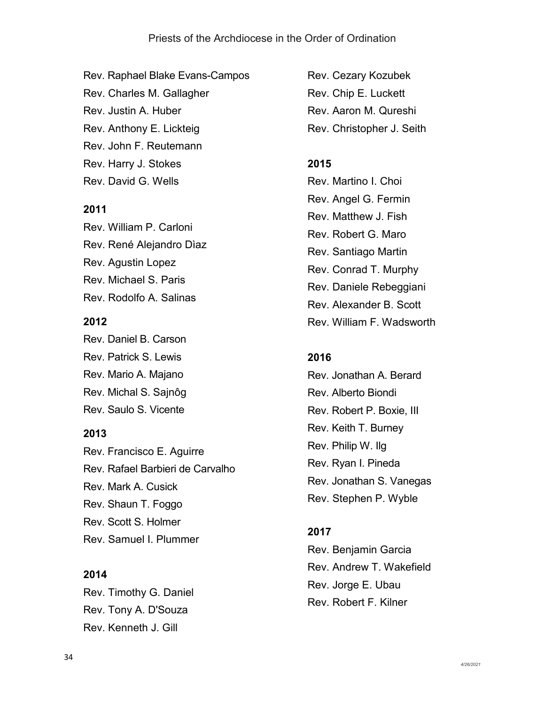Rev. Raphael Blake Evans-Campos Rev. Charles M. Gallagher Rev. Justin A. Huber Rev. Anthony E. Lickteig Rev. John F. Reutemann Rev. Harry J. Stokes Rev. David G. Wells

# **2011**

Rev. William P. Carloni Rev. René Alejandro Dìaz Rev. Agustin Lopez Rev. Michael S. Paris Rev. Rodolfo A. Salinas

# **2012**

Rev. Daniel B. Carson Rev. Patrick S. Lewis Rev. Mario A. Majano Rev. Michal S. Sajnôg Rev. Saulo S. Vicente

# **2013**

Rev. Francisco E. Aguirre Rev. Rafael Barbieri de Carvalho Rev. Mark A. Cusick Rev. Shaun T. Foggo Rev. Scott S. Holmer Rev. Samuel I. Plummer

#### **2014**

Rev. Timothy G. Daniel Rev. Tony A. D'Souza Rev. Kenneth J. Gill

Rev. Cezary Kozubek Rev. Chip E. Luckett Rev. Aaron M. Qureshi Rev. Christopher J. Seith

# **2015**

Rev. Martino I. Choi Rev. Angel G. Fermin Rev. Matthew J. Fish Rev. Robert G. Maro Rev. Santiago Martin Rev. Conrad T. Murphy Rev. Daniele Rebeggiani Rev. Alexander B. Scott Rev. William F. Wadsworth

# **2016**

Rev. Jonathan A. Berard Rev. Alberto Biondi Rev. Robert P. Boxie, III Rev. Keith T. Burney Rev. Philip W. Ilg Rev. Ryan I. Pineda Rev. Jonathan S. Vanegas Rev. Stephen P. Wyble

# **2017**

Rev. Benjamin Garcia Rev. Andrew T. Wakefield Rev. Jorge E. Ubau Rev. Robert F. Kilner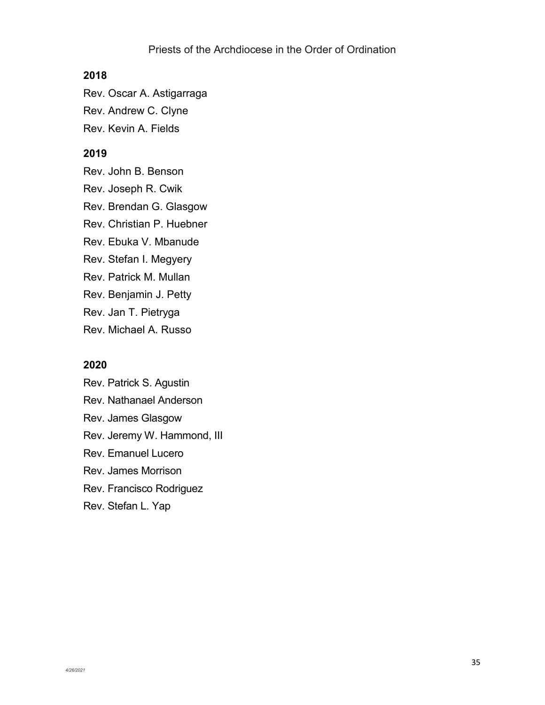#### **2018**

Rev. Oscar A. Astigarraga

Rev. Andrew C. Clyne

Rev. Kevin A. Fields

# **2019**

Rev. John B. Benson Rev. Joseph R. Cwik

Rev. Brendan G. Glasgow

Rev. Christian P. Huebner

Rev. Ebuka V. Mbanude

Rev. Stefan I. Megyery

Rev. Patrick M. Mullan

Rev. Benjamin J. Petty

Rev. Jan T. Pietryga

Rev. Michael A. Russo

#### **2020**

Rev. Patrick S. Agustin Rev. Nathanael Anderson Rev. James Glasgow Rev. Jeremy W. Hammond, III Rev. Emanuel Lucero Rev. James Morrison Rev. Francisco Rodriguez Rev. Stefan L. Yap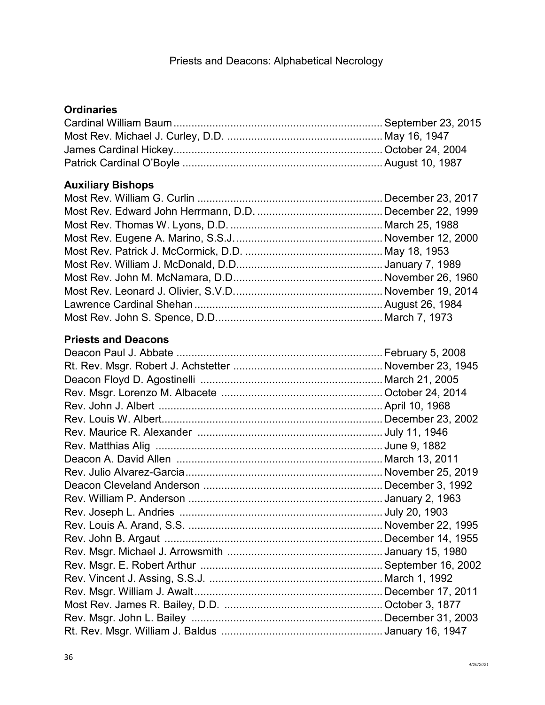### **Ordinaries**

### **Auxiliary Bishops**

### **Priests and Deacons**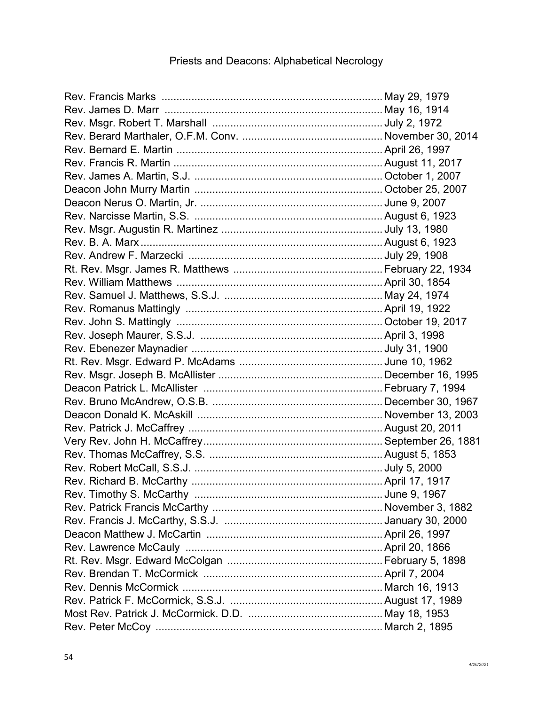### Rev. Francis Marks .......................................................................... May 29, 1979 Rev. James D. Marr ......................................................................... May 16, 1914 Rev. Msgr. Robert T. Marshall ......................................................... July 2, 1972 Rev. Berard Marthaler, O.F.M. Conv. ............................................... November 30, 2014 Rev. Bernard E. Martin .....................................................................April 26, 1997 Rev. Francis R. Martin ......................................................................August 11, 2017 Rev. James A. Martin, S.J. ............................................................... October 1, 2007 Deacon John Murry Martin ............................................................... October 25, 2007 Deacon Nerus O. Martin, Jr. ............................................................. June 9, 2007 Rev. Narcisse Martin, S.S. ...............................................................August 6, 1923 Rev. Msgr. Augustin R. Martinez ...................................................... July 13, 1980 Rev. B. A. Marx .................................................................................August 6, 1923 Rev. Andrew F. Marzecki ................................................................. July 29, 1908 Rt. Rev. Msgr. James R. Matthews .................................................. February 22, 1934 Rev. William Matthews .....................................................................April 30, 1854 Rev. Samuel J. Matthews, S.S.J. ..................................................... May 24, 1974 Rev. Romanus Mattingly ..................................................................April 19, 1922 Rev. John S. Mattingly ..................................................................... October 19, 2017 Rev. Joseph Maurer, S.S.J. .............................................................April 3, 1998 Rev. Ebenezer Maynadier ................................................................ July 31, 1900 Rt. Rev. Msgr. Edward P. McAdams ................................................ June 10, 1962 Rev. Msgr. Joseph B. McAllister ....................................................... December 16, 1995 Deacon Patrick L. McAllister ............................................................ February 7, 1994 Rev. Bruno McAndrew, O.S.B. ......................................................... December 30, 1967 Deacon Donald K. McAskill .............................................................. November 13, 2003 Rev. Patrick J. McCaffrey .................................................................August 20, 2011 Very Rev. John H. McCaffrey............................................................September 26, 1881 Rev. Thomas McCaffrey, S.S. ..........................................................August 5, 1853 Rev. Robert McCall, S.S.J. ............................................................... July 5, 2000 Rev. Richard B. McCarthy ................................................................April 17, 1917 Rev. Timothy S. McCarthy ............................................................... June 9, 1967 Rev. Patrick Francis McCarthy ......................................................... November 3, 1882 Rev. Francis J. McCarthy, S.S.J. ..................................................... January 30, 2000 Deacon Matthew J. McCartin ...........................................................April 26, 1997 Rev. Lawrence McCauly ..................................................................April 20, 1866 Rt. Rev. Msgr. Edward McColgan .................................................... February 5, 1898 Rev. Brendan T. McCormick ............................................................April 7, 2004 Rev. Dennis McCormick ................................................................... March 16, 1913 Rev. Patrick F. McCormick, S.S.J. ...................................................August 17, 1989 Most Rev. Patrick J. McCormick. D.D. ............................................. May 18, 1953 Rev. Peter McCoy ............................................................................ March 2, 1895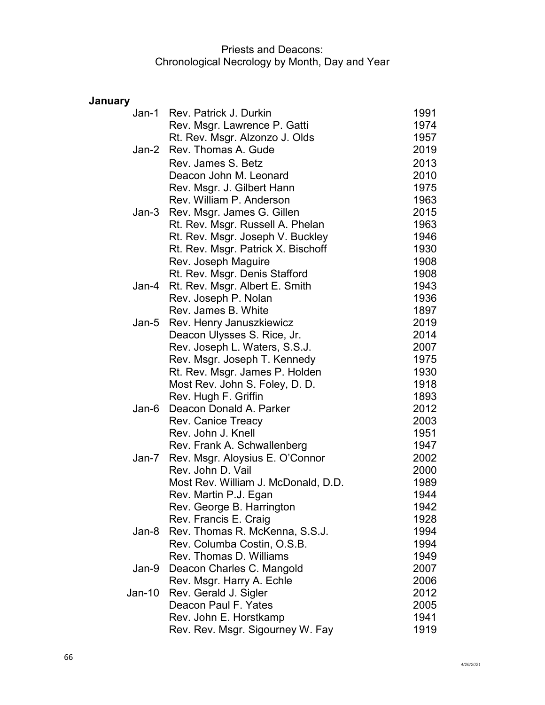# **January**

| Jan-1  | Rev. Patrick J. Durkin              | 1991 |
|--------|-------------------------------------|------|
|        | Rev. Msgr. Lawrence P. Gatti        | 1974 |
|        | Rt. Rev. Msgr. Alzonzo J. Olds      | 1957 |
| Jan-2  | Rev. Thomas A. Gude                 | 2019 |
|        | Rev. James S. Betz                  | 2013 |
|        | Deacon John M. Leonard              | 2010 |
|        | Rev. Msgr. J. Gilbert Hann          | 1975 |
|        | Rev. William P. Anderson            | 1963 |
| Jan-3  | Rev. Msgr. James G. Gillen          | 2015 |
|        | Rt. Rev. Msgr. Russell A. Phelan    | 1963 |
|        | Rt. Rev. Msgr. Joseph V. Buckley    | 1946 |
|        | Rt. Rev. Msgr. Patrick X. Bischoff  | 1930 |
|        | Rev. Joseph Maguire                 | 1908 |
|        | Rt. Rev. Msgr. Denis Stafford       | 1908 |
| Jan-4  | Rt. Rev. Msgr. Albert E. Smith      | 1943 |
|        | Rev. Joseph P. Nolan                | 1936 |
|        | Rev. James B. White                 | 1897 |
| Jan-5  | Rev. Henry Januszkiewicz            | 2019 |
|        | Deacon Ulysses S. Rice, Jr.         | 2014 |
|        | Rev. Joseph L. Waters, S.S.J.       | 2007 |
|        | Rev. Msgr. Joseph T. Kennedy        | 1975 |
|        | Rt. Rev. Msgr. James P. Holden      | 1930 |
|        | Most Rev. John S. Foley, D. D.      | 1918 |
|        | Rev. Hugh F. Griffin                | 1893 |
| Jan-6  | Deacon Donald A. Parker             | 2012 |
|        | <b>Rev. Canice Treacy</b>           | 2003 |
|        | Rev. John J. Knell                  | 1951 |
|        | Rev. Frank A. Schwallenberg         | 1947 |
| Jan-7  | Rev. Msgr. Aloysius E. O'Connor     | 2002 |
|        | Rev. John D. Vail                   | 2000 |
|        | Most Rev. William J. McDonald, D.D. | 1989 |
|        | Rev. Martin P.J. Egan               | 1944 |
|        | Rev. George B. Harrington           | 1942 |
|        | Rev. Francis E. Craig               | 1928 |
| Jan-8  | Rev. Thomas R. McKenna, S.S.J.      | 1994 |
|        | Rev. Columba Costin, O.S.B.         | 1994 |
|        | Rev. Thomas D. Williams             | 1949 |
| Jan-9  | Deacon Charles C. Mangold           | 2007 |
|        | Rev. Msgr. Harry A. Echle           | 2006 |
| Jan-10 | Rev. Gerald J. Sigler               | 2012 |
|        | Deacon Paul F. Yates                | 2005 |
|        | Rev. John E. Horstkamp              | 1941 |
|        | Rev. Rev. Msgr. Sigourney W. Fay    | 1919 |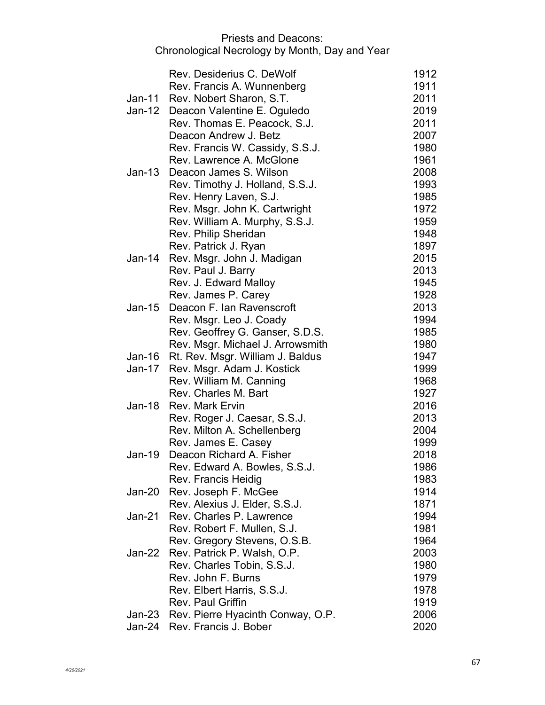|        | Rev. Desiderius C. DeWolf                | 1912 |
|--------|------------------------------------------|------|
|        | Rev. Francis A. Wunnenberg               | 1911 |
| Jan-11 | Rev. Nobert Sharon, S.T.                 | 2011 |
|        | Jan-12 Deacon Valentine E. Oguledo       | 2019 |
|        | Rev. Thomas E. Peacock, S.J.             | 2011 |
|        | Deacon Andrew J. Betz                    | 2007 |
|        | Rev. Francis W. Cassidy, S.S.J.          | 1980 |
|        | Rev. Lawrence A. McGlone                 | 1961 |
| Jan-13 | Deacon James S. Wilson                   | 2008 |
|        | Rev. Timothy J. Holland, S.S.J.          | 1993 |
|        | Rev. Henry Laven, S.J.                   | 1985 |
|        | Rev. Msgr. John K. Cartwright            | 1972 |
|        | Rev. William A. Murphy, S.S.J.           | 1959 |
|        | Rev. Philip Sheridan                     | 1948 |
|        | Rev. Patrick J. Ryan                     | 1897 |
| Jan-14 | Rev. Msgr. John J. Madigan               | 2015 |
|        | Rev. Paul J. Barry                       | 2013 |
|        | Rev. J. Edward Malloy                    | 1945 |
|        | Rev. James P. Carey                      | 1928 |
| Jan-15 | Deacon F. Ian Ravenscroft                | 2013 |
|        | Rev. Msgr. Leo J. Coady                  | 1994 |
|        | Rev. Geoffrey G. Ganser, S.D.S.          | 1985 |
|        | Rev. Msgr. Michael J. Arrowsmith         | 1980 |
| Jan-16 | Rt. Rev. Msgr. William J. Baldus         | 1947 |
| Jan-17 | Rev. Msgr. Adam J. Kostick               | 1999 |
|        | Rev. William M. Canning                  | 1968 |
|        | Rev. Charles M. Bart                     | 1927 |
| Jan-18 | <b>Rev. Mark Ervin</b>                   | 2016 |
|        | Rev. Roger J. Caesar, S.S.J.             | 2013 |
|        | Rev. Milton A. Schellenberg              | 2004 |
|        | Rev. James E. Casey                      | 1999 |
| Jan-19 | Deacon Richard A. Fisher                 | 2018 |
|        | Rev. Edward A. Bowles, S.S.J.            | 1986 |
|        | Rev. Francis Heidig                      | 1983 |
| Jan-20 | Rev. Joseph F. McGee                     | 1914 |
|        | Rev. Alexius J. Elder, S.S.J.            | 1871 |
| Jan-21 | Rev. Charles P. Lawrence                 | 1994 |
|        | Rev. Robert F. Mullen, S.J.              | 1981 |
|        | Rev. Gregory Stevens, O.S.B.             | 1964 |
| Jan-22 | Rev. Patrick P. Walsh, O.P.              | 2003 |
|        | Rev. Charles Tobin, S.S.J.               | 1980 |
|        | Rev. John F. Burns                       | 1979 |
|        | Rev. Elbert Harris, S.S.J.               | 1978 |
|        | Rev. Paul Griffin                        | 1919 |
|        | Jan-23 Rev. Pierre Hyacinth Conway, O.P. | 2006 |
| Jan-24 | Rev. Francis J. Bober                    | 2020 |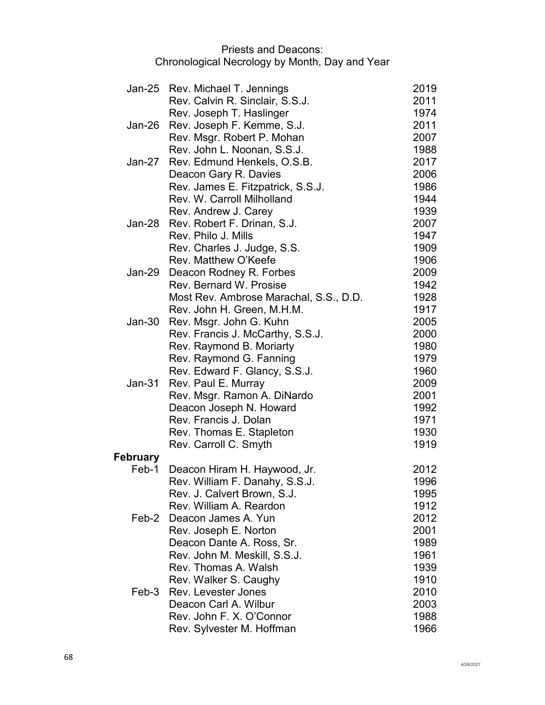|                 | Jan-25 Rev. Michael T. Jennings        | 2019 |
|-----------------|----------------------------------------|------|
|                 | Rev. Calvin R. Sinclair, S.S.J.        | 2011 |
|                 | Rev. Joseph T. Haslinger               | 1974 |
| Jan-26          | Rev. Joseph F. Kemme, S.J.             | 2011 |
|                 | Rev. Msgr. Robert P. Mohan             | 2007 |
|                 | Rev. John L. Noonan, S.S.J.            | 1988 |
| Jan-27          | Rev. Edmund Henkels, O.S.B.            | 2017 |
|                 | Deacon Gary R. Davies                  | 2006 |
|                 | Rev. James E. Fitzpatrick, S.S.J.      | 1986 |
|                 | Rev. W. Carroll Milholland             | 1944 |
|                 | Rev. Andrew J. Carey                   | 1939 |
| Jan-28          | Rev. Robert F. Drinan, S.J.            | 2007 |
|                 | Rev. Philo J. Mills                    | 1947 |
|                 | Rev. Charles J. Judge, S.S.            | 1909 |
|                 | Rev. Matthew O'Keefe                   | 1906 |
| Jan-29          | Deacon Rodney R. Forbes                | 2009 |
|                 | Rev. Bernard W. Prosise                | 1942 |
|                 | Most Rev. Ambrose Marachal, S.S., D.D. | 1928 |
|                 | Rev. John H. Green, M.H.M.             | 1917 |
| <b>Jan-30</b>   | Rev. Msgr. John G. Kuhn                | 2005 |
|                 | Rev. Francis J. McCarthy, S.S.J.       | 2000 |
|                 | Rev. Raymond B. Moriarty               | 1980 |
|                 | Rev. Raymond G. Fanning                | 1979 |
|                 | Rev. Edward F. Glancy, S.S.J.          | 1960 |
| $Jan-31$        | Rev. Paul E. Murray                    | 2009 |
|                 | Rev. Msgr. Ramon A. DiNardo            | 2001 |
|                 | Deacon Joseph N. Howard                | 1992 |
|                 | Rev. Francis J. Dolan                  | 1971 |
|                 | Rev. Thomas E. Stapleton               | 1930 |
|                 | Rev. Carroll C. Smyth                  | 1919 |
| <b>February</b> |                                        |      |
| Feb-1           | Deacon Hiram H. Haywood, Jr.           | 2012 |
|                 | Rev. William F. Danahy, S.S.J.         | 1996 |
|                 | Rev. J. Calvert Brown, S.J.            | 1995 |
|                 | Rev. William A. Reardon                | 1912 |
| Feb-2           | Deacon James A. Yun                    | 2012 |
|                 | Rev. Joseph E. Norton                  | 2001 |
|                 | Deacon Dante A. Ross, Sr.              | 1989 |
|                 | Rev. John M. Meskill, S.S.J.           | 1961 |
|                 | Rev. Thomas A. Walsh                   | 1939 |
|                 | Rev. Walker S. Caughy                  | 1910 |
| Feb-3           | <b>Rev. Levester Jones</b>             | 2010 |
|                 | Deacon Carl A. Wilbur                  | 2003 |
|                 | Rev. John F. X. O'Connor               | 1988 |
|                 | Rev. Sylvester M. Hoffman              | 1966 |
|                 |                                        |      |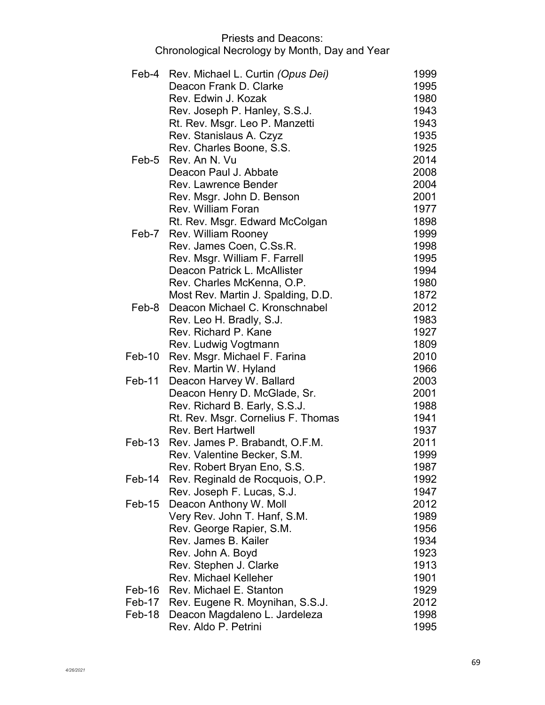|        | Feb-4 Rev. Michael L. Curtin (Opus Dei)                              | 1999         |
|--------|----------------------------------------------------------------------|--------------|
|        | Deacon Frank D. Clarke<br>Rev. Edwin J. Kozak                        | 1995         |
|        | Rev. Joseph P. Hanley, S.S.J.                                        | 1980<br>1943 |
|        |                                                                      | 1943         |
|        | Rt. Rev. Msgr. Leo P. Manzetti                                       | 1935         |
|        | Rev. Stanislaus A. Czyz                                              | 1925         |
|        | Rev. Charles Boone, S.S.<br>Feb-5 Rev. An N. Vu                      | 2014         |
|        | Deacon Paul J. Abbate                                                | 2008         |
|        | Rev. Lawrence Bender                                                 | 2004         |
|        |                                                                      | 2001         |
|        | Rev. Msgr. John D. Benson<br>Rev. William Foran                      | 1977         |
|        |                                                                      |              |
|        | Rt. Rev. Msgr. Edward McColgan                                       | 1898<br>1999 |
|        | Feb-7 Rev. William Rooney<br>Rev. James Coen, C.Ss.R.                | 1998         |
|        |                                                                      |              |
|        | Rev. Msgr. William F. Farrell<br>Deacon Patrick L. McAllister        | 1995         |
|        |                                                                      | 1994         |
|        | Rev. Charles McKenna, O.P.                                           | 1980         |
|        | Most Rev. Martin J. Spalding, D.D.<br>Deacon Michael C. Kronschnabel | 1872         |
| Feb-8  |                                                                      | 2012         |
|        | Rev. Leo H. Bradly, S.J.                                             | 1983         |
|        | Rev. Richard P. Kane                                                 | 1927         |
|        | Rev. Ludwig Vogtmann                                                 | 1809         |
| Feb-10 | Rev. Msgr. Michael F. Farina                                         | 2010         |
| Feb-11 | Rev. Martin W. Hyland                                                | 1966         |
|        | Deacon Harvey W. Ballard                                             | 2003         |
|        | Deacon Henry D. McGlade, Sr.                                         | 2001         |
|        | Rev. Richard B. Early, S.S.J.                                        | 1988<br>1941 |
|        | Rt. Rev. Msgr. Cornelius F. Thomas<br><b>Rev. Bert Hartwell</b>      | 1937         |
|        | Feb-13 Rev. James P. Brabandt, O.F.M.                                | 2011         |
|        |                                                                      |              |
|        | Rev. Valentine Becker, S.M.                                          | 1999         |
| Feb-14 | Rev. Robert Bryan Eno, S.S.<br>Rev. Reginald de Rocquois, O.P.       | 1987<br>1992 |
|        |                                                                      | 1947         |
|        | Rev. Joseph F. Lucas, S.J.                                           |              |
| Feb-15 | Deacon Anthony W. Moll                                               | 2012         |
|        | Very Rev. John T. Hanf, S.M.                                         | 1989         |
|        | Rev. George Rapier, S.M.<br>Rev. James B. Kailer                     | 1956<br>1934 |
|        |                                                                      |              |
|        | Rev. John A. Boyd                                                    | 1923         |
|        | Rev. Stephen J. Clarke                                               | 1913         |
|        | <b>Rev. Michael Kelleher</b>                                         | 1901         |
| Feb-16 | Rev. Michael E. Stanton                                              | 1929         |
| Feb-17 | Rev. Eugene R. Moynihan, S.S.J.                                      | 2012         |
| Feb-18 | Deacon Magdaleno L. Jardeleza                                        | 1998         |
|        | Rev. Aldo P. Petrini                                                 | 1995         |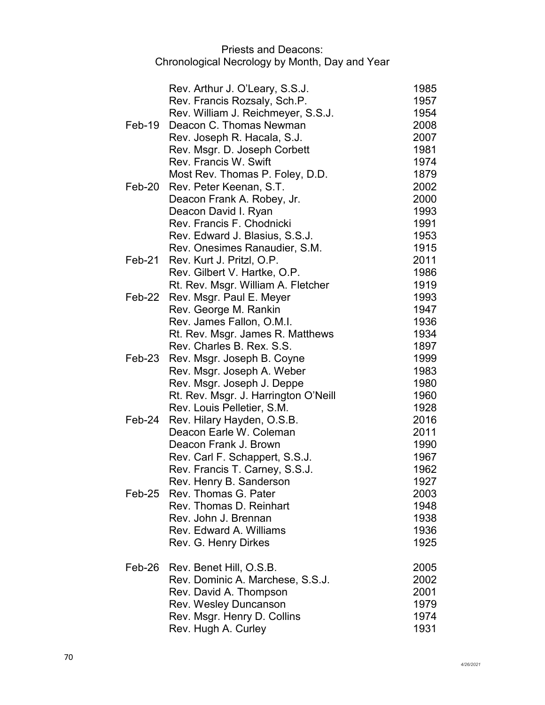|          | Rev. Arthur J. O'Leary, S.S.J.       | 1985 |
|----------|--------------------------------------|------|
|          | Rev. Francis Rozsaly, Sch.P.         | 1957 |
|          | Rev. William J. Reichmeyer, S.S.J.   | 1954 |
| $Feb-19$ | Deacon C. Thomas Newman              | 2008 |
|          | Rev. Joseph R. Hacala, S.J.          | 2007 |
|          | Rev. Msgr. D. Joseph Corbett         | 1981 |
|          | Rev. Francis W. Swift                | 1974 |
|          | Most Rev. Thomas P. Foley, D.D.      | 1879 |
| Feb-20   | Rev. Peter Keenan, S.T.              | 2002 |
|          | Deacon Frank A. Robey, Jr.           | 2000 |
|          | Deacon David I. Ryan                 | 1993 |
|          | Rev. Francis F. Chodnicki            | 1991 |
|          | Rev. Edward J. Blasius, S.S.J.       | 1953 |
|          | Rev. Onesimes Ranaudier, S.M.        | 1915 |
| Feb-21   | Rev. Kurt J. Pritzl, O.P.            | 2011 |
|          | Rev. Gilbert V. Hartke, O.P.         | 1986 |
|          | Rt. Rev. Msgr. William A. Fletcher   | 1919 |
| Feb-22   | Rev. Msgr. Paul E. Meyer             | 1993 |
|          | Rev. George M. Rankin                | 1947 |
|          | Rev. James Fallon, O.M.I.            | 1936 |
|          | Rt. Rev. Msgr. James R. Matthews     | 1934 |
|          | Rev. Charles B. Rex. S.S.            | 1897 |
| Feb-23   | Rev. Msgr. Joseph B. Coyne           | 1999 |
|          | Rev. Msgr. Joseph A. Weber           | 1983 |
|          | Rev. Msgr. Joseph J. Deppe           | 1980 |
|          | Rt. Rev. Msgr. J. Harrington O'Neill | 1960 |
|          | Rev. Louis Pelletier, S.M.           | 1928 |
| Feb-24   | Rev. Hilary Hayden, O.S.B.           | 2016 |
|          | Deacon Earle W. Coleman              | 2011 |
|          | Deacon Frank J. Brown                | 1990 |
|          | Rev. Carl F. Schappert, S.S.J.       | 1967 |
|          | Rev. Francis T. Carney, S.S.J.       | 1962 |
|          | Rev. Henry B. Sanderson              | 1927 |
| $Feb-25$ | Rev. Thomas G. Pater                 | 2003 |
|          | Rev. Thomas D. Reinhart              | 1948 |
|          | Rev. John J. Brennan                 | 1938 |
|          | Rev. Edward A. Williams              | 1936 |
|          | Rev. G. Henry Dirkes                 | 1925 |
| Feb-26   | Rev. Benet Hill, O.S.B.              | 2005 |
|          | Rev. Dominic A. Marchese, S.S.J.     | 2002 |
|          | Rev. David A. Thompson               | 2001 |
|          | Rev. Wesley Duncanson                | 1979 |
|          | Rev. Msgr. Henry D. Collins          | 1974 |
|          | Rev. Hugh A. Curley                  | 1931 |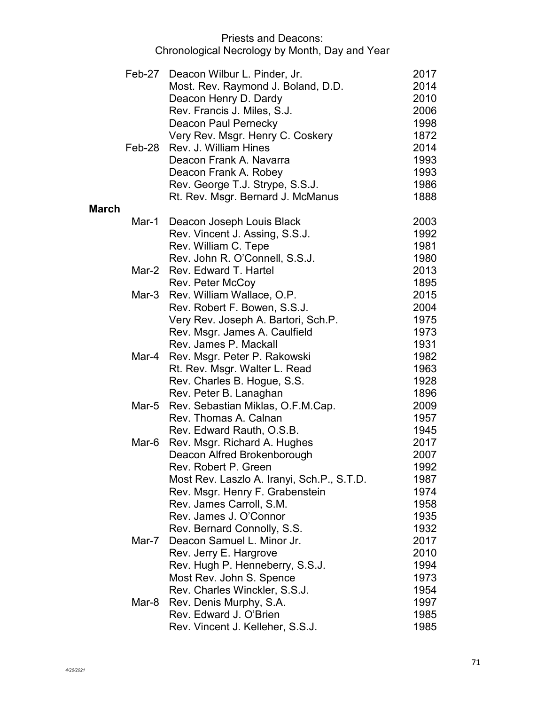|              |        | Feb-27 Deacon Wilbur L. Pinder, Jr.        | 2017 |
|--------------|--------|--------------------------------------------|------|
|              |        | Most. Rev. Raymond J. Boland, D.D.         | 2014 |
|              |        | Deacon Henry D. Dardy                      | 2010 |
|              |        | Rev. Francis J. Miles, S.J.                | 2006 |
|              |        | Deacon Paul Pernecky                       | 1998 |
|              |        | Very Rev. Msgr. Henry C. Coskery           | 1872 |
|              | Feb-28 | Rev. J. William Hines                      | 2014 |
|              |        | Deacon Frank A. Navarra                    | 1993 |
|              |        | Deacon Frank A. Robey                      | 1993 |
|              |        | Rev. George T.J. Strype, S.S.J.            | 1986 |
|              |        | Rt. Rev. Msgr. Bernard J. McManus          | 1888 |
| <b>March</b> |        |                                            |      |
|              | Mar-1  | Deacon Joseph Louis Black                  | 2003 |
|              |        | Rev. Vincent J. Assing, S.S.J.             | 1992 |
|              |        | Rev. William C. Tepe                       | 1981 |
|              |        | Rev. John R. O'Connell, S.S.J.             | 1980 |
|              |        | Mar-2 Rev. Edward T. Hartel                | 2013 |
|              |        | Rev. Peter McCoy                           | 1895 |
|              | Mar-3  | Rev. William Wallace, O.P.                 | 2015 |
|              |        | Rev. Robert F. Bowen, S.S.J.               | 2004 |
|              |        | Very Rev. Joseph A. Bartori, Sch.P.        | 1975 |
|              |        | Rev. Msgr. James A. Caulfield              | 1973 |
|              |        | Rev. James P. Mackall                      | 1931 |
|              | Mar-4  | Rev. Msgr. Peter P. Rakowski               | 1982 |
|              |        | Rt. Rev. Msgr. Walter L. Read              | 1963 |
|              |        | Rev. Charles B. Hogue, S.S.                | 1928 |
|              |        | Rev. Peter B. Lanaghan                     | 1896 |
|              | Mar-5  | Rev. Sebastian Miklas, O.F.M.Cap.          | 2009 |
|              |        | Rev. Thomas A. Calnan                      | 1957 |
|              |        | Rev. Edward Rauth, O.S.B.                  | 1945 |
|              | Mar-6  | Rev. Msgr. Richard A. Hughes               | 2017 |
|              |        | Deacon Alfred Brokenborough                | 2007 |
|              |        | Rev. Robert P. Green                       | 1992 |
|              |        | Most Rev. Laszlo A. Iranyi, Sch.P., S.T.D. | 1987 |
|              |        | Rev. Msgr. Henry F. Grabenstein            | 1974 |
|              |        | Rev. James Carroll, S.M.                   | 1958 |
|              |        | Rev. James J. O'Connor                     | 1935 |
|              |        | Rev. Bernard Connolly, S.S.                | 1932 |
|              | Mar-7  | Deacon Samuel L. Minor Jr.                 | 2017 |
|              |        | Rev. Jerry E. Hargrove                     | 2010 |
|              |        | Rev. Hugh P. Henneberry, S.S.J.            | 1994 |
|              |        | Most Rev. John S. Spence                   | 1973 |
|              |        | Rev. Charles Winckler, S.S.J.              | 1954 |
|              | Mar-8  | Rev. Denis Murphy, S.A.                    | 1997 |
|              |        | Rev. Edward J. O'Brien                     | 1985 |
|              |        | Rev. Vincent J. Kelleher, S.S.J.           | 1985 |
|              |        |                                            |      |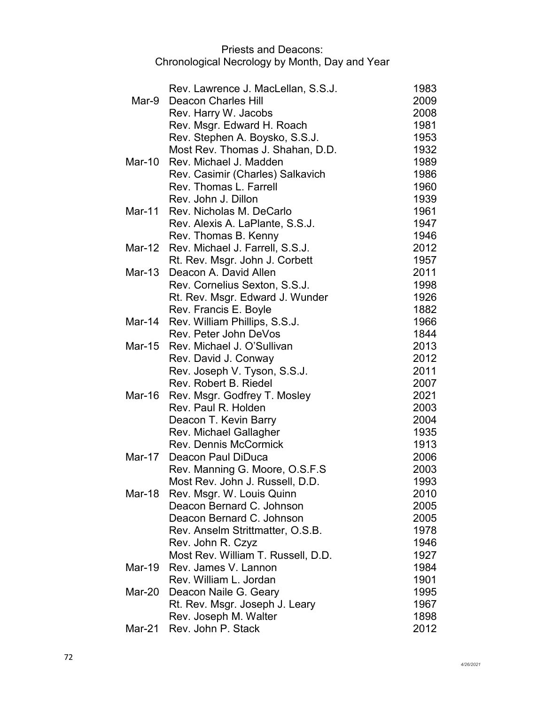|          | Rev. Lawrence J. MacLellan, S.S.J.                                | 1983         |
|----------|-------------------------------------------------------------------|--------------|
| Mar-9    | <b>Deacon Charles Hill</b>                                        | 2009         |
|          | Rev. Harry W. Jacobs                                              | 2008         |
|          | Rev. Msgr. Edward H. Roach                                        | 1981         |
|          | Rev. Stephen A. Boysko, S.S.J.                                    | 1953         |
|          | Most Rev. Thomas J. Shahan, D.D.                                  | 1932         |
| Mar-10   | Rev. Michael J. Madden                                            | 1989         |
|          | Rev. Casimir (Charles) Salkavich                                  | 1986         |
|          | Rev. Thomas L. Farrell                                            | 1960         |
|          | Rev. John J. Dillon                                               | 1939         |
| Mar-11   | Rev. Nicholas M. DeCarlo                                          | 1961         |
|          | Rev. Alexis A. LaPlante, S.S.J.                                   | 1947         |
|          | Rev. Thomas B. Kenny                                              | 1946         |
| Mar-12   | Rev. Michael J. Farrell, S.S.J.                                   | 2012         |
|          | Rt. Rev. Msgr. John J. Corbett                                    | 1957         |
| Mar-13   | Deacon A. David Allen                                             | 2011         |
|          | Rev. Cornelius Sexton, S.S.J.                                     | 1998         |
|          | Rt. Rev. Msgr. Edward J. Wunder                                   | 1926         |
|          | Rev. Francis E. Boyle                                             | 1882         |
| Mar-14   | Rev. William Phillips, S.S.J.                                     | 1966         |
|          | Rev. Peter John DeVos                                             | 1844         |
|          | Mar-15 Rev. Michael J. O'Sullivan                                 | 2013         |
|          | Rev. David J. Conway                                              | 2012         |
|          | Rev. Joseph V. Tyson, S.S.J.                                      | 2011         |
|          | Rev. Robert B. Riedel                                             | 2007         |
| Mar-16   | Rev. Msgr. Godfrey T. Mosley                                      | 2021         |
|          | Rev. Paul R. Holden                                               | 2003         |
|          | Deacon T. Kevin Barry                                             | 2004         |
|          | Rev. Michael Gallagher                                            | 1935         |
| Mar-17   | <b>Rev. Dennis McCormick</b>                                      | 1913         |
|          | Deacon Paul DiDuca                                                | 2006         |
|          | Rev. Manning G. Moore, O.S.F.S<br>Most Rev. John J. Russell, D.D. | 2003<br>1993 |
| Mar-18   | Rev. Msgr. W. Louis Quinn                                         | 2010         |
|          | Deacon Bernard C. Johnson                                         | 2005         |
|          | Deacon Bernard C. Johnson                                         | 2005         |
|          | Rev. Anselm Strittmatter, O.S.B.                                  | 1978         |
|          | Rev. John R. Czyz                                                 | 1946         |
|          | Most Rev. William T. Russell, D.D.                                | 1927         |
| $Mar-19$ | Rev. James V. Lannon                                              | 1984         |
|          | Rev. William L. Jordan                                            | 1901         |
| Mar-20   | Deacon Naile G. Geary                                             | 1995         |
|          | Rt. Rev. Msgr. Joseph J. Leary                                    | 1967         |
|          | Rev. Joseph M. Walter                                             | 1898         |
| Mar-21   | Rev. John P. Stack                                                | 2012         |
|          |                                                                   |              |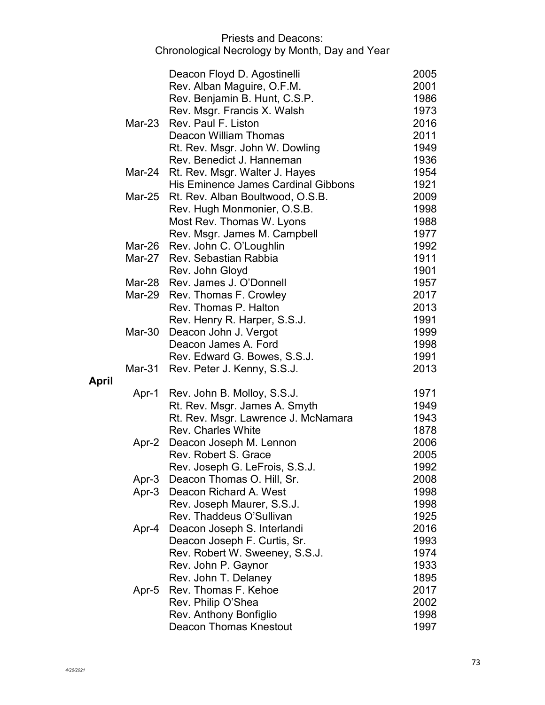|              |        | Deacon Floyd D. Agostinelli                | 2005 |
|--------------|--------|--------------------------------------------|------|
|              |        | Rev. Alban Maguire, O.F.M.                 | 2001 |
|              |        | Rev. Benjamin B. Hunt, C.S.P.              | 1986 |
|              |        | Rev. Msgr. Francis X. Walsh                | 1973 |
|              | Mar-23 | Rev. Paul F. Liston                        | 2016 |
|              |        | Deacon William Thomas                      | 2011 |
|              |        | Rt. Rev. Msgr. John W. Dowling             | 1949 |
|              |        | Rev. Benedict J. Hanneman                  | 1936 |
|              |        | Mar-24 Rt. Rev. Msgr. Walter J. Hayes      | 1954 |
|              |        | <b>His Eminence James Cardinal Gibbons</b> | 1921 |
|              |        | Mar-25 Rt. Rev. Alban Boultwood, O.S.B.    | 2009 |
|              |        | Rev. Hugh Monmonier, O.S.B.                | 1998 |
|              |        | Most Rev. Thomas W. Lyons                  | 1988 |
|              |        | Rev. Msgr. James M. Campbell               | 1977 |
|              |        | Mar-26 Rev. John C. O'Loughlin             | 1992 |
|              | Mar-27 | Rev. Sebastian Rabbia                      | 1911 |
|              |        | Rev. John Gloyd                            | 1901 |
|              |        | Mar-28 Rev. James J. O'Donnell             | 1957 |
|              |        | Mar-29 Rev. Thomas F. Crowley              | 2017 |
|              |        | Rev. Thomas P. Halton                      | 2013 |
|              |        | Rev. Henry R. Harper, S.S.J.               | 1991 |
|              | Mar-30 | Deacon John J. Vergot                      | 1999 |
|              |        | Deacon James A. Ford                       | 1998 |
|              |        | Rev. Edward G. Bowes, S.S.J.               | 1991 |
|              |        | Mar-31 Rev. Peter J. Kenny, S.S.J.         | 2013 |
| <b>April</b> |        | Apr-1 Rev. John B. Molloy, S.S.J.          | 1971 |
|              |        | Rt. Rev. Msgr. James A. Smyth              | 1949 |
|              |        | Rt. Rev. Msgr. Lawrence J. McNamara        | 1943 |
|              |        | <b>Rev. Charles White</b>                  | 1878 |
|              | Apr-2  | Deacon Joseph M. Lennon                    | 2006 |
|              |        | Rev. Robert S. Grace                       | 2005 |
|              |        | Rev. Joseph G. LeFrois, S.S.J.             | 1992 |
|              | Apr-3  | Deacon Thomas O. Hill, Sr.                 | 2008 |
|              | Apr-3  | Deacon Richard A. West                     | 1998 |
|              |        | Rev. Joseph Maurer, S.S.J.                 | 1998 |
|              |        | Rev. Thaddeus O'Sullivan                   | 1925 |
|              | Apr-4  | Deacon Joseph S. Interlandi                | 2016 |
|              |        | Deacon Joseph F. Curtis, Sr.               | 1993 |
|              |        | Rev. Robert W. Sweeney, S.S.J.             | 1974 |
|              |        | Rev. John P. Gaynor                        | 1933 |
|              |        | Rev. John T. Delaney                       | 1895 |
|              | Apr-5  | Rev. Thomas F. Kehoe                       | 2017 |
|              |        | Rev. Philip O'Shea                         | 2002 |
|              |        | Rev. Anthony Bonfiglio                     | 1998 |
|              |        | <b>Deacon Thomas Knestout</b>              | 1997 |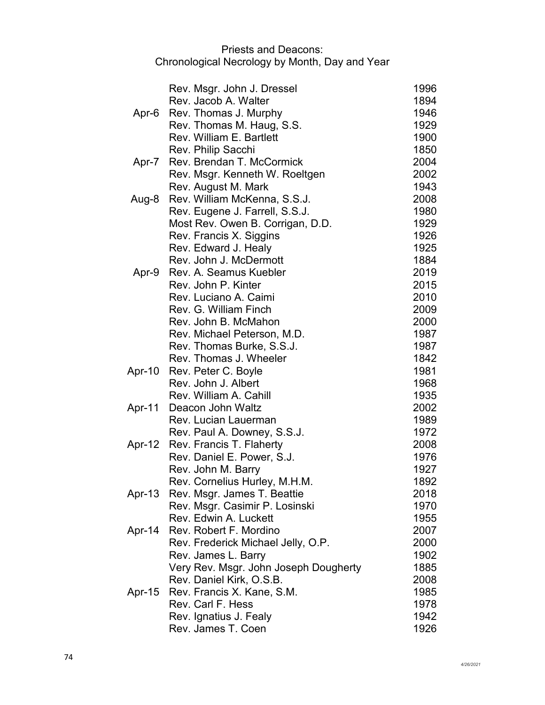|        | Rev. Msgr. John J. Dressel            | 1996 |
|--------|---------------------------------------|------|
|        | Rev. Jacob A. Walter                  | 1894 |
| Apr-6  | Rev. Thomas J. Murphy                 | 1946 |
|        | Rev. Thomas M. Haug, S.S.             | 1929 |
|        | Rev. William E. Bartlett              | 1900 |
|        | Rev. Philip Sacchi                    | 1850 |
| Apr-7  | Rev. Brendan T. McCormick             | 2004 |
|        | Rev. Msgr. Kenneth W. Roeltgen        | 2002 |
|        | Rev. August M. Mark                   | 1943 |
| Aug-8  | Rev. William McKenna, S.S.J.          | 2008 |
|        | Rev. Eugene J. Farrell, S.S.J.        | 1980 |
|        | Most Rev. Owen B. Corrigan, D.D.      | 1929 |
|        | Rev. Francis X. Siggins               | 1926 |
|        | Rev. Edward J. Healy                  | 1925 |
|        | Rev. John J. McDermott                | 1884 |
| Apr-9  | Rev. A. Seamus Kuebler                | 2019 |
|        | Rev. John P. Kinter                   | 2015 |
|        | Rev. Luciano A. Caimi                 | 2010 |
|        | Rev. G. William Finch                 | 2009 |
|        | Rev. John B. McMahon                  | 2000 |
|        | Rev. Michael Peterson, M.D.           | 1987 |
|        | Rev. Thomas Burke, S.S.J.             | 1987 |
|        | Rev. Thomas J. Wheeler                | 1842 |
| Apr-10 | Rev. Peter C. Boyle                   | 1981 |
|        | Rev. John J. Albert                   | 1968 |
|        | Rev. William A. Cahill                | 1935 |
| Apr-11 | Deacon John Waltz                     | 2002 |
|        | Rev. Lucian Lauerman                  | 1989 |
|        | Rev. Paul A. Downey, S.S.J.           | 1972 |
| Apr-12 | Rev. Francis T. Flaherty              | 2008 |
|        | Rev. Daniel E. Power, S.J.            | 1976 |
|        | Rev. John M. Barry                    | 1927 |
|        | Rev. Cornelius Hurley, M.H.M.         | 1892 |
| Apr-13 | Rev. Msgr. James T. Beattie           | 2018 |
|        | Rev. Msgr. Casimir P. Losinski        | 1970 |
|        | Rev. Edwin A. Luckett                 | 1955 |
| Apr-14 | Rev. Robert F. Mordino                | 2007 |
|        | Rev. Frederick Michael Jelly, O.P.    | 2000 |
|        | Rev. James L. Barry                   | 1902 |
|        | Very Rev. Msgr. John Joseph Dougherty | 1885 |
|        | Rev. Daniel Kirk, O.S.B.              | 2008 |
| Apr-15 | Rev. Francis X. Kane, S.M.            | 1985 |
|        | Rev. Carl F. Hess                     | 1978 |
|        | Rev. Ignatius J. Fealy                | 1942 |
|        | Rev. James T. Coen                    | 1926 |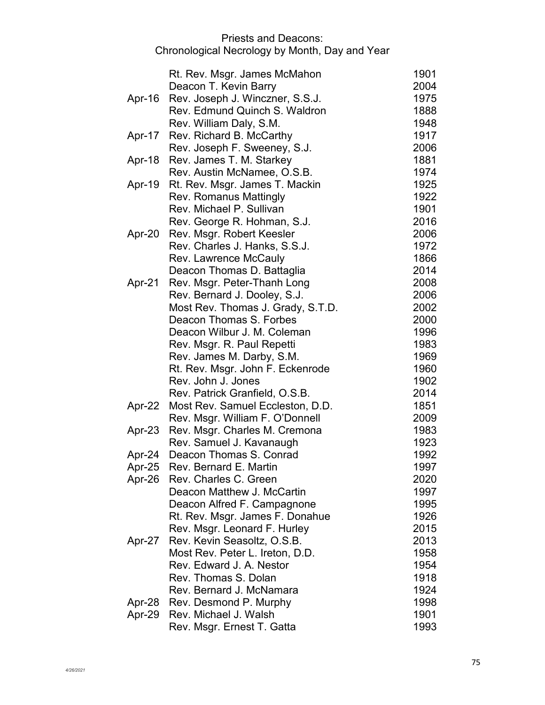|        | Rt. Rev. Msgr. James McMahon      | 1901 |
|--------|-----------------------------------|------|
|        |                                   | 2004 |
|        | Deacon T. Kevin Barry             |      |
| Apr-16 | Rev. Joseph J. Winczner, S.S.J.   | 1975 |
|        | Rev. Edmund Quinch S. Waldron     | 1888 |
|        | Rev. William Daly, S.M.           | 1948 |
| Apr-17 | Rev. Richard B. McCarthy          | 1917 |
|        | Rev. Joseph F. Sweeney, S.J.      | 2006 |
| Apr-18 | Rev. James T. M. Starkey          | 1881 |
|        | Rev. Austin McNamee, O.S.B.       | 1974 |
| Apr-19 | Rt. Rev. Msgr. James T. Mackin    | 1925 |
|        | Rev. Romanus Mattingly            | 1922 |
|        | Rev. Michael P. Sullivan          | 1901 |
|        | Rev. George R. Hohman, S.J.       | 2016 |
| Apr-20 | Rev. Msgr. Robert Keesler         | 2006 |
|        | Rev. Charles J. Hanks, S.S.J.     | 1972 |
|        | Rev. Lawrence McCauly             | 1866 |
|        | Deacon Thomas D. Battaglia        | 2014 |
| Apr-21 | Rev. Msgr. Peter-Thanh Long       | 2008 |
|        | Rev. Bernard J. Dooley, S.J.      | 2006 |
|        | Most Rev. Thomas J. Grady, S.T.D. | 2002 |
|        | Deacon Thomas S. Forbes           | 2000 |
|        | Deacon Wilbur J. M. Coleman       | 1996 |
|        |                                   | 1983 |
|        | Rev. Msgr. R. Paul Repetti        | 1969 |
|        | Rev. James M. Darby, S.M.         |      |
|        | Rt. Rev. Msgr. John F. Eckenrode  | 1960 |
|        | Rev. John J. Jones                | 1902 |
|        | Rev. Patrick Granfield, O.S.B.    | 2014 |
| Apr-22 | Most Rev. Samuel Eccleston, D.D.  | 1851 |
|        | Rev. Msgr. William F. O'Donnell   | 2009 |
| Apr-23 | Rev. Msgr. Charles M. Cremona     | 1983 |
|        | Rev. Samuel J. Kavanaugh          | 1923 |
| Apr-24 | Deacon Thomas S. Conrad           | 1992 |
| Apr-25 | Rev. Bernard E. Martin            | 1997 |
| Apr-26 | Rev. Charles C. Green             | 2020 |
|        | Deacon Matthew J. McCartin        | 1997 |
|        | Deacon Alfred F. Campagnone       | 1995 |
|        | Rt. Rev. Msgr. James F. Donahue   | 1926 |
|        | Rev. Msgr. Leonard F. Hurley      | 2015 |
| Apr-27 | Rev. Kevin Seasoltz, O.S.B.       | 2013 |
|        | Most Rev. Peter L. Ireton, D.D.   | 1958 |
|        | Rev. Edward J. A. Nestor          | 1954 |
|        | Rev. Thomas S. Dolan              | 1918 |
|        | Rev. Bernard J. McNamara          | 1924 |
| Apr-28 | Rev. Desmond P. Murphy            | 1998 |
| Apr-29 | Rev. Michael J. Walsh             | 1901 |
|        | Rev. Msgr. Ernest T. Gatta        | 1993 |
|        |                                   |      |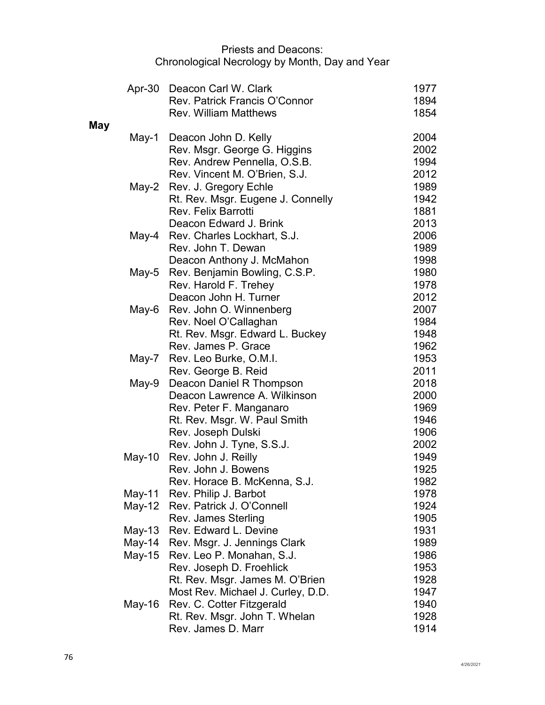|     |          | Apr-30 Deacon Carl W. Clark                              | 1977         |
|-----|----------|----------------------------------------------------------|--------------|
|     |          | Rev. Patrick Francis O'Connor                            | 1894         |
|     |          | <b>Rev. William Matthews</b>                             | 1854         |
| May |          |                                                          |              |
|     | May-1    | Deacon John D. Kelly                                     | 2004         |
|     |          | Rev. Msgr. George G. Higgins                             | 2002         |
|     |          | Rev. Andrew Pennella, O.S.B.                             | 1994         |
|     |          | Rev. Vincent M. O'Brien, S.J.                            | 2012         |
|     |          | May-2 Rev. J. Gregory Echle                              | 1989         |
|     |          | Rt. Rev. Msgr. Eugene J. Connelly                        | 1942         |
|     |          | <b>Rev. Felix Barrotti</b>                               | 1881         |
|     |          | Deacon Edward J. Brink                                   | 2013         |
|     |          | May-4 Rev. Charles Lockhart, S.J.                        | 2006         |
|     |          | Rev. John T. Dewan                                       | 1989         |
|     |          | Deacon Anthony J. McMahon                                | 1998         |
|     | May-5    | Rev. Benjamin Bowling, C.S.P.                            | 1980         |
|     |          | Rev. Harold F. Trehey                                    | 1978         |
|     |          | Deacon John H. Turner                                    | 2012         |
|     | May-6    | Rev. John O. Winnenberg                                  | 2007         |
|     |          | Rev. Noel O'Callaghan                                    | 1984         |
|     |          | Rt. Rev. Msgr. Edward L. Buckey                          | 1948         |
|     |          | Rev. James P. Grace                                      | 1962         |
|     |          | May-7 Rev. Leo Burke, O.M.I.                             | 1953         |
|     |          | Rev. George B. Reid                                      | 2011<br>2018 |
|     | May-9    | Deacon Daniel R Thompson<br>Deacon Lawrence A. Wilkinson | 2000         |
|     |          |                                                          | 1969         |
|     |          | Rev. Peter F. Manganaro                                  | 1946         |
|     |          | Rt. Rev. Msgr. W. Paul Smith<br>Rev. Joseph Dulski       | 1906         |
|     |          | Rev. John J. Tyne, S.S.J.                                | 2002         |
|     | $May-10$ | Rev. John J. Reilly                                      | 1949         |
|     |          | Rev. John J. Bowens                                      | 1925         |
|     |          | Rev. Horace B. McKenna, S.J.                             | 1982         |
|     | May-11   | Rev. Philip J. Barbot                                    | 1978         |
|     | May-12   | Rev. Patrick J. O'Connell                                | 1924         |
|     |          | Rev. James Sterling                                      | 1905         |
|     | $May-13$ | Rev. Edward L. Devine                                    | 1931         |
|     | May-14   | Rev. Msgr. J. Jennings Clark                             | 1989         |
|     | $May-15$ | Rev. Leo P. Monahan, S.J.                                | 1986         |
|     |          | Rev. Joseph D. Froehlick                                 | 1953         |
|     |          | Rt. Rev. Msgr. James M. O'Brien                          | 1928         |
|     |          | Most Rev. Michael J. Curley, D.D.                        | 1947         |
|     | May-16   | Rev. C. Cotter Fitzgerald                                | 1940         |
|     |          | Rt. Rev. Msgr. John T. Whelan                            | 1928         |
|     |          | Rev. James D. Marr                                       | 1914         |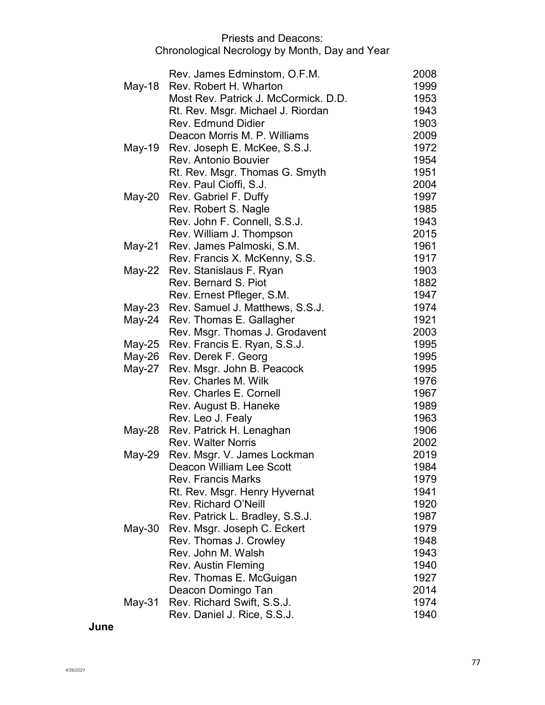| Rev. James Edminstom, O.F.M.              | 2008 |
|-------------------------------------------|------|
| Rev. Robert H. Wharton<br>May-18          | 1999 |
| Most Rev. Patrick J. McCormick. D.D.      | 1953 |
|                                           |      |
| Rt. Rev. Msgr. Michael J. Riordan         | 1943 |
| <b>Rev. Edmund Didier</b>                 | 1903 |
| Deacon Morris M. P. Williams              | 2009 |
| Rev. Joseph E. McKee, S.S.J.<br>May-19    | 1972 |
| Rev. Antonio Bouvier                      | 1954 |
| Rt. Rev. Msgr. Thomas G. Smyth            | 1951 |
| Rev. Paul Cioffi, S.J.                    | 2004 |
| Rev. Gabriel F. Duffy<br>May-20           | 1997 |
| Rev. Robert S. Nagle                      | 1985 |
| Rev. John F. Connell, S.S.J.              | 1943 |
| Rev. William J. Thompson                  | 2015 |
| May-21 Rev. James Palmoski, S.M.          | 1961 |
| Rev. Francis X. McKenny, S.S.             | 1917 |
| Rev. Stanislaus F. Ryan<br>May-22         | 1903 |
| Rev. Bernard S. Piot                      | 1882 |
| Rev. Ernest Pfleger, S.M.                 | 1947 |
| May-23<br>Rev. Samuel J. Matthews, S.S.J. | 1974 |
| May-24<br>Rev. Thomas E. Gallagher        | 1921 |
| Rev. Msgr. Thomas J. Grodavent            | 2003 |
| Rev. Francis E. Ryan, S.S.J.<br>May-25    | 1995 |
| May-26<br>Rev. Derek F. Georg             | 1995 |
| Rev. Msgr. John B. Peacock<br>May-27      | 1995 |
| Rev. Charles M. Wilk                      | 1976 |
| <b>Rev. Charles E. Cornell</b>            | 1967 |
| Rev. August B. Haneke                     | 1989 |
| Rev. Leo J. Fealy                         | 1963 |
| Rev. Patrick H. Lenaghan<br>May-28        | 1906 |
| <b>Rev. Walter Norris</b>                 | 2002 |
| Rev. Msgr. V. James Lockman<br>May-29     | 2019 |
| Deacon William Lee Scott                  | 1984 |
| <b>Rev. Francis Marks</b>                 | 1979 |
| Rt. Rev. Msgr. Henry Hyvernat             | 1941 |
| Rev. Richard O'Neill                      | 1920 |
| Rev. Patrick L. Bradley, S.S.J.           | 1987 |
| Rev. Msgr. Joseph C. Eckert<br>May-30     | 1979 |
| Rev. Thomas J. Crowley                    | 1948 |
| Rev. John M. Walsh                        | 1943 |
| <b>Rev. Austin Fleming</b>                | 1940 |
| Rev. Thomas E. McGuigan                   | 1927 |
| Deacon Domingo Tan                        | 2014 |
| Rev. Richard Swift, S.S.J.<br>$May-31$    | 1974 |
| Rev. Daniel J. Rice, S.S.J.               | 1940 |

**June**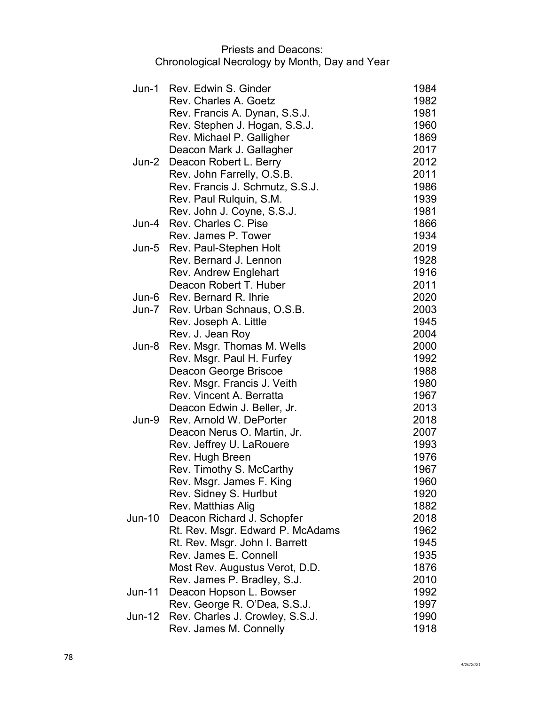|               | Jun-1 Rev. Edwin S. Ginder                              | 1984         |
|---------------|---------------------------------------------------------|--------------|
|               | Rev. Charles A. Goetz                                   | 1982         |
|               | Rev. Francis A. Dynan, S.S.J.                           | 1981         |
|               | Rev. Stephen J. Hogan, S.S.J.                           | 1960         |
|               | Rev. Michael P. Galligher                               | 1869         |
|               | Deacon Mark J. Gallagher                                | 2017         |
| Jun-2         | Deacon Robert L. Berry                                  | 2012         |
|               | Rev. John Farrelly, O.S.B.                              | 2011         |
|               | Rev. Francis J. Schmutz, S.S.J.                         | 1986         |
|               | Rev. Paul Rulquin, S.M.                                 | 1939         |
|               | Rev. John J. Coyne, S.S.J.                              | 1981         |
| Jun-4         | Rev. Charles C. Pise                                    | 1866         |
|               | Rev. James P. Tower                                     | 1934         |
| Jun-5         | Rev. Paul-Stephen Holt                                  | 2019         |
|               | Rev. Bernard J. Lennon                                  | 1928         |
|               | Rev. Andrew Englehart                                   | 1916         |
|               | Deacon Robert T. Huber                                  | 2011         |
|               | Jun-6 Rev. Bernard R. Ihrie                             | 2020         |
| Jun-7         | Rev. Urban Schnaus, O.S.B.                              | 2003         |
|               | Rev. Joseph A. Little                                   | 1945         |
|               | Rev. J. Jean Roy                                        | 2004         |
| Jun-8         | Rev. Msgr. Thomas M. Wells                              | 2000         |
|               | Rev. Msgr. Paul H. Furfey                               | 1992         |
|               | Deacon George Briscoe                                   | 1988         |
|               | Rev. Msgr. Francis J. Veith                             | 1980         |
|               | Rev. Vincent A. Berratta                                | 1967         |
|               | Deacon Edwin J. Beller, Jr.                             | 2013         |
| Jun-9         | Rev. Arnold W. DePorter                                 | 2018         |
|               | Deacon Nerus O. Martin, Jr.                             | 2007         |
|               | Rev. Jeffrey U. LaRouere                                | 1993         |
|               | Rev. Hugh Breen                                         | 1976         |
|               | Rev. Timothy S. McCarthy                                | 1967         |
|               | <b>Rev. Msgr. James F. King</b>                         | 1960         |
|               | Rev. Sidney S. Hurlbut                                  | 1920         |
|               | Rev. Matthias Alig                                      | 1882         |
| <b>Jun-10</b> | Deacon Richard J. Schopfer                              | 2018         |
|               | Rt. Rev. Msgr. Edward P. McAdams                        | 1962         |
|               | Rt. Rev. Msgr. John I. Barrett<br>Rev. James E. Connell | 1945         |
|               |                                                         | 1935<br>1876 |
|               | Most Rev. Augustus Verot, D.D.                          |              |
| Jun-11        | Rev. James P. Bradley, S.J.<br>Deacon Hopson L. Bowser  | 2010<br>1992 |
|               | Rev. George R. O'Dea, S.S.J.                            | 1997         |
| Jun-12        | Rev. Charles J. Crowley, S.S.J.                         | 1990         |
|               | Rev. James M. Connelly                                  | 1918         |
|               |                                                         |              |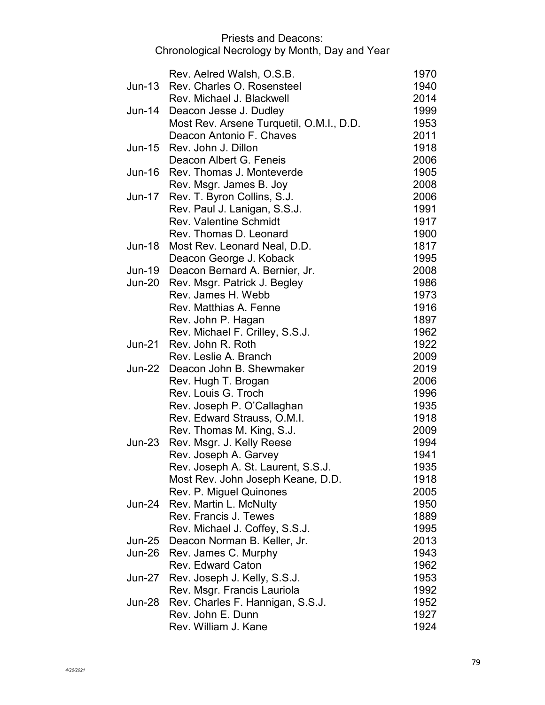|               | Rev. Aelred Walsh, O.S.B.                | 1970 |
|---------------|------------------------------------------|------|
| Jun-13        | Rev. Charles O. Rosensteel               | 1940 |
|               | Rev. Michael J. Blackwell                | 2014 |
|               | Jun-14 Deacon Jesse J. Dudley            | 1999 |
|               | Most Rev. Arsene Turquetil, O.M.I., D.D. | 1953 |
|               | Deacon Antonio F. Chaves                 | 2011 |
| Jun-15        | Rev. John J. Dillon                      | 1918 |
|               | Deacon Albert G. Feneis                  | 2006 |
| Jun-16        | Rev. Thomas J. Monteverde                | 1905 |
|               | Rev. Msgr. James B. Joy                  | 2008 |
| Jun-17        | Rev. T. Byron Collins, S.J.              | 2006 |
|               | Rev. Paul J. Lanigan, S.S.J.             | 1991 |
|               | <b>Rev. Valentine Schmidt</b>            | 1917 |
|               | Rev. Thomas D. Leonard                   | 1900 |
| Jun-18        | Most Rev. Leonard Neal, D.D.             | 1817 |
|               | Deacon George J. Koback                  | 1995 |
| <b>Jun-19</b> | Deacon Bernard A. Bernier, Jr.           | 2008 |
| Jun-20        | Rev. Msgr. Patrick J. Begley             | 1986 |
|               | Rev. James H. Webb                       | 1973 |
|               | Rev. Matthias A. Fenne                   | 1916 |
|               | Rev. John P. Hagan                       | 1897 |
|               | Rev. Michael F. Crilley, S.S.J.          | 1962 |
| <b>Jun-21</b> | Rev. John R. Roth                        | 1922 |
|               | Rev. Leslie A. Branch                    | 2009 |
|               | Jun-22 Deacon John B. Shewmaker          | 2019 |
|               | Rev. Hugh T. Brogan                      | 2006 |
|               | Rev. Louis G. Troch                      | 1996 |
|               | Rev. Joseph P. O'Callaghan               | 1935 |
|               | Rev. Edward Strauss, O.M.I.              | 1918 |
|               | Rev. Thomas M. King, S.J.                | 2009 |
| Jun-23        | Rev. Msgr. J. Kelly Reese                | 1994 |
|               | Rev. Joseph A. Garvey                    | 1941 |
|               | Rev. Joseph A. St. Laurent, S.S.J.       | 1935 |
|               | Most Rev. John Joseph Keane, D.D.        | 1918 |
|               | Rev. P. Miguel Quinones                  | 2005 |
| Jun-24        | Rev. Martin L. McNulty                   | 1950 |
|               | Rev. Francis J. Tewes                    | 1889 |
|               | Rev. Michael J. Coffey, S.S.J.           | 1995 |
| Jun-25        | Deacon Norman B. Keller, Jr.             | 2013 |
| Jun-26        | Rev. James C. Murphy                     | 1943 |
|               | <b>Rev. Edward Caton</b>                 | 1962 |
| Jun-27        | Rev. Joseph J. Kelly, S.S.J.             | 1953 |
|               | Rev. Msgr. Francis Lauriola              | 1992 |
| Jun-28        | Rev. Charles F. Hannigan, S.S.J.         | 1952 |
|               | Rev. John E. Dunn                        | 1927 |
|               | Rev. William J. Kane                     | 1924 |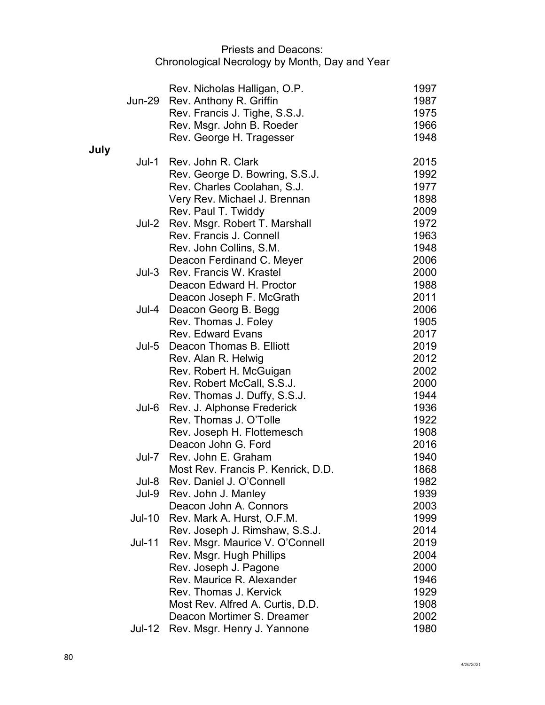|      |               | Rev. Nicholas Halligan, O.P.        | 1997 |
|------|---------------|-------------------------------------|------|
|      | <b>Jun-29</b> | Rev. Anthony R. Griffin             | 1987 |
|      |               | Rev. Francis J. Tighe, S.S.J.       | 1975 |
|      |               | Rev. Msgr. John B. Roeder           | 1966 |
|      |               | Rev. George H. Tragesser            | 1948 |
| July | Jul-1         | Rev. John R. Clark                  | 2015 |
|      |               | Rev. George D. Bowring, S.S.J.      | 1992 |
|      |               | Rev. Charles Coolahan, S.J.         | 1977 |
|      |               | Very Rev. Michael J. Brennan        | 1898 |
|      |               | Rev. Paul T. Twiddy                 | 2009 |
|      |               | Jul-2 Rev. Msgr. Robert T. Marshall | 1972 |
|      |               | Rev. Francis J. Connell             | 1963 |
|      |               | Rev. John Collins, S.M.             | 1948 |
|      |               | Deacon Ferdinand C. Meyer           | 2006 |
|      | Jul-3         | Rev. Francis W. Krastel             | 2000 |
|      |               | Deacon Edward H. Proctor            | 1988 |
|      |               | Deacon Joseph F. McGrath            | 2011 |
|      | Jul-4         | Deacon Georg B. Begg                | 2006 |
|      |               | Rev. Thomas J. Foley                | 1905 |
|      |               | <b>Rev. Edward Evans</b>            | 2017 |
|      | Jul-5         | Deacon Thomas B. Elliott            | 2019 |
|      |               | Rev. Alan R. Helwig                 | 2012 |
|      |               | Rev. Robert H. McGuigan             | 2002 |
|      |               | Rev. Robert McCall, S.S.J.          | 2000 |
|      |               | Rev. Thomas J. Duffy, S.S.J.        | 1944 |
|      | Jul-6         | Rev. J. Alphonse Frederick          | 1936 |
|      |               | Rev. Thomas J. O'Tolle              | 1922 |
|      |               | Rev. Joseph H. Flottemesch          | 1908 |
|      |               | Deacon John G. Ford                 | 2016 |
|      | Jul-7         | Rev. John E. Graham                 | 1940 |
|      |               | Most Rev. Francis P. Kenrick, D.D.  | 1868 |
|      | Jul-8         | Rev. Daniel J. O'Connell            | 1982 |
|      | Jul-9         | Rev. John J. Manley                 | 1939 |
|      |               | Deacon John A. Connors              | 2003 |
|      | <b>Jul-10</b> | Rev. Mark A. Hurst, O.F.M.          | 1999 |
|      |               | Rev. Joseph J. Rimshaw, S.S.J.      | 2014 |
|      | <b>Jul-11</b> | Rev. Msgr. Maurice V. O'Connell     | 2019 |
|      |               | Rev. Msgr. Hugh Phillips            | 2004 |
|      |               | Rev. Joseph J. Pagone               | 2000 |
|      |               | Rev. Maurice R. Alexander           | 1946 |
|      |               | Rev. Thomas J. Kervick              | 1929 |
|      |               | Most Rev. Alfred A. Curtis, D.D.    | 1908 |
|      |               | Deacon Mortimer S. Dreamer          | 2002 |
|      | Jul-12        | Rev. Msgr. Henry J. Yannone         | 1980 |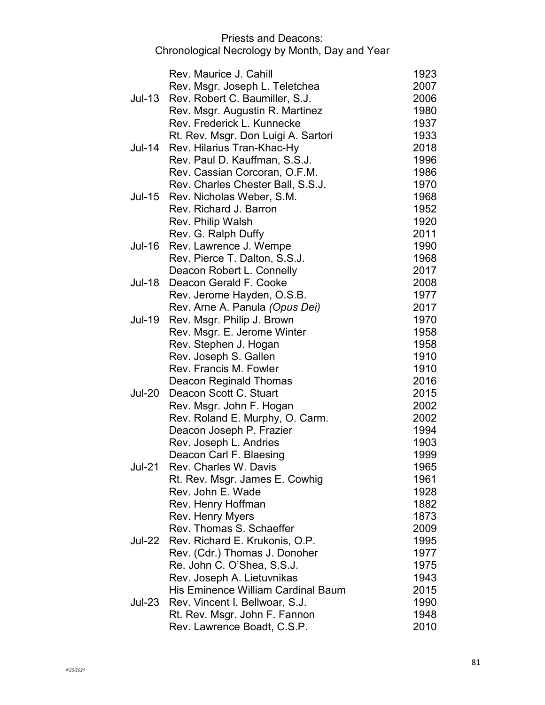|               | Rev. Maurice J. Cahill              | 1923 |
|---------------|-------------------------------------|------|
|               | Rev. Msgr. Joseph L. Teletchea      | 2007 |
| <b>Jul-13</b> | Rev. Robert C. Baumiller, S.J.      | 2006 |
|               | Rev. Msgr. Augustin R. Martinez     | 1980 |
|               | Rev. Frederick L. Kunnecke          | 1937 |
|               | Rt. Rev. Msgr. Don Luigi A. Sartori | 1933 |
| Jul-14        | Rev. Hilarius Tran-Khac-Hy          | 2018 |
|               | Rev. Paul D. Kauffman, S.S.J.       | 1996 |
|               | Rev. Cassian Corcoran, O.F.M.       | 1986 |
|               | Rev. Charles Chester Ball, S.S.J.   | 1970 |
| Jul-15        | Rev. Nicholas Weber, S.M.           | 1968 |
|               | Rev. Richard J. Barron              | 1952 |
|               | Rev. Philip Walsh                   | 1920 |
|               | Rev. G. Ralph Duffy                 | 2011 |
| Jul-16        | Rev. Lawrence J. Wempe              | 1990 |
|               |                                     | 1968 |
|               | Rev. Pierce T. Dalton, S.S.J.       |      |
|               | Deacon Robert L. Connelly           | 2017 |
| Jul-18        | Deacon Gerald F. Cooke              | 2008 |
|               | Rev. Jerome Hayden, O.S.B.          | 1977 |
|               | Rev. Arne A. Panula (Opus Dei)      | 2017 |
| <b>Jul-19</b> | Rev. Msgr. Philip J. Brown          | 1970 |
|               | Rev. Msgr. E. Jerome Winter         | 1958 |
|               | Rev. Stephen J. Hogan               | 1958 |
|               | Rev. Joseph S. Gallen               | 1910 |
|               | Rev. Francis M. Fowler              | 1910 |
|               | Deacon Reginald Thomas              | 2016 |
| <b>Jul-20</b> | Deacon Scott C. Stuart              | 2015 |
|               | Rev. Msgr. John F. Hogan            | 2002 |
|               | Rev. Roland E. Murphy, O. Carm.     | 2002 |
|               | Deacon Joseph P. Frazier            | 1994 |
|               | Rev. Joseph L. Andries              | 1903 |
|               | Deacon Carl F. Blaesing             | 1999 |
| <b>Jul-21</b> | Rev. Charles W. Davis               | 1965 |
|               | Rt. Rev. Msgr. James E. Cowhig      | 1961 |
|               | Rev. John E. Wade                   | 1928 |
|               | Rev. Henry Hoffman                  | 1882 |
|               | <b>Rev. Henry Myers</b>             | 1873 |
|               | Rev. Thomas S. Schaeffer            | 2009 |
| Jul-22        | Rev. Richard E. Krukonis, O.P.      | 1995 |
|               | Rev. (Cdr.) Thomas J. Donoher       | 1977 |
|               | Re. John C. O'Shea, S.S.J.          | 1975 |
|               |                                     |      |
|               | Rev. Joseph A. Lietuvnikas          | 1943 |
|               | His Eminence William Cardinal Baum  | 2015 |
| Jul-23        | Rev. Vincent I. Bellwoar, S.J.      | 1990 |
|               | Rt. Rev. Msgr. John F. Fannon       | 1948 |
|               | Rev. Lawrence Boadt, C.S.P.         | 2010 |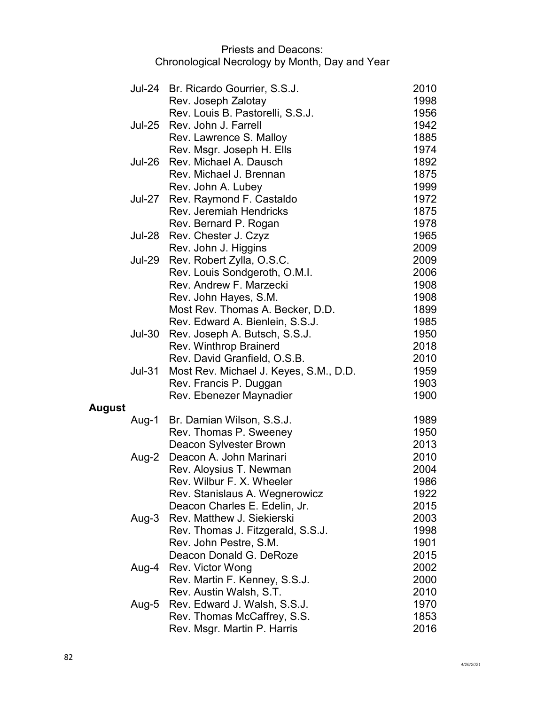| 2010<br>Jul-24 Br. Ricardo Gourrier, S.S.J.<br>Rev. Joseph Zalotay<br>1998<br>Rev. Louis B. Pastorelli, S.S.J.<br>1956<br>1942<br>Jul-25 Rev. John J. Farrell<br>1885<br>Rev. Lawrence S. Malloy<br>1974<br>Rev. Msgr. Joseph H. Ells<br>Rev. Michael A. Dausch<br>1892<br><b>Jul-26</b><br>1875<br>Rev. Michael J. Brennan<br>Rev. John A. Lubey<br>1999<br>Rev. Raymond F. Castaldo<br>1972<br>Jul-27<br><b>Rev. Jeremiah Hendricks</b><br>1875<br>1978<br>Rev. Bernard P. Rogan<br>1965<br><b>Jul-28</b><br>Rev. Chester J. Czyz<br>2009<br>Rev. John J. Higgins<br>Jul-29 Rev. Robert Zylla, O.S.C.<br>2009<br>Rev. Louis Sondgeroth, O.M.I.<br>2006<br>Rev. Andrew F. Marzecki<br>1908<br>1908<br>Rev. John Hayes, S.M.<br>Most Rev. Thomas A. Becker, D.D.<br>1899<br>Rev. Edward A. Bienlein, S.S.J.<br>1985<br>1950<br>Rev. Joseph A. Butsch, S.S.J.<br><b>Jul-30</b><br>Rev. Winthrop Brainerd<br>2018<br>Rev. David Granfield, O.S.B.<br>2010<br><b>Jul-31</b><br>1959<br>Most Rev. Michael J. Keyes, S.M., D.D.<br>Rev. Francis P. Duggan<br>1903<br>1900<br>Rev. Ebenezer Maynadier<br><b>August</b><br>Br. Damian Wilson, S.S.J.<br>1989<br>Aug-1<br>1950<br>Rev. Thomas P. Sweeney<br>2013<br>Deacon Sylvester Brown<br>Deacon A. John Marinari<br>2010<br>Aug-2<br>Rev. Aloysius T. Newman<br>2004<br>1986<br>Rev. Wilbur F. X. Wheeler<br>1922<br>Rev. Stanislaus A. Wegnerowicz<br>Deacon Charles E. Edelin, Jr.<br>2015 |
|-------------------------------------------------------------------------------------------------------------------------------------------------------------------------------------------------------------------------------------------------------------------------------------------------------------------------------------------------------------------------------------------------------------------------------------------------------------------------------------------------------------------------------------------------------------------------------------------------------------------------------------------------------------------------------------------------------------------------------------------------------------------------------------------------------------------------------------------------------------------------------------------------------------------------------------------------------------------------------------------------------------------------------------------------------------------------------------------------------------------------------------------------------------------------------------------------------------------------------------------------------------------------------------------------------------------------------------------------------------------------------------------------------------------------------------------|
|                                                                                                                                                                                                                                                                                                                                                                                                                                                                                                                                                                                                                                                                                                                                                                                                                                                                                                                                                                                                                                                                                                                                                                                                                                                                                                                                                                                                                                           |
|                                                                                                                                                                                                                                                                                                                                                                                                                                                                                                                                                                                                                                                                                                                                                                                                                                                                                                                                                                                                                                                                                                                                                                                                                                                                                                                                                                                                                                           |
|                                                                                                                                                                                                                                                                                                                                                                                                                                                                                                                                                                                                                                                                                                                                                                                                                                                                                                                                                                                                                                                                                                                                                                                                                                                                                                                                                                                                                                           |
|                                                                                                                                                                                                                                                                                                                                                                                                                                                                                                                                                                                                                                                                                                                                                                                                                                                                                                                                                                                                                                                                                                                                                                                                                                                                                                                                                                                                                                           |
|                                                                                                                                                                                                                                                                                                                                                                                                                                                                                                                                                                                                                                                                                                                                                                                                                                                                                                                                                                                                                                                                                                                                                                                                                                                                                                                                                                                                                                           |
|                                                                                                                                                                                                                                                                                                                                                                                                                                                                                                                                                                                                                                                                                                                                                                                                                                                                                                                                                                                                                                                                                                                                                                                                                                                                                                                                                                                                                                           |
|                                                                                                                                                                                                                                                                                                                                                                                                                                                                                                                                                                                                                                                                                                                                                                                                                                                                                                                                                                                                                                                                                                                                                                                                                                                                                                                                                                                                                                           |
|                                                                                                                                                                                                                                                                                                                                                                                                                                                                                                                                                                                                                                                                                                                                                                                                                                                                                                                                                                                                                                                                                                                                                                                                                                                                                                                                                                                                                                           |
|                                                                                                                                                                                                                                                                                                                                                                                                                                                                                                                                                                                                                                                                                                                                                                                                                                                                                                                                                                                                                                                                                                                                                                                                                                                                                                                                                                                                                                           |
|                                                                                                                                                                                                                                                                                                                                                                                                                                                                                                                                                                                                                                                                                                                                                                                                                                                                                                                                                                                                                                                                                                                                                                                                                                                                                                                                                                                                                                           |
|                                                                                                                                                                                                                                                                                                                                                                                                                                                                                                                                                                                                                                                                                                                                                                                                                                                                                                                                                                                                                                                                                                                                                                                                                                                                                                                                                                                                                                           |
|                                                                                                                                                                                                                                                                                                                                                                                                                                                                                                                                                                                                                                                                                                                                                                                                                                                                                                                                                                                                                                                                                                                                                                                                                                                                                                                                                                                                                                           |
|                                                                                                                                                                                                                                                                                                                                                                                                                                                                                                                                                                                                                                                                                                                                                                                                                                                                                                                                                                                                                                                                                                                                                                                                                                                                                                                                                                                                                                           |
|                                                                                                                                                                                                                                                                                                                                                                                                                                                                                                                                                                                                                                                                                                                                                                                                                                                                                                                                                                                                                                                                                                                                                                                                                                                                                                                                                                                                                                           |
|                                                                                                                                                                                                                                                                                                                                                                                                                                                                                                                                                                                                                                                                                                                                                                                                                                                                                                                                                                                                                                                                                                                                                                                                                                                                                                                                                                                                                                           |
|                                                                                                                                                                                                                                                                                                                                                                                                                                                                                                                                                                                                                                                                                                                                                                                                                                                                                                                                                                                                                                                                                                                                                                                                                                                                                                                                                                                                                                           |
|                                                                                                                                                                                                                                                                                                                                                                                                                                                                                                                                                                                                                                                                                                                                                                                                                                                                                                                                                                                                                                                                                                                                                                                                                                                                                                                                                                                                                                           |
|                                                                                                                                                                                                                                                                                                                                                                                                                                                                                                                                                                                                                                                                                                                                                                                                                                                                                                                                                                                                                                                                                                                                                                                                                                                                                                                                                                                                                                           |
|                                                                                                                                                                                                                                                                                                                                                                                                                                                                                                                                                                                                                                                                                                                                                                                                                                                                                                                                                                                                                                                                                                                                                                                                                                                                                                                                                                                                                                           |
|                                                                                                                                                                                                                                                                                                                                                                                                                                                                                                                                                                                                                                                                                                                                                                                                                                                                                                                                                                                                                                                                                                                                                                                                                                                                                                                                                                                                                                           |
|                                                                                                                                                                                                                                                                                                                                                                                                                                                                                                                                                                                                                                                                                                                                                                                                                                                                                                                                                                                                                                                                                                                                                                                                                                                                                                                                                                                                                                           |
|                                                                                                                                                                                                                                                                                                                                                                                                                                                                                                                                                                                                                                                                                                                                                                                                                                                                                                                                                                                                                                                                                                                                                                                                                                                                                                                                                                                                                                           |
|                                                                                                                                                                                                                                                                                                                                                                                                                                                                                                                                                                                                                                                                                                                                                                                                                                                                                                                                                                                                                                                                                                                                                                                                                                                                                                                                                                                                                                           |
|                                                                                                                                                                                                                                                                                                                                                                                                                                                                                                                                                                                                                                                                                                                                                                                                                                                                                                                                                                                                                                                                                                                                                                                                                                                                                                                                                                                                                                           |
|                                                                                                                                                                                                                                                                                                                                                                                                                                                                                                                                                                                                                                                                                                                                                                                                                                                                                                                                                                                                                                                                                                                                                                                                                                                                                                                                                                                                                                           |
|                                                                                                                                                                                                                                                                                                                                                                                                                                                                                                                                                                                                                                                                                                                                                                                                                                                                                                                                                                                                                                                                                                                                                                                                                                                                                                                                                                                                                                           |
|                                                                                                                                                                                                                                                                                                                                                                                                                                                                                                                                                                                                                                                                                                                                                                                                                                                                                                                                                                                                                                                                                                                                                                                                                                                                                                                                                                                                                                           |
|                                                                                                                                                                                                                                                                                                                                                                                                                                                                                                                                                                                                                                                                                                                                                                                                                                                                                                                                                                                                                                                                                                                                                                                                                                                                                                                                                                                                                                           |
|                                                                                                                                                                                                                                                                                                                                                                                                                                                                                                                                                                                                                                                                                                                                                                                                                                                                                                                                                                                                                                                                                                                                                                                                                                                                                                                                                                                                                                           |
|                                                                                                                                                                                                                                                                                                                                                                                                                                                                                                                                                                                                                                                                                                                                                                                                                                                                                                                                                                                                                                                                                                                                                                                                                                                                                                                                                                                                                                           |
|                                                                                                                                                                                                                                                                                                                                                                                                                                                                                                                                                                                                                                                                                                                                                                                                                                                                                                                                                                                                                                                                                                                                                                                                                                                                                                                                                                                                                                           |
|                                                                                                                                                                                                                                                                                                                                                                                                                                                                                                                                                                                                                                                                                                                                                                                                                                                                                                                                                                                                                                                                                                                                                                                                                                                                                                                                                                                                                                           |
|                                                                                                                                                                                                                                                                                                                                                                                                                                                                                                                                                                                                                                                                                                                                                                                                                                                                                                                                                                                                                                                                                                                                                                                                                                                                                                                                                                                                                                           |
| Rev. Matthew J. Siekierski<br>2003                                                                                                                                                                                                                                                                                                                                                                                                                                                                                                                                                                                                                                                                                                                                                                                                                                                                                                                                                                                                                                                                                                                                                                                                                                                                                                                                                                                                        |
| Aug-3<br>Rev. Thomas J. Fitzgerald, S.S.J.<br>1998                                                                                                                                                                                                                                                                                                                                                                                                                                                                                                                                                                                                                                                                                                                                                                                                                                                                                                                                                                                                                                                                                                                                                                                                                                                                                                                                                                                        |
| 1901<br>Rev. John Pestre, S.M.                                                                                                                                                                                                                                                                                                                                                                                                                                                                                                                                                                                                                                                                                                                                                                                                                                                                                                                                                                                                                                                                                                                                                                                                                                                                                                                                                                                                            |
| Deacon Donald G. DeRoze<br>2015                                                                                                                                                                                                                                                                                                                                                                                                                                                                                                                                                                                                                                                                                                                                                                                                                                                                                                                                                                                                                                                                                                                                                                                                                                                                                                                                                                                                           |
| Rev. Victor Wong<br>2002<br>Aug-4                                                                                                                                                                                                                                                                                                                                                                                                                                                                                                                                                                                                                                                                                                                                                                                                                                                                                                                                                                                                                                                                                                                                                                                                                                                                                                                                                                                                         |
| Rev. Martin F. Kenney, S.S.J.<br>2000                                                                                                                                                                                                                                                                                                                                                                                                                                                                                                                                                                                                                                                                                                                                                                                                                                                                                                                                                                                                                                                                                                                                                                                                                                                                                                                                                                                                     |
| Rev. Austin Walsh, S.T.<br>2010                                                                                                                                                                                                                                                                                                                                                                                                                                                                                                                                                                                                                                                                                                                                                                                                                                                                                                                                                                                                                                                                                                                                                                                                                                                                                                                                                                                                           |
| 1970<br>Rev. Edward J. Walsh, S.S.J.<br>Aug-5                                                                                                                                                                                                                                                                                                                                                                                                                                                                                                                                                                                                                                                                                                                                                                                                                                                                                                                                                                                                                                                                                                                                                                                                                                                                                                                                                                                             |
| 1853<br>Rev. Thomas McCaffrey, S.S.                                                                                                                                                                                                                                                                                                                                                                                                                                                                                                                                                                                                                                                                                                                                                                                                                                                                                                                                                                                                                                                                                                                                                                                                                                                                                                                                                                                                       |
| Rev. Msgr. Martin P. Harris<br>2016                                                                                                                                                                                                                                                                                                                                                                                                                                                                                                                                                                                                                                                                                                                                                                                                                                                                                                                                                                                                                                                                                                                                                                                                                                                                                                                                                                                                       |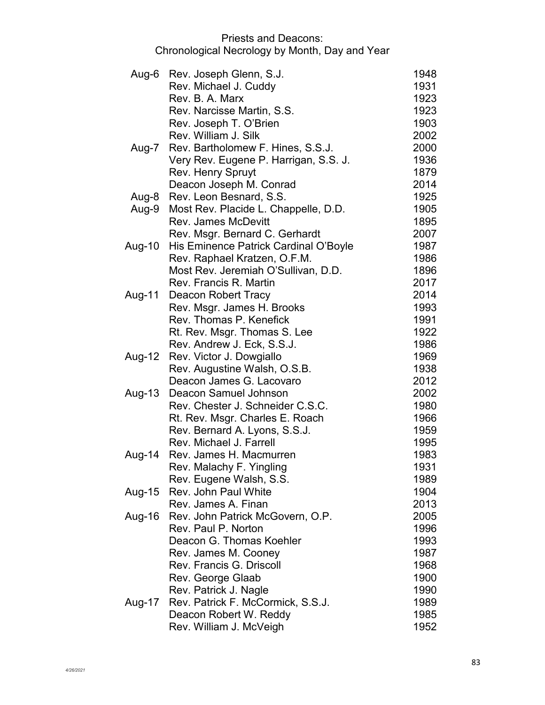|        | Aug-6 Rev. Joseph Glenn, S.J.           | 1948 |
|--------|-----------------------------------------|------|
|        | Rev. Michael J. Cuddy                   | 1931 |
|        | Rev. B. A. Marx                         | 1923 |
|        | Rev. Narcisse Martin, S.S.              | 1923 |
|        | Rev. Joseph T. O'Brien                  | 1903 |
|        | Rev. William J. Silk                    | 2002 |
|        | Aug-7 Rev. Bartholomew F. Hines, S.S.J. | 2000 |
|        | Very Rev. Eugene P. Harrigan, S.S. J.   | 1936 |
|        | Rev. Henry Spruyt                       | 1879 |
|        | Deacon Joseph M. Conrad                 | 2014 |
| Aug-8  | Rev. Leon Besnard, S.S.                 | 1925 |
| Aug-9  | Most Rev. Placide L. Chappelle, D.D.    | 1905 |
|        | <b>Rev. James McDevitt</b>              | 1895 |
|        | Rev. Msgr. Bernard C. Gerhardt          | 2007 |
| Aug-10 | His Eminence Patrick Cardinal O'Boyle   | 1987 |
|        | Rev. Raphael Kratzen, O.F.M.            | 1986 |
|        | Most Rev. Jeremiah O'Sullivan, D.D.     | 1896 |
|        | Rev. Francis R. Martin                  | 2017 |
| Aug-11 | Deacon Robert Tracy                     | 2014 |
|        | Rev. Msgr. James H. Brooks              | 1993 |
|        | Rev. Thomas P. Kenefick                 | 1991 |
|        | Rt. Rev. Msgr. Thomas S. Lee            | 1922 |
|        | Rev. Andrew J. Eck, S.S.J.              | 1986 |
| Aug-12 | Rev. Victor J. Dowgiallo                | 1969 |
|        | Rev. Augustine Walsh, O.S.B.            | 1938 |
|        | Deacon James G. Lacovaro                | 2012 |
| Aug-13 | Deacon Samuel Johnson                   | 2002 |
|        | Rev. Chester J. Schneider C.S.C.        | 1980 |
|        | Rt. Rev. Msgr. Charles E. Roach         | 1966 |
|        | Rev. Bernard A. Lyons, S.S.J.           | 1959 |
|        | Rev. Michael J. Farrell                 | 1995 |
| Aug-14 | Rev. James H. Macmurren                 | 1983 |
|        | Rev. Malachy F. Yingling                | 1931 |
|        | Rev. Eugene Walsh, S.S.                 | 1989 |
| Aug-15 | Rev. John Paul White                    | 1904 |
|        | Rev. James A. Finan                     | 2013 |
| Aug-16 | Rev. John Patrick McGovern, O.P.        | 2005 |
|        | Rev. Paul P. Norton                     | 1996 |
|        | Deacon G. Thomas Koehler                | 1993 |
|        | Rev. James M. Cooney                    | 1987 |
|        | Rev. Francis G. Driscoll                | 1968 |
|        | Rev. George Glaab                       | 1900 |
|        | Rev. Patrick J. Nagle                   | 1990 |
| Aug-17 | Rev. Patrick F. McCormick, S.S.J.       | 1989 |
|        | Deacon Robert W. Reddy                  | 1985 |
|        | Rev. William J. McVeigh                 | 1952 |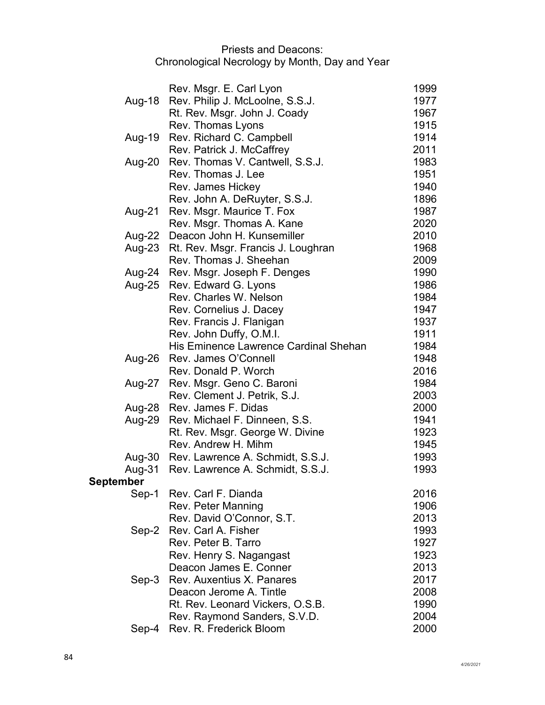|                  | Rev. Msgr. E. Carl Lyon                   | 1999         |
|------------------|-------------------------------------------|--------------|
| Aug-18           | Rev. Philip J. McLoolne, S.S.J.           | 1977         |
|                  | Rt. Rev. Msgr. John J. Coady              | 1967         |
|                  | Rev. Thomas Lyons                         | 1915         |
| Aug-19           | Rev. Richard C. Campbell                  | 1914         |
|                  | Rev. Patrick J. McCaffrey                 | 2011         |
| Aug-20           | Rev. Thomas V. Cantwell, S.S.J.           | 1983         |
|                  | Rev. Thomas J. Lee                        | 1951         |
|                  | Rev. James Hickey                         | 1940         |
|                  | Rev. John A. DeRuyter, S.S.J.             | 1896         |
| Aug-21           | Rev. Msgr. Maurice T. Fox                 | 1987         |
|                  | Rev. Msgr. Thomas A. Kane                 | 2020         |
|                  | Aug-22 Deacon John H. Kunsemiller         | 2010         |
|                  | Aug-23 Rt. Rev. Msgr. Francis J. Loughran | 1968         |
|                  | Rev. Thomas J. Sheehan                    | 2009         |
|                  | Aug-24 Rev. Msgr. Joseph F. Denges        | 1990         |
|                  | Aug-25 Rev. Edward G. Lyons               | 1986         |
|                  | Rev. Charles W. Nelson                    | 1984         |
|                  | Rev. Cornelius J. Dacey                   | 1947         |
|                  | Rev. Francis J. Flanigan                  | 1937         |
|                  | Rev. John Duffy, O.M.I.                   | 1911         |
|                  | His Eminence Lawrence Cardinal Shehan     | 1984         |
|                  | Aug-26 Rev. James O'Connell               | 1948         |
|                  | Rev. Donald P. Worch                      | 2016         |
|                  | Aug-27 Rev. Msgr. Geno C. Baroni          | 1984         |
|                  | Rev. Clement J. Petrik, S.J.              | 2003         |
|                  | Aug-28 Rev. James F. Didas                | 2000         |
| Aug-29           | Rev. Michael F. Dinneen, S.S.             | 1941         |
|                  | Rt. Rev. Msgr. George W. Divine           | 1923         |
|                  | Rev. Andrew H. Mihm                       | 1945         |
|                  | Aug-30 Rev. Lawrence A. Schmidt, S.S.J.   | 1993         |
|                  | Aug-31 Rev. Lawrence A. Schmidt, S.S.J.   | 1993         |
| <b>September</b> |                                           |              |
|                  | Sep-1 Rev. Carl F. Dianda                 | 2016         |
|                  | Rev. Peter Manning                        | 1906         |
|                  | Rev. David O'Connor, S.T.                 | 2013         |
| Sep-2            | Rev. Carl A. Fisher                       | 1993         |
|                  | Rev. Peter B. Tarro                       | 1927         |
|                  | Rev. Henry S. Nagangast                   | 1923         |
|                  | Deacon James E. Conner                    | 2013         |
| $Sep-3$          | <b>Rev. Auxentius X. Panares</b>          | 2017         |
|                  | Deacon Jerome A. Tintle                   | 2008         |
|                  | Rt. Rev. Leonard Vickers, O.S.B.          | 1990<br>2004 |
|                  | Rev. Raymond Sanders, S.V.D.              |              |
| Sep-4            | Rev. R. Frederick Bloom                   | 2000         |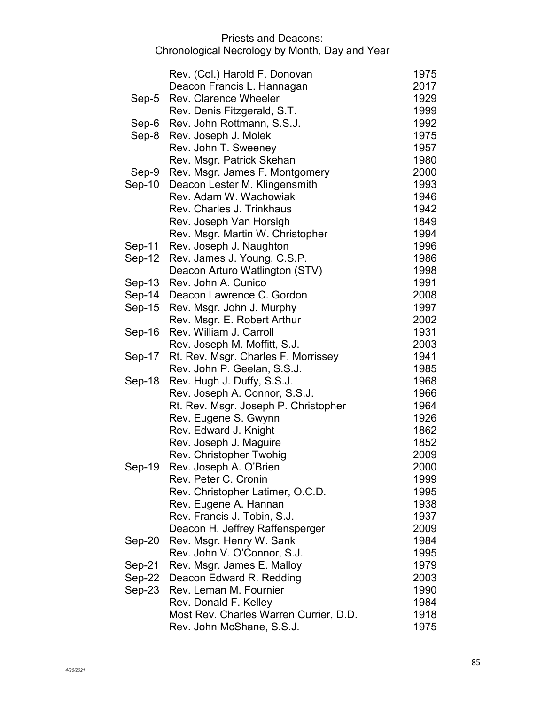|          | Rev. (Col.) Harold F. Donovan          | 1975 |
|----------|----------------------------------------|------|
|          | Deacon Francis L. Hannagan             | 2017 |
| Sep-5    | <b>Rev. Clarence Wheeler</b>           | 1929 |
|          | Rev. Denis Fitzgerald, S.T.            | 1999 |
| Sep-6    | Rev. John Rottmann, S.S.J.             | 1992 |
| Sep-8    | Rev. Joseph J. Molek                   | 1975 |
|          | Rev. John T. Sweeney                   | 1957 |
|          | Rev. Msgr. Patrick Skehan              | 1980 |
| Sep-9    | Rev. Msgr. James F. Montgomery         | 2000 |
| $Sep-10$ | Deacon Lester M. Klingensmith          | 1993 |
|          | Rev. Adam W. Wachowiak                 | 1946 |
|          | Rev. Charles J. Trinkhaus              | 1942 |
|          | Rev. Joseph Van Horsigh                | 1849 |
|          | Rev. Msgr. Martin W. Christopher       | 1994 |
| Sep-11   | Rev. Joseph J. Naughton                | 1996 |
| $Sep-12$ | Rev. James J. Young, C.S.P.            | 1986 |
|          | Deacon Arturo Watlington (STV)         | 1998 |
| $Sep-13$ | Rev. John A. Cunico                    | 1991 |
| Sep-14   | Deacon Lawrence C. Gordon              | 2008 |
| Sep-15   | Rev. Msgr. John J. Murphy              | 1997 |
|          | Rev. Msgr. E. Robert Arthur            | 2002 |
| Sep-16   | Rev. William J. Carroll                | 1931 |
|          | Rev. Joseph M. Moffitt, S.J.           | 2003 |
| Sep-17   | Rt. Rev. Msgr. Charles F. Morrissey    | 1941 |
|          | Rev. John P. Geelan, S.S.J.            | 1985 |
| Sep-18   | Rev. Hugh J. Duffy, S.S.J.             | 1968 |
|          | Rev. Joseph A. Connor, S.S.J.          | 1966 |
|          | Rt. Rev. Msgr. Joseph P. Christopher   | 1964 |
|          | Rev. Eugene S. Gwynn                   | 1926 |
|          | Rev. Edward J. Knight                  | 1862 |
|          | Rev. Joseph J. Maguire                 | 1852 |
|          | Rev. Christopher Twohig                | 2009 |
| Sep-19   | Rev. Joseph A. O'Brien                 | 2000 |
|          | Rev. Peter C. Cronin                   | 1999 |
|          | Rev. Christopher Latimer, O.C.D.       | 1995 |
|          | Rev. Eugene A. Hannan                  | 1938 |
|          | Rev. Francis J. Tobin, S.J.            | 1937 |
|          | Deacon H. Jeffrey Raffensperger        | 2009 |
| Sep-20   | Rev. Msgr. Henry W. Sank               | 1984 |
|          | Rev. John V. O'Connor, S.J.            | 1995 |
| Sep-21   | Rev. Msgr. James E. Malloy             | 1979 |
| Sep-22   | Deacon Edward R. Redding               | 2003 |
| $Sep-23$ | Rev. Leman M. Fournier                 | 1990 |
|          | Rev. Donald F. Kelley                  | 1984 |
|          | Most Rev. Charles Warren Currier, D.D. | 1918 |
|          | Rev. John McShane, S.S.J.              | 1975 |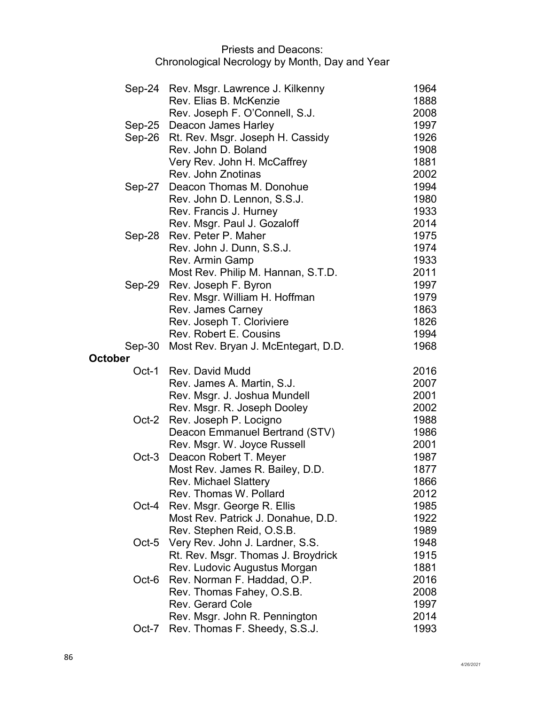|                | Sep-24 Rev. Msgr. Lawrence J. Kilkenny<br>Rev. Elias B. McKenzie | 1964<br>1888 |
|----------------|------------------------------------------------------------------|--------------|
|                | Rev. Joseph F. O'Connell, S.J.                                   | 2008         |
|                | Sep-25 Deacon James Harley                                       | 1997         |
|                | Sep-26 Rt. Rev. Msgr. Joseph H. Cassidy                          | 1926         |
|                | Rev. John D. Boland                                              | 1908         |
|                | Very Rev. John H. McCaffrey                                      | 1881         |
|                | Rev. John Znotinas                                               | 2002         |
|                | Sep-27 Deacon Thomas M. Donohue                                  | 1994         |
|                | Rev. John D. Lennon, S.S.J.                                      | 1980         |
|                | Rev. Francis J. Hurney                                           | 1933         |
|                | Rev. Msgr. Paul J. Gozaloff                                      | 2014         |
| Sep-28         | Rev. Peter P. Maher                                              | 1975         |
|                | Rev. John J. Dunn, S.S.J.                                        | 1974         |
|                | Rev. Armin Gamp                                                  | 1933         |
|                | Most Rev. Philip M. Hannan, S.T.D.                               | 2011         |
| Sep-29         | Rev. Joseph F. Byron                                             | 1997         |
|                | Rev. Msgr. William H. Hoffman                                    | 1979         |
|                | Rev. James Carney                                                | 1863         |
|                | Rev. Joseph T. Cloriviere                                        | 1826         |
|                | <b>Rev. Robert E. Cousins</b>                                    | 1994         |
| $Sep-30$       | Most Rev. Bryan J. McEntegart, D.D.                              | 1968         |
| <b>October</b> |                                                                  |              |
|                |                                                                  |              |
|                | Oct-1 Rev. David Mudd                                            | 2016         |
|                | Rev. James A. Martin, S.J.                                       | 2007         |
|                | Rev. Msgr. J. Joshua Mundell                                     | 2001         |
|                | Rev. Msgr. R. Joseph Dooley                                      | 2002         |
| Oct-2          | Rev. Joseph P. Locigno                                           | 1988         |
|                | Deacon Emmanuel Bertrand (STV)                                   | 1986         |
|                | Rev. Msgr. W. Joyce Russell                                      | 2001         |
| $Oct-3$        | Deacon Robert T. Meyer                                           | 1987         |
|                | Most Rev. James R. Bailey, D.D.                                  | 1877         |
|                | <b>Rev. Michael Slattery</b>                                     | 1866         |
|                | Rev. Thomas W. Pollard                                           | 2012         |
| Oct-4          | Rev. Msgr. George R. Ellis                                       | 1985         |
|                | Most Rev. Patrick J. Donahue, D.D.                               | 1922         |
|                | Rev. Stephen Reid, O.S.B.                                        | 1989         |
| $Oct-5$        | Very Rev. John J. Lardner, S.S.                                  | 1948         |
|                | Rt. Rev. Msgr. Thomas J. Broydrick                               | 1915         |
| Oct-6          | Rev. Ludovic Augustus Morgan                                     | 1881         |
|                | Rev. Norman F. Haddad, O.P.                                      | 2016<br>2008 |
|                | Rev. Thomas Fahey, O.S.B.<br><b>Rev. Gerard Cole</b>             | 1997         |
|                | Rev. Msgr. John R. Pennington                                    | 2014         |
| Oct-7          | Rev. Thomas F. Sheedy, S.S.J.                                    | 1993         |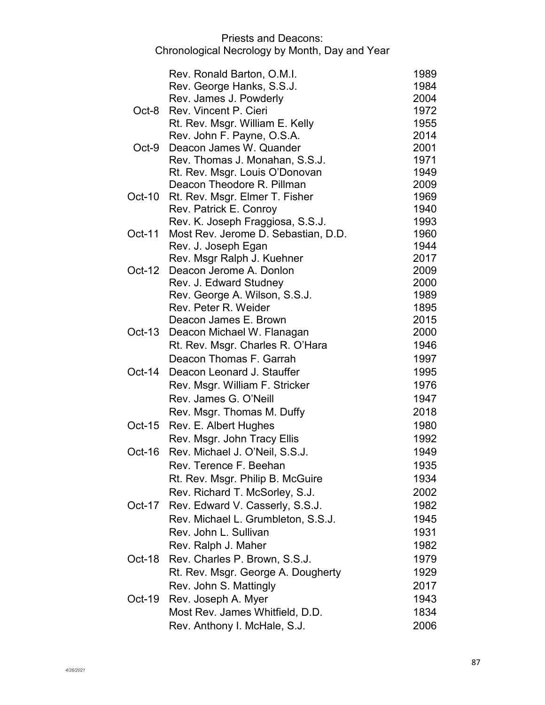|          | Rev. Ronald Barton, O.M.I.                                 | 1989         |
|----------|------------------------------------------------------------|--------------|
|          | Rev. George Hanks, S.S.J.                                  | 1984         |
|          | Rev. James J. Powderly                                     | 2004         |
| Oct-8    | Rev. Vincent P. Cieri                                      | 1972         |
|          | Rt. Rev. Msgr. William E. Kelly                            | 1955         |
|          | Rev. John F. Payne, O.S.A.                                 | 2014         |
| $Oct-9$  | Deacon James W. Quander                                    | 2001         |
|          | Rev. Thomas J. Monahan, S.S.J.                             | 1971         |
|          | Rt. Rev. Msgr. Louis O'Donovan                             | 1949         |
|          | Deacon Theodore R. Pillman                                 | 2009         |
| $Oct-10$ | Rt. Rev. Msgr. Elmer T. Fisher                             | 1969         |
|          | Rev. Patrick E. Conroy                                     | 1940         |
|          | Rev. K. Joseph Fraggiosa, S.S.J.                           | 1993         |
| Oct-11   | Most Rev. Jerome D. Sebastian, D.D.<br>Rev. J. Joseph Egan | 1960<br>1944 |
|          | Rev. Msgr Ralph J. Kuehner                                 | 2017         |
| $Oct-12$ | Deacon Jerome A. Donlon                                    | 2009         |
|          | Rev. J. Edward Studney                                     | 2000         |
|          | Rev. George A. Wilson, S.S.J.                              | 1989         |
|          | Rev. Peter R. Weider                                       | 1895         |
|          | Deacon James E. Brown                                      | 2015         |
| $Oct-13$ | Deacon Michael W. Flanagan                                 | 2000         |
|          | Rt. Rev. Msgr. Charles R. O'Hara                           | 1946         |
|          | Deacon Thomas F. Garrah                                    | 1997         |
| $Oct-14$ | Deacon Leonard J. Stauffer                                 | 1995         |
|          | Rev. Msgr. William F. Stricker                             | 1976         |
|          | Rev. James G. O'Neill                                      | 1947         |
|          | Rev. Msgr. Thomas M. Duffy                                 | 2018         |
| $Oct-15$ | Rev. E. Albert Hughes                                      | 1980         |
|          | Rev. Msgr. John Tracy Ellis                                | 1992         |
| Oct-16   | Rev. Michael J. O'Neil, S.S.J.                             | 1949         |
|          | Rev. Terence F. Beehan                                     | 1935         |
|          | Rt. Rev. Msgr. Philip B. McGuire                           | 1934         |
|          | Rev. Richard T. McSorley, S.J.                             | 2002         |
| Oct-17   | Rev. Edward V. Casserly, S.S.J.                            | 1982         |
|          | Rev. Michael L. Grumbleton, S.S.J.                         | 1945         |
|          | Rev. John L. Sullivan                                      | 1931         |
|          | Rev. Ralph J. Maher                                        | 1982         |
| Oct-18   | Rev. Charles P. Brown, S.S.J.                              | 1979         |
|          | Rt. Rev. Msgr. George A. Dougherty                         | 1929         |
|          | Rev. John S. Mattingly                                     | 2017         |
| $Oct-19$ | Rev. Joseph A. Myer                                        | 1943         |
|          | Most Rev. James Whitfield, D.D.                            | 1834         |
|          | Rev. Anthony I. McHale, S.J.                               | 2006         |
|          |                                                            |              |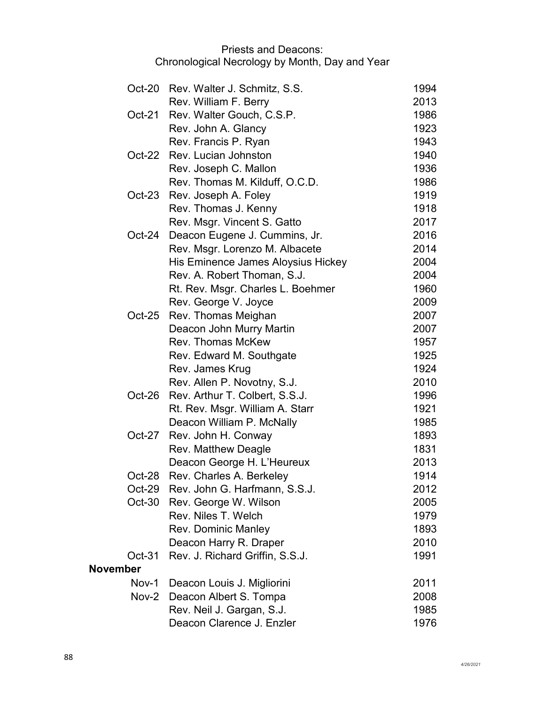|                 | Oct-20 Rev. Walter J. Schmitz, S.S.  | 1994 |
|-----------------|--------------------------------------|------|
|                 | Rev. William F. Berry                | 2013 |
|                 | Oct-21 Rev. Walter Gouch, C.S.P.     | 1986 |
|                 | Rev. John A. Glancy                  | 1923 |
|                 | Rev. Francis P. Ryan                 | 1943 |
| $Oct-22$        | Rev. Lucian Johnston                 | 1940 |
|                 | Rev. Joseph C. Mallon                | 1936 |
|                 | Rev. Thomas M. Kilduff, O.C.D.       | 1986 |
| $Oct-23$        | Rev. Joseph A. Foley                 | 1919 |
|                 | Rev. Thomas J. Kenny                 | 1918 |
|                 | Rev. Msgr. Vincent S. Gatto          | 2017 |
| $Oct-24$        | Deacon Eugene J. Cummins, Jr.        | 2016 |
|                 | Rev. Msgr. Lorenzo M. Albacete       | 2014 |
|                 | His Eminence James Aloysius Hickey   | 2004 |
|                 | Rev. A. Robert Thoman, S.J.          | 2004 |
|                 | Rt. Rev. Msgr. Charles L. Boehmer    | 1960 |
|                 | Rev. George V. Joyce                 | 2009 |
|                 | Oct-25 Rev. Thomas Meighan           | 2007 |
|                 | Deacon John Murry Martin             | 2007 |
|                 | <b>Rev. Thomas McKew</b>             | 1957 |
|                 | Rev. Edward M. Southgate             | 1925 |
|                 | Rev. James Krug                      | 1924 |
|                 | Rev. Allen P. Novotny, S.J.          | 2010 |
| Oct-26          | Rev. Arthur T. Colbert, S.S.J.       | 1996 |
|                 | Rt. Rev. Msgr. William A. Starr      | 1921 |
|                 | Deacon William P. McNally            | 1985 |
| Oct-27          | Rev. John H. Conway                  | 1893 |
|                 | <b>Rev. Matthew Deagle</b>           | 1831 |
|                 | Deacon George H. L'Heureux           | 2013 |
| Oct-28          | Rev. Charles A. Berkeley             | 1914 |
|                 | Oct-29 Rev. John G. Harfmann, S.S.J. | 2012 |
| $Oct-30$        | Rev. George W. Wilson                | 2005 |
|                 | Rev. Niles T. Welch                  | 1979 |
|                 | <b>Rev. Dominic Manley</b>           | 1893 |
|                 | Deacon Harry R. Draper               | 2010 |
| $Oct-31$        | Rev. J. Richard Griffin, S.S.J.      | 1991 |
| <b>November</b> |                                      |      |
| Nov-1           | Deacon Louis J. Migliorini           | 2011 |
|                 | Nov-2 Deacon Albert S. Tompa         | 2008 |
|                 | Rev. Neil J. Gargan, S.J.            | 1985 |
|                 | Deacon Clarence J. Enzler            | 1976 |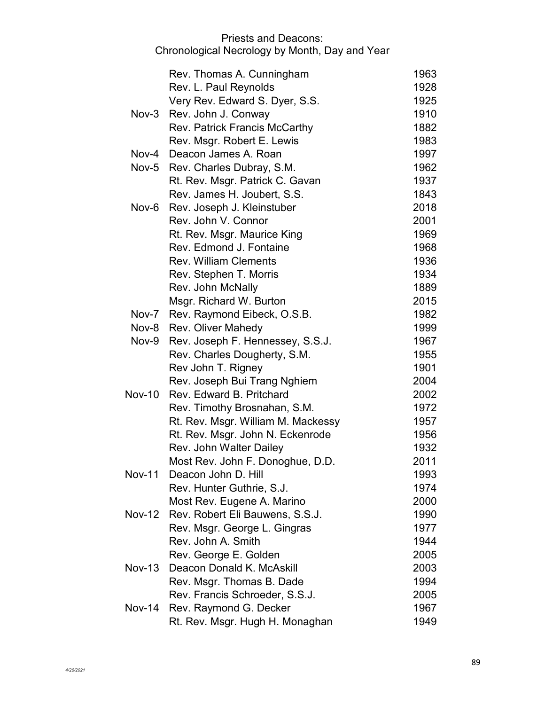|               | Rev. Thomas A. Cunningham            | 1963 |
|---------------|--------------------------------------|------|
|               | Rev. L. Paul Reynolds                | 1928 |
|               | Very Rev. Edward S. Dyer, S.S.       | 1925 |
| Nov-3         | Rev. John J. Conway                  | 1910 |
|               | <b>Rev. Patrick Francis McCarthy</b> | 1882 |
|               | Rev. Msgr. Robert E. Lewis           | 1983 |
|               | Nov-4 Deacon James A. Roan           | 1997 |
|               | Nov-5 Rev. Charles Dubray, S.M.      | 1962 |
|               | Rt. Rev. Msgr. Patrick C. Gavan      | 1937 |
|               | Rev. James H. Joubert, S.S.          | 1843 |
| Nov-6         | Rev. Joseph J. Kleinstuber           | 2018 |
|               | Rev. John V. Connor                  | 2001 |
|               | Rt. Rev. Msgr. Maurice King          | 1969 |
|               | Rev. Edmond J. Fontaine              | 1968 |
|               | <b>Rev. William Clements</b>         | 1936 |
|               | Rev. Stephen T. Morris               | 1934 |
|               | Rev. John McNally                    | 1889 |
|               | Msgr. Richard W. Burton              | 2015 |
|               | Nov-7 Rev. Raymond Eibeck, O.S.B.    | 1982 |
|               | Nov-8 Rev. Oliver Mahedy             | 1999 |
| Nov-9         | Rev. Joseph F. Hennessey, S.S.J.     | 1967 |
|               | Rev. Charles Dougherty, S.M.         | 1955 |
|               | Rev John T. Rigney                   | 1901 |
|               | Rev. Joseph Bui Trang Nghiem         | 2004 |
| <b>Nov-10</b> | Rev. Edward B. Pritchard             | 2002 |
|               | Rev. Timothy Brosnahan, S.M.         | 1972 |
|               | Rt. Rev. Msgr. William M. Mackessy   | 1957 |
|               | Rt. Rev. Msgr. John N. Eckenrode     | 1956 |
|               | Rev. John Walter Dailey              | 1932 |
|               | Most Rev. John F. Donoghue, D.D      | 2011 |
|               | Nov-11 Deacon John D. Hill           | 1993 |
|               | Rev. Hunter Guthrie, S.J.            | 1974 |
|               | Most Rev. Eugene A. Marino           | 2000 |
| <b>Nov-12</b> | Rev. Robert Eli Bauwens, S.S.J.      | 1990 |
|               | Rev. Msgr. George L. Gingras         | 1977 |
|               | Rev. John A. Smith                   | 1944 |
|               | Rev. George E. Golden                | 2005 |
| $Nov-13$      | Deacon Donald K. McAskill            | 2003 |
|               | Rev. Msgr. Thomas B. Dade            | 1994 |
|               | Rev. Francis Schroeder, S.S.J.       | 2005 |
| Nov-14        | Rev. Raymond G. Decker               | 1967 |
|               | Rt. Rev. Msgr. Hugh H. Monaghan      | 1949 |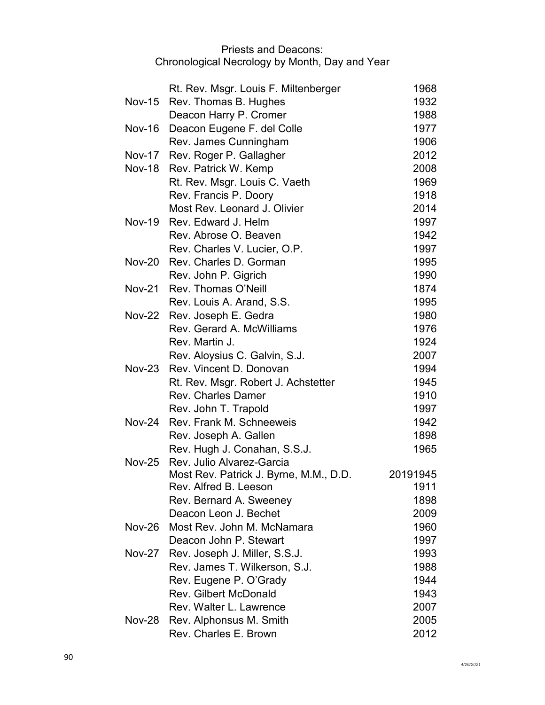|               | Rt. Rev. Msgr. Louis F. Miltenberger   | 1968     |
|---------------|----------------------------------------|----------|
| $Nov-15$      | Rev. Thomas B. Hughes                  | 1932     |
|               | Deacon Harry P. Cromer                 | 1988     |
| <b>Nov-16</b> | Deacon Eugene F. del Colle             | 1977     |
|               | Rev. James Cunningham                  | 1906     |
|               | Nov-17 Rev. Roger P. Gallagher         | 2012     |
|               | Nov-18 Rev. Patrick W. Kemp            | 2008     |
|               | Rt. Rev. Msgr. Louis C. Vaeth          | 1969     |
|               | Rev. Francis P. Doory                  | 1918     |
|               | Most Rev. Leonard J. Olivier           | 2014     |
| <b>Nov-19</b> | Rev. Edward J. Helm                    | 1997     |
|               | Rev. Abrose O. Beaven                  | 1942     |
|               | Rev. Charles V. Lucier, O.P.           | 1997     |
|               | Nov-20 Rev. Charles D. Gorman          | 1995     |
|               | Rev. John P. Gigrich                   | 1990     |
| <b>Nov-21</b> | Rev. Thomas O'Neill                    | 1874     |
|               | Rev. Louis A. Arand, S.S.              | 1995     |
|               | Nov-22 Rev. Joseph E. Gedra            | 1980     |
|               | Rev. Gerard A. McWilliams              | 1976     |
|               | Rev. Martin J.                         | 1924     |
|               | Rev. Aloysius C. Galvin, S.J.          | 2007     |
| $Nov-23$      | Rev. Vincent D. Donovan                | 1994     |
|               | Rt. Rev. Msgr. Robert J. Achstetter    | 1945     |
|               | <b>Rev. Charles Damer</b>              | 1910     |
|               | Rev. John T. Trapold                   | 1997     |
| <b>Nov-24</b> | Rev. Frank M. Schneeweis               | 1942     |
|               | Rev. Joseph A. Gallen                  | 1898     |
|               | Rev. Hugh J. Conahan, S.S.J.           | 1965     |
| <b>Nov-25</b> | Rev. Julio Alvarez-Garcia              |          |
|               | Most Rev. Patrick J. Byrne, M.M., D.D. | 20191945 |
|               | Rev. Alfred B. Leeson                  | 1911     |
|               | Rev. Bernard A. Sweeney                | 1898     |
|               | Deacon Leon J. Bechet                  | 2009     |
| <b>Nov-26</b> | Most Rev. John M. McNamara             | 1960     |
|               | Deacon John P. Stewart                 | 1997     |
| <b>Nov-27</b> | Rev. Joseph J. Miller, S.S.J.          | 1993     |
|               | Rev. James T. Wilkerson, S.J.          | 1988     |
|               | Rev. Eugene P. O'Grady                 | 1944     |
|               | <b>Rev. Gilbert McDonald</b>           | 1943     |
|               | Rev. Walter L. Lawrence                | 2007     |
| <b>Nov-28</b> | Rev. Alphonsus M. Smith                | 2005     |
|               | Rev. Charles E. Brown                  | 2012     |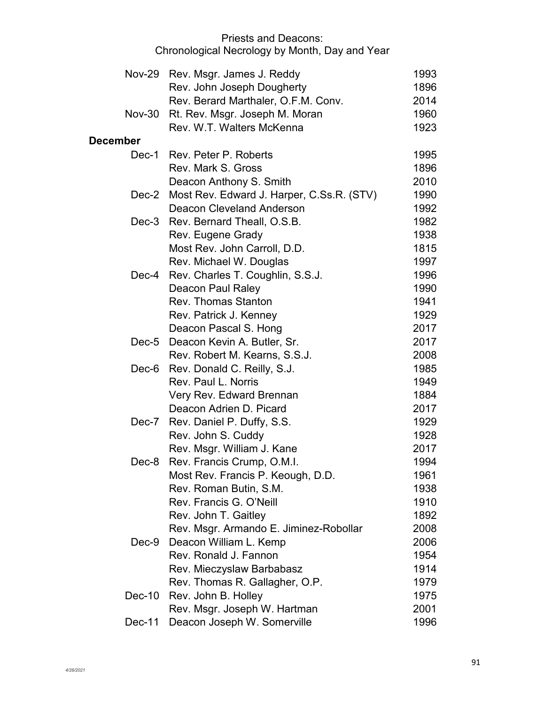|                 | Nov-29 Rev. Msgr. James J. Reddy                | 1993 |
|-----------------|-------------------------------------------------|------|
|                 | Rev. John Joseph Dougherty                      | 1896 |
|                 | Rev. Berard Marthaler, O.F.M. Conv.             | 2014 |
| Nov-30          | Rt. Rev. Msgr. Joseph M. Moran                  | 1960 |
|                 | Rev. W.T. Walters McKenna                       | 1923 |
| <b>December</b> |                                                 |      |
|                 | Dec-1 Rev. Peter P. Roberts                     | 1995 |
|                 | Rev. Mark S. Gross                              | 1896 |
|                 | Deacon Anthony S. Smith                         | 2010 |
|                 | Dec-2 Most Rev. Edward J. Harper, C.Ss.R. (STV) | 1990 |
|                 | Deacon Cleveland Anderson                       | 1992 |
|                 | Dec-3 Rev. Bernard Theall, O.S.B.               | 1982 |
|                 | Rev. Eugene Grady                               | 1938 |
|                 | Most Rev. John Carroll, D.D.                    | 1815 |
|                 | Rev. Michael W. Douglas                         | 1997 |
| Dec-4           | Rev. Charles T. Coughlin, S.S.J.                | 1996 |
|                 | Deacon Paul Raley                               | 1990 |
|                 | <b>Rev. Thomas Stanton</b>                      | 1941 |
|                 | Rev. Patrick J. Kenney                          | 1929 |
|                 | Deacon Pascal S. Hong                           | 2017 |
|                 | Dec-5 Deacon Kevin A. Butler, Sr.               | 2017 |
|                 | Rev. Robert M. Kearns, S.S.J.                   | 2008 |
| Dec-6           | Rev. Donald C. Reilly, S.J.                     | 1985 |
|                 | Rev. Paul L. Norris                             | 1949 |
|                 | Very Rev. Edward Brennan                        | 1884 |
|                 | Deacon Adrien D. Picard                         | 2017 |
|                 | Dec-7 Rev. Daniel P. Duffy, S.S.                | 1929 |
|                 | Rev. John S. Cuddy                              | 1928 |
|                 | Rev. Msgr. William J. Kane                      | 2017 |
| Dec-8           | Rev. Francis Crump, O.M.I.                      | 1994 |
|                 | Most Rev. Francis P. Keough, D.D.               | 1961 |
|                 | Rev. Roman Butin, S.M.                          | 1938 |
|                 | Rev. Francis G. O'Neill                         | 1910 |
|                 | Rev. John T. Gaitley                            | 1892 |
|                 | Rev. Msgr. Armando E. Jiminez-Robollar          | 2008 |
| $Dec-9$         | Deacon William L. Kemp                          | 2006 |
|                 | Rev. Ronald J. Fannon                           | 1954 |
|                 | Rev. Mieczyslaw Barbabasz                       | 1914 |
|                 | Rev. Thomas R. Gallagher, O.P.                  | 1979 |
| Dec-10          | Rev. John B. Holley                             | 1975 |
|                 | Rev. Msgr. Joseph W. Hartman                    | 2001 |
| Dec-11          | Deacon Joseph W. Somerville                     | 1996 |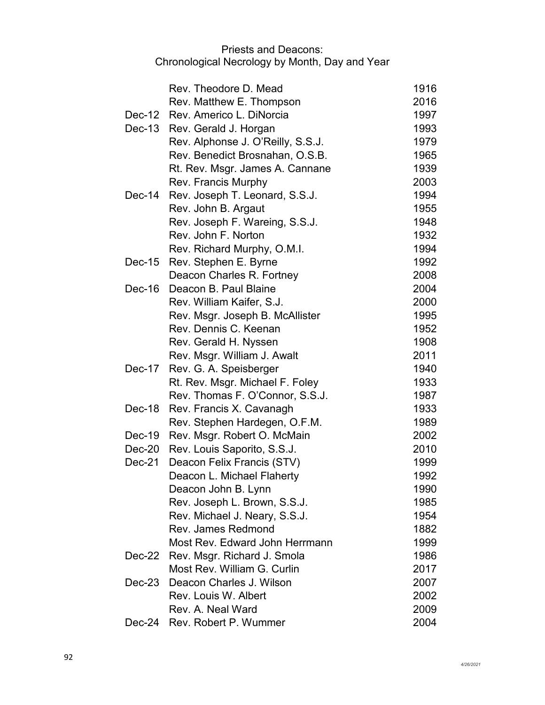|          | Rev. Theodore D. Mead             | 1916 |
|----------|-----------------------------------|------|
|          | Rev. Matthew E. Thompson          | 2016 |
|          | Dec-12 Rev. Americo L. DiNorcia   | 1997 |
|          | Dec-13 Rev. Gerald J. Horgan      | 1993 |
|          | Rev. Alphonse J. O'Reilly, S.S.J. | 1979 |
|          | Rev. Benedict Brosnahan, O.S.B.   | 1965 |
|          | Rt. Rev. Msgr. James A. Cannane   | 1939 |
|          | Rev. Francis Murphy               | 2003 |
| $Dec-14$ | Rev. Joseph T. Leonard, S.S.J.    | 1994 |
|          | Rev. John B. Argaut               | 1955 |
|          | Rev. Joseph F. Wareing, S.S.J.    | 1948 |
|          | Rev. John F. Norton               | 1932 |
|          | Rev. Richard Murphy, O.M.I.       | 1994 |
| $Dec-15$ | Rev. Stephen E. Byrne             | 1992 |
|          | Deacon Charles R. Fortney         | 2008 |
| $Dec-16$ | Deacon B. Paul Blaine             | 2004 |
|          | Rev. William Kaifer, S.J.         | 2000 |
|          | Rev. Msgr. Joseph B. McAllister   | 1995 |
|          | Rev. Dennis C. Keenan             | 1952 |
|          | Rev. Gerald H. Nyssen             | 1908 |
|          | Rev. Msgr. William J. Awalt       | 2011 |
| Dec-17   | Rev. G. A. Speisberger            | 1940 |
|          | Rt. Rev. Msgr. Michael F. Foley   | 1933 |
|          | Rev. Thomas F. O'Connor, S.S.J.   | 1987 |
| Dec-18   | Rev. Francis X. Cavanagh          | 1933 |
|          | Rev. Stephen Hardegen, O.F.M.     | 1989 |
| $Dec-19$ | Rev. Msgr. Robert O. McMain       | 2002 |
| $Dec-20$ | Rev. Louis Saporito, S.S.J.       | 2010 |
| Dec-21   | Deacon Felix Francis (STV)        | 1999 |
|          | Deacon L. Michael Flaherty        | 1992 |
|          | Deacon John B. Lynn               | 1990 |
|          | Rev. Joseph L. Brown, S.S.J.      | 1985 |
|          | Rev. Michael J. Neary, S.S.J.     | 1954 |
|          | Rev. James Redmond                | 1882 |
|          | Most Rev. Edward John Herrmann    | 1999 |
| Dec-22   | Rev. Msgr. Richard J. Smola       | 1986 |
|          | Most Rev. William G. Curlin       | 2017 |
| Dec-23   | Deacon Charles J. Wilson          | 2007 |
|          | Rev. Louis W. Albert              | 2002 |
|          | Rev. A. Neal Ward                 | 2009 |
|          | Dec-24 Rev. Robert P. Wummer      | 2004 |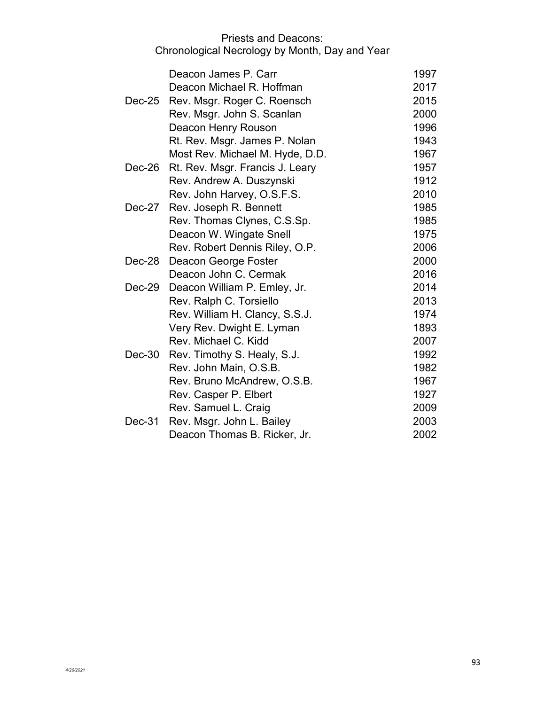|          | Deacon James P. Carr            | 1997 |
|----------|---------------------------------|------|
|          | Deacon Michael R. Hoffman       | 2017 |
| Dec-25   | Rev. Msgr. Roger C. Roensch     | 2015 |
|          | Rev. Msgr. John S. Scanlan      | 2000 |
|          | Deacon Henry Rouson             | 1996 |
|          | Rt. Rev. Msgr. James P. Nolan   | 1943 |
|          | Most Rev. Michael M. Hyde, D.D. | 1967 |
| $Dec-26$ | Rt. Rev. Msgr. Francis J. Leary | 1957 |
|          | Rev. Andrew A. Duszynski        | 1912 |
|          | Rev. John Harvey, O.S.F.S.      | 2010 |
| Dec-27   | Rev. Joseph R. Bennett          | 1985 |
|          | Rev. Thomas Clynes, C.S.Sp.     | 1985 |
|          | Deacon W. Wingate Snell         | 1975 |
|          | Rev. Robert Dennis Riley, O.P.  | 2006 |
| Dec-28   | Deacon George Foster            | 2000 |
|          | Deacon John C. Cermak           | 2016 |
| $Dec-29$ | Deacon William P. Emley, Jr.    | 2014 |
|          | Rev. Ralph C. Torsiello         | 2013 |
|          | Rev. William H. Clancy, S.S.J.  | 1974 |
|          | Very Rev. Dwight E. Lyman       | 1893 |
|          | Rev. Michael C. Kidd            | 2007 |
| Dec-30   | Rev. Timothy S. Healy, S.J.     | 1992 |
|          | Rev. John Main, O.S.B.          | 1982 |
|          | Rev. Bruno McAndrew, O.S.B.     | 1967 |
|          | Rev. Casper P. Elbert           | 1927 |
|          | Rev. Samuel L. Craig            | 2009 |
| Dec-31   | Rev. Msgr. John L. Bailey       | 2003 |
|          | Deacon Thomas B. Ricker, Jr.    | 2002 |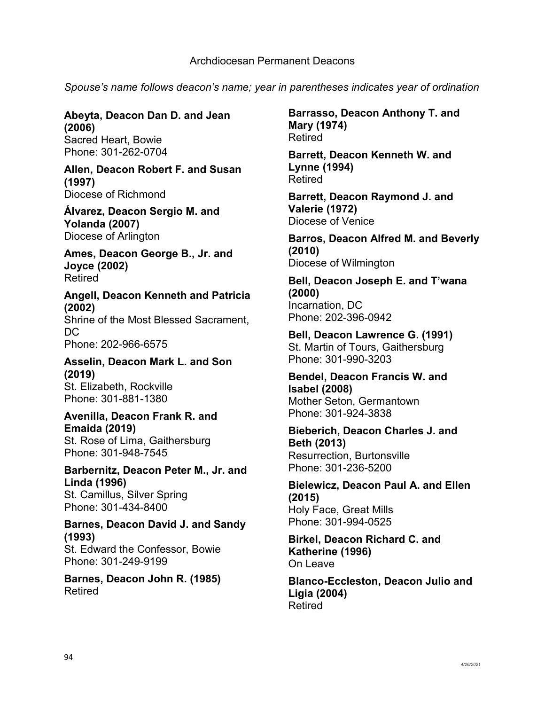*Spouse's name follows deacon's name; year in parentheses indicates year of ordination* 

#### **Abeyta, Deacon Dan D. and Jean (2006)** Sacred Heart, Bowie Phone: 301-262-0704

**Allen, Deacon Robert F. and Susan (1997)** Diocese of Richmond

**Álvarez, Deacon Sergio M. and Yolanda (2007)** Diocese of Arlington

**Ames, Deacon George B., Jr. and Joyce (2002)** Retired

**Angell, Deacon Kenneth and Patricia (2002)** Shrine of the Most Blessed Sacrament, DC. Phone: 202-966-6575

**Asselin, Deacon Mark L. and Son (2019)** St. Elizabeth, Rockville Phone: 301-881-1380

## **Avenilla, Deacon Frank R. and Emaida (2019)**

St. Rose of Lima, Gaithersburg Phone: 301-948-7545

#### **Barbernitz, Deacon Peter M., Jr. and Linda (1996)**

St. Camillus, Silver Spring Phone: 301-434-8400

# **Barnes, Deacon David J. and Sandy (1993)**

St. Edward the Confessor, Bowie Phone: 301-249-9199

**Barnes, Deacon John R. (1985)** Retired

**Barrasso, Deacon Anthony T. and Mary (1974)** Retired

**Barrett, Deacon Kenneth W. and Lynne (1994)** Retired

**Barrett, Deacon Raymond J. and Valerie (1972)** Diocese of Venice

**Barros, Deacon Alfred M. and Beverly (2010)** Diocese of Wilmington

**Bell, Deacon Joseph E. and T'wana (2000)** Incarnation, DC Phone: 202-396-0942

**Bell, Deacon Lawrence G. (1991)** St. Martin of Tours, Gaithersburg Phone: 301-990-3203

**Bendel, Deacon Francis W. and Isabel (2008)** Mother Seton, Germantown Phone: 301-924-3838

# **Bieberich, Deacon Charles J. and Beth (2013)** Resurrection, Burtonsville Phone: 301-236-5200

**Bielewicz, Deacon Paul A. and Ellen (2015)** Holy Face, Great Mills Phone: 301-994-0525

**Birkel, Deacon Richard C. and Katherine (1996)** On Leave

**Blanco-Eccleston, Deacon Julio and Ligia (2004)** Retired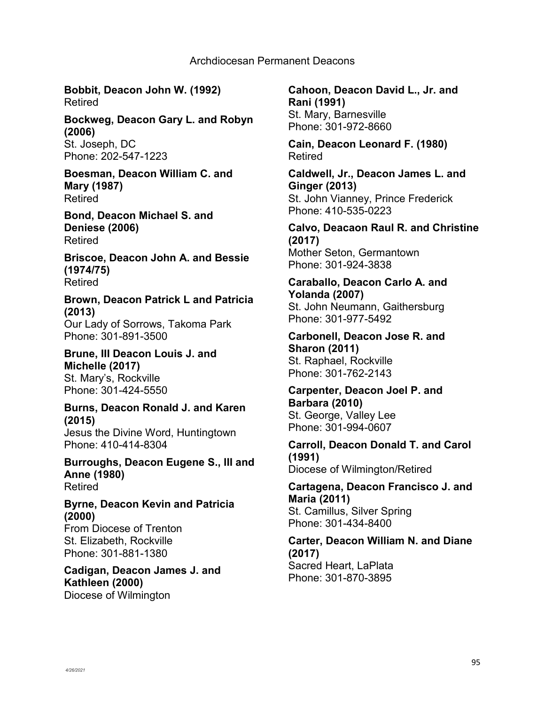**Bobbit, Deacon John W. (1992)** Retired

**Bockweg, Deacon Gary L. and Robyn (2006)** St. Joseph, DC Phone: 202-547-1223

**Boesman, Deacon William C. and Mary (1987)** Retired

**Bond, Deacon Michael S. and Deniese (2006)** Retired

**Briscoe, Deacon John A. and Bessie (1974/75)** Retired

**Brown, Deacon Patrick L and Patricia (2013)** Our Lady of Sorrows, Takoma Park Phone: 301-891-3500

**Brune, III Deacon Louis J. and Michelle (2017)** St. Mary's, Rockville

Phone: 301-424-5550

**Burns, Deacon Ronald J. and Karen (2015)** Jesus the Divine Word, Huntingtown Phone: 410-414-8304

**Burroughs, Deacon Eugene S., III and Anne (1980)** Retired

**Byrne, Deacon Kevin and Patricia (2000)** From Diocese of Trenton

St. Elizabeth, Rockville Phone: 301-881-1380

**Cadigan, Deacon James J. and Kathleen (2000)** Diocese of Wilmington

**Cahoon, Deacon David L., Jr. and Rani (1991)** St. Mary, Barnesville Phone: 301-972-8660

**Cain, Deacon Leonard F. (1980)** Retired

**Caldwell, Jr., Deacon James L. and Ginger (2013)** St. John Vianney, Prince Frederick Phone: 410-535-0223

**Calvo, Deacaon Raul R. and Christine (2017)** Mother Seton, Germantown Phone: 301-924-3838

**Caraballo, Deacon Carlo A. and Yolanda (2007)** St. John Neumann, Gaithersburg Phone: 301-977-5492

**Carbonell, Deacon Jose R. and Sharon (2011)** St. Raphael, Rockville Phone: 301-762-2143

**Carpenter, Deacon Joel P. and Barbara (2010)** St. George, Valley Lee Phone: 301-994-0607

**Carroll, Deacon Donald T. and Carol (1991)** Diocese of Wilmington/Retired

**Cartagena, Deacon Francisco J. and Maria (2011)** St. Camillus, Silver Spring Phone: 301-434-8400

**Carter, Deacon William N. and Diane (2017)** Sacred Heart, LaPlata Phone: 301-870-3895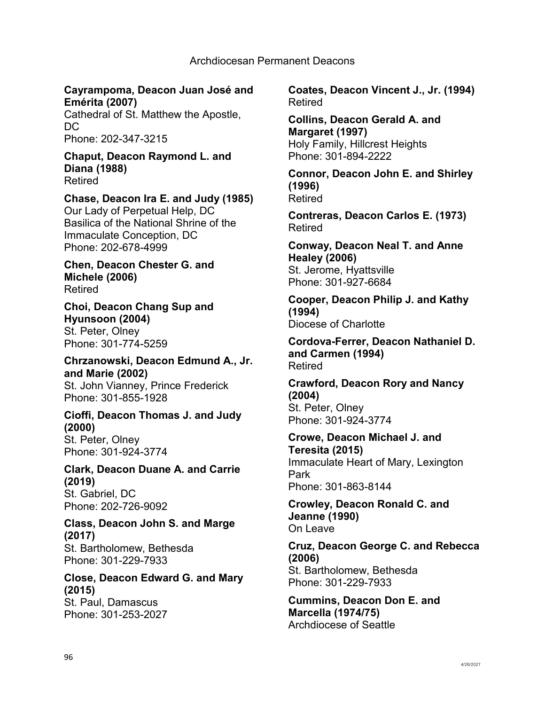## **Cayrampoma, Deacon Juan José and Emérita (2007)**

Cathedral of St. Matthew the Apostle, DC Phone: 202-347-3215

#### **Chaput, Deacon Raymond L. and Diana (1988)** Retired

## **Chase, Deacon Ira E. and Judy (1985)**

Our Lady of Perpetual Help, DC Basilica of the National Shrine of the Immaculate Conception, DC Phone: 202-678-4999

## **Chen, Deacon Chester G. and Michele (2006)** Retired

**Choi, Deacon Chang Sup and Hyunsoon (2004)** St. Peter, Olney Phone: 301-774-5259

**Chrzanowski, Deacon Edmund A., Jr. and Marie (2002)** St. John Vianney, Prince Frederick Phone: 301-855-1928

# **Cioffi, Deacon Thomas J. and Judy (2000)**

St. Peter, Olney Phone: 301-924-3774

# **Clark, Deacon Duane A. and Carrie (2019)**  St. Gabriel, DC

Phone: 202-726-9092

## **Class, Deacon John S. and Marge (2017)** St. Bartholomew, Bethesda

Phone: 301-229-7933

# **Close, Deacon Edward G. and Mary (2015)** St. Paul, Damascus

Phone: 301-253-2027

**Coates, Deacon Vincent J., Jr. (1994)** Retired

**Collins, Deacon Gerald A. and Margaret (1997)** Holy Family, Hillcrest Heights Phone: 301-894-2222

**Connor, Deacon John E. and Shirley (1996)** Retired

**Contreras, Deacon Carlos E. (1973)** Retired

**Conway, Deacon Neal T. and Anne Healey (2006)** St. Jerome, Hyattsville Phone: 301-927-6684

**Cooper, Deacon Philip J. and Kathy (1994)** Diocese of Charlotte

**Cordova-Ferrer, Deacon Nathaniel D. and Carmen (1994)** Retired

#### **Crawford, Deacon Rory and Nancy (2004)** St. Peter, Olney Phone: 301-924-3774

**Crowe, Deacon Michael J. and Teresita (2015)**

Immaculate Heart of Mary, Lexington Park Phone: 301-863-8144

**Crowley, Deacon Ronald C. and Jeanne (1990)** On Leave

**Cruz, Deacon George C. and Rebecca (2006)** St. Bartholomew, Bethesda Phone: 301-229-7933

**Cummins, Deacon Don E. and Marcella (1974/75)** Archdiocese of Seattle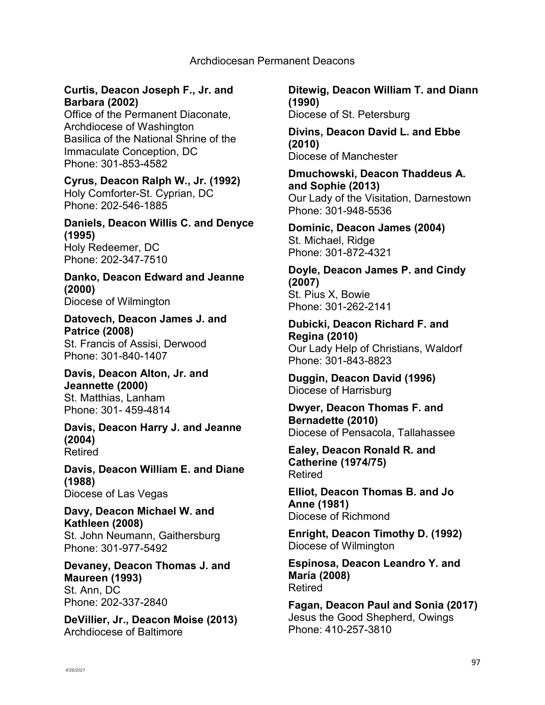# **Curtis, Deacon Joseph F., Jr. and Barbara (2002)**

Office of the Permanent Diaconate, Archdiocese of Washington Basilica of the National Shrine of the Immaculate Conception, DC Phone: 301-853-4582

**Cyrus, Deacon Ralph W., Jr. (1992)** Holy Comforter-St. Cyprian, DC Phone: 202-546-1885

**Daniels, Deacon Willis C. and Denyce (1995)** Holy Redeemer, DC Phone: 202-347-7510

**Danko, Deacon Edward and Jeanne (2000)** Diocese of Wilmington

**Datovech, Deacon James J. and Patrice (2008)** St. Francis of Assisi, Derwood Phone: 301-840-1407

**Davis, Deacon Alton, Jr. and Jeannette (2000)** St. Matthias, Lanham Phone: 301- 459-4814

**Davis, Deacon Harry J. and Jeanne (2004)** Retired

**Davis, Deacon William E. and Diane (1988)** Diocese of Las Vegas

**Davy, Deacon Michael W. and Kathleen (2008)** St. John Neumann, Gaithersburg Phone: 301-977-5492

**Devaney, Deacon Thomas J. and Maureen (1993)** St. Ann, DC Phone: 202-337-2840

**DeVillier, Jr., Deacon Moise (2013)** Archdiocese of Baltimore

**Ditewig, Deacon William T. and Diann (1990)** Diocese of St. Petersburg

**Divins, Deacon David L. and Ebbe (2010)** Diocese of Manchester

**Dmuchowski, Deacon Thaddeus A. and Sophie (2013)** Our Lady of the Visitation, Darnestown Phone: 301-948-5536

**Dominic, Deacon James (2004)** St. Michael, Ridge Phone: 301-872-4321

**Doyle, Deacon James P. and Cindy (2007)** St. Pius X, Bowie Phone: 301-262-2141

**Dubicki, Deacon Richard F. and Regina (2010)** Our Lady Help of Christians, Waldorf Phone: 301-843-8823

**Duggin, Deacon David (1996)** Diocese of Harrisburg

**Dwyer, Deacon Thomas F. and Bernadette (2010)** Diocese of Pensacola, Tallahassee

**Ealey, Deacon Ronald R. and Catherine (1974/75)** Retired

**Elliot, Deacon Thomas B. and Jo Anne (1981)** Diocese of Richmond

**Enright, Deacon Timothy D. (1992)** Diocese of Wilmington

**Espinosa, Deacon Leandro Y. and María (2008)** Retired

**Fagan, Deacon Paul and Sonia (2017)** Jesus the Good Shepherd, Owings Phone: 410-257-3810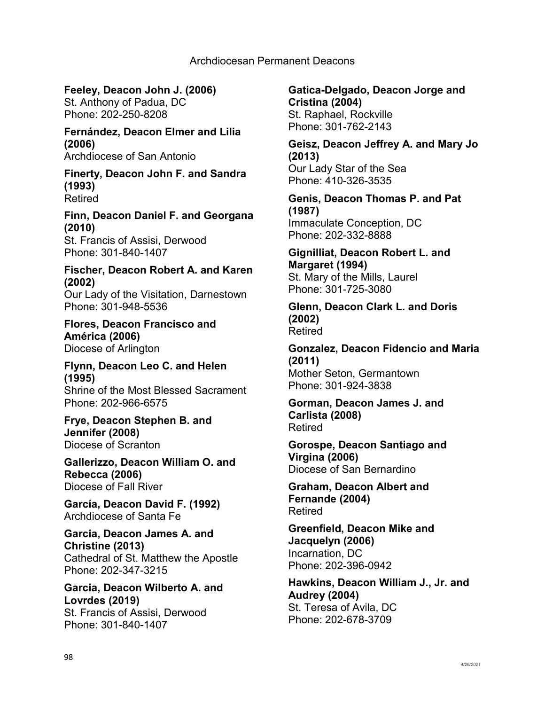**Feeley, Deacon John J. (2006)** St. Anthony of Padua, DC Phone: 202-250-8208

**Fernández, Deacon Elmer and Lilia (2006)** Archdiocese of San Antonio

**Finerty, Deacon John F. and Sandra (1993)** Retired

**Finn, Deacon Daniel F. and Georgana (2010)**

St. Francis of Assisi, Derwood Phone: 301-840-1407

**Fischer, Deacon Robert A. and Karen (2002)**

Our Lady of the Visitation, Darnestown Phone: 301-948-5536

**Flores, Deacon Francisco and América (2006)** Diocese of Arlington

**Flynn, Deacon Leo C. and Helen (1995)**

Shrine of the Most Blessed Sacrament Phone: 202-966-6575

**Frye, Deacon Stephen B. and Jennifer (2008)** Diocese of Scranton

**Gallerizzo, Deacon William O. and Rebecca (2006)** Diocese of Fall River

**García, Deacon David F. (1992)** Archdiocese of Santa Fe

**Garcia, Deacon James A. and Christine (2013)** Cathedral of St. Matthew the Apostle Phone: 202-347-3215

**Garcia, Deacon Wilberto A. and Lovrdes (2019)** St. Francis of Assisi, Derwood Phone: 301-840-1407

**Gatica-Delgado, Deacon Jorge and Cristina (2004)** St. Raphael, Rockville Phone: 301-762-2143

**Geisz, Deacon Jeffrey A. and Mary Jo (2013)** Our Lady Star of the Sea Phone: 410-326-3535

**Genis, Deacon Thomas P. and Pat (1987)**

Immaculate Conception, DC Phone: 202-332-8888

**Gignilliat, Deacon Robert L. and Margaret (1994)**

St. Mary of the Mills, Laurel Phone: 301-725-3080

**Glenn, Deacon Clark L. and Doris (2002)** Retired

**Gonzalez, Deacon Fidencio and Maria (2011)** Mother Seton, Germantown Phone: 301-924-3838

**Gorman, Deacon James J. and Carlista (2008)** Retired

**Gorospe, Deacon Santiago and Virgina (2006)** Diocese of San Bernardino

**Graham, Deacon Albert and Fernande (2004)** Retired

**Greenfield, Deacon Mike and Jacquelyn (2006)** Incarnation, DC Phone: 202-396-0942

**Hawkins, Deacon William J., Jr. and Audrey (2004)** St. Teresa of Avila, DC Phone: 202-678-3709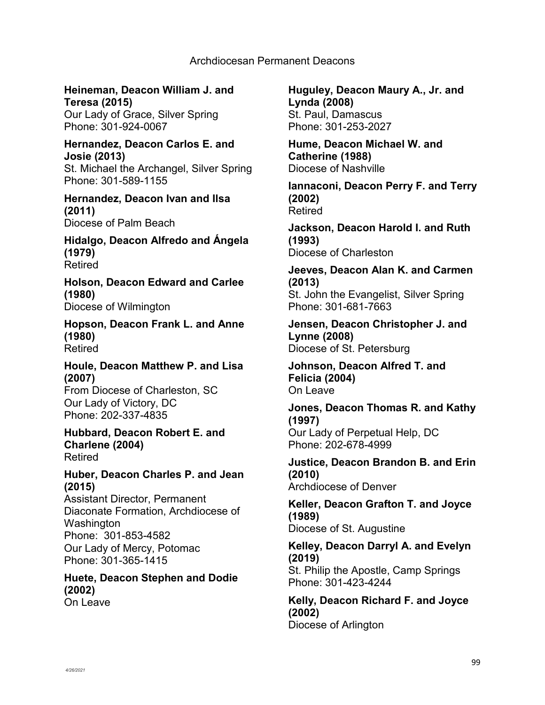**Heineman, Deacon William J. and Teresa (2015)** Our Lady of Grace, Silver Spring

Phone: 301-924-0067

**Hernandez, Deacon Carlos E. and Josie (2013)** St. Michael the Archangel, Silver Spring Phone: 301-589-1155

**Hernandez, Deacon Ivan and Ilsa (2011)** Diocese of Palm Beach

**Hidalgo, Deacon Alfredo and Ángela (1979)** Retired

**Holson, Deacon Edward and Carlee (1980)** Diocese of Wilmington

**Hopson, Deacon Frank L. and Anne (1980)** Retired

**Houle, Deacon Matthew P. and Lisa (2007)**

From Diocese of Charleston, SC Our Lady of Victory, DC Phone: 202-337-4835

**Hubbard, Deacon Robert E. and Charlene (2004)** Retired

## **Huber, Deacon Charles P. and Jean (2015)**

Assistant Director, Permanent Diaconate Formation, Archdiocese of Washington Phone: 301-853-4582 Our Lady of Mercy, Potomac Phone: 301-365-1415

**Huete, Deacon Stephen and Dodie (2002)** On Leave

**Huguley, Deacon Maury A., Jr. and Lynda (2008)** St. Paul, Damascus Phone: 301-253-2027

**Hume, Deacon Michael W. and Catherine (1988)** Diocese of Nashville

**Iannaconi, Deacon Perry F. and Terry (2002)** Retired

**Jackson, Deacon Harold I. and Ruth (1993)** Diocese of Charleston

**Jeeves, Deacon Alan K. and Carmen (2013)** St. John the Evangelist, Silver Spring Phone: 301-681-7663

**Jensen, Deacon Christopher J. and Lynne (2008)** Diocese of St. Petersburg

**Johnson, Deacon Alfred T. and Felicia (2004)** On Leave

**Jones, Deacon Thomas R. and Kathy (1997)** Our Lady of Perpetual Help, DC Phone: 202-678-4999

**Justice, Deacon Brandon B. and Erin (2010)** Archdiocese of Denver

**Keller, Deacon Grafton T. and Joyce (1989)** Diocese of St. Augustine

**Kelley, Deacon Darryl A. and Evelyn (2019)** St. Philip the Apostle, Camp Springs Phone: 301-423-4244

**Kelly, Deacon Richard F. and Joyce (2002)** Diocese of Arlington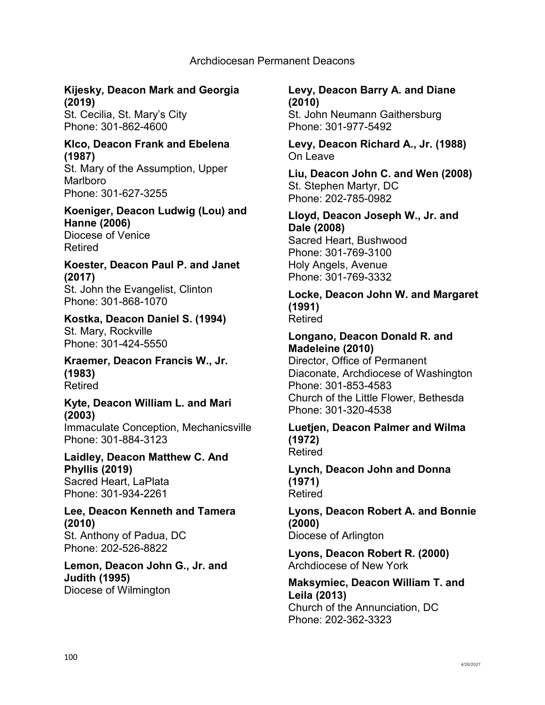# **Kijesky, Deacon Mark and Georgia (2019)**

St. Cecilia, St. Mary's City Phone: 301-862-4600

## **Klco, Deacon Frank and Ebelena (1987)**

St. Mary of the Assumption, Upper Marlboro Phone: 301-627-3255

#### **Koeniger, Deacon Ludwig (Lou) and Hanne (2006)** Diocese of Venice

Retired

## **Koester, Deacon Paul P. and Janet (2017)** St. John the Evangelist, Clinton

Phone: 301-868-1070

# **Kostka, Deacon Daniel S. (1994)** St. Mary, Rockville

Phone: 301-424-5550 **Kraemer, Deacon Francis W., Jr.** 

**(1983)** Retired

## **Kyte, Deacon William L. and Mari (2003)**

Immaculate Conception, Mechanicsville Phone: 301-884-3123

## **Laidley, Deacon Matthew C. And Phyllis (2019)** Sacred Heart, LaPlata Phone: 301-934-2261

## **Lee, Deacon Kenneth and Tamera (2010)** St. Anthony of Padua, DC Phone: 202-526-8822

## **Lemon, Deacon John G., Jr. and Judith (1995)** Diocese of Wilmington

# **Levy, Deacon Barry A. and Diane (2010)** St. John Neumann Gaithersburg Phone: 301-977-5492

**Levy, Deacon Richard A., Jr. (1988)** On Leave

**Liu, Deacon John C. and Wen (2008)** St. Stephen Martyr, DC Phone: 202-785-0982

## **Lloyd, Deacon Joseph W., Jr. and Dale (2008)** Sacred Heart, Bushwood Phone: 301-769-3100 Holy Angels, Avenue Phone: 301-769-3332

#### **Locke, Deacon John W. and Margaret (1991)** Retired

# **Longano, Deacon Donald R. and Madeleine (2010)**

Director, Office of Permanent Diaconate, Archdiocese of Washington Phone: 301-853-4583 Church of the Little Flower, Bethesda Phone: 301-320-4538

#### **Luetjen, Deacon Palmer and Wilma (1972)** Retired

## **Lynch, Deacon John and Donna (1971)** Retired

**Lyons, Deacon Robert A. and Bonnie (2000)** Diocese of Arlington

**Lyons, Deacon Robert R. (2000)** Archdiocese of New York

## **Maksymiec, Deacon William T. and Leila (2013)** Church of the Annunciation, DC Phone: 202-362-3323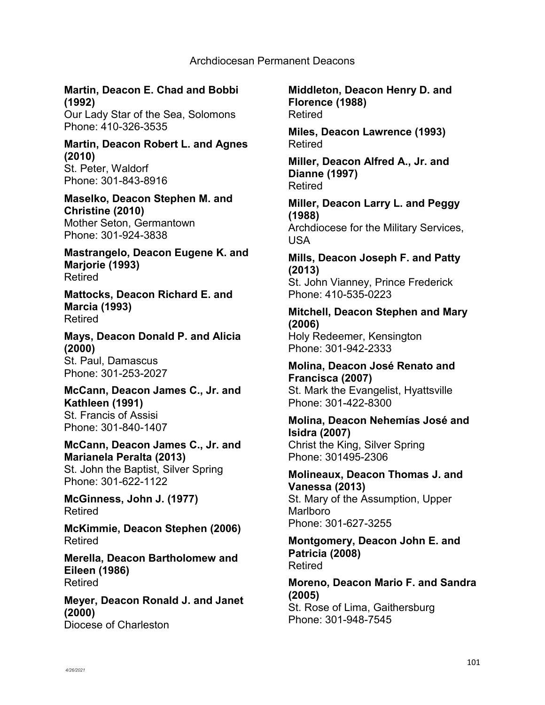# **Martin, Deacon E. Chad and Bobbi (1992)**

Our Lady Star of the Sea, Solomons Phone: 410-326-3535

#### **Martin, Deacon Robert L. and Agnes (2010)** St. Peter, Waldorf Phone: 301-843-8916

**Maselko, Deacon Stephen M. and Christine (2010)** Mother Seton, Germantown Phone: 301-924-3838

**Mastrangelo, Deacon Eugene K. and Marjorie (1993)** Retired

**Mattocks, Deacon Richard E. and Marcia (1993)** Retired

**Mays, Deacon Donald P. and Alicia (2000)** St. Paul, Damascus Phone: 301-253-2027

**McCann, Deacon James C., Jr. and Kathleen (1991)** St. Francis of Assisi Phone: 301-840-1407

#### **McCann, Deacon James C., Jr. and Marianela Peralta (2013)** St. John the Baptist, Silver Spring Phone: 301-622-1122

**McGinness, John J. (1977)** Retired

**McKimmie, Deacon Stephen (2006)** Retired

**Merella, Deacon Bartholomew and Eileen (1986)** Retired

**Meyer, Deacon Ronald J. and Janet (2000)** Diocese of Charleston

**Middleton, Deacon Henry D. and Florence (1988)** Retired

**Miles, Deacon Lawrence (1993)** Retired

**Miller, Deacon Alfred A., Jr. and Dianne (1997)** Retired

**Miller, Deacon Larry L. and Peggy (1988)** Archdiocese for the Military Services, USA

**Mills, Deacon Joseph F. and Patty (2013)**

St. John Vianney, Prince Frederick Phone: 410-535-0223

# **Mitchell, Deacon Stephen and Mary (2006)**

Holy Redeemer, Kensington Phone: 301-942-2333

# **Molina, Deacon José Renato and Francisca (2007)**

St. Mark the Evangelist, Hyattsville Phone: 301-422-8300

# **Molina, Deacon Nehemías José and Isidra (2007)** Christ the King, Silver Spring

Phone: 301495-2306 **Molineaux, Deacon Thomas J. and Vanessa (2013)**

St. Mary of the Assumption, Upper Marlboro Phone: 301-627-3255

**Montgomery, Deacon John E. and Patricia (2008)** Retired

**Moreno, Deacon Mario F. and Sandra (2005)** St. Rose of Lima, Gaithersburg Phone: 301-948-7545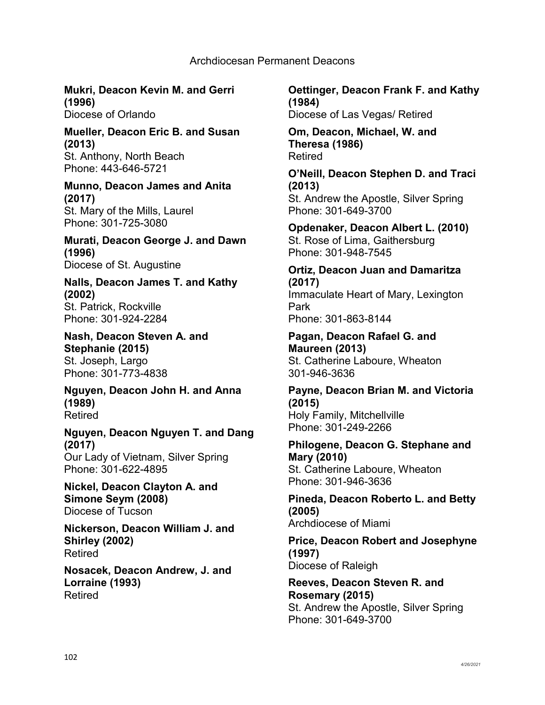# **Mukri, Deacon Kevin M. and Gerri (1996)**

Diocese of Orlando

#### **Mueller, Deacon Eric B. and Susan (2013)** St. Anthony, North Beach Phone: 443-646-5721

#### **Munno, Deacon James and Anita (2017)** St. Mary of the Mills, Laurel Phone: 301-725-3080

# **Murati, Deacon George J. and Dawn (1996)** Diocese of St. Augustine

## **Nalls, Deacon James T. and Kathy (2002)** St. Patrick, Rockville Phone: 301-924-2284

**Nash, Deacon Steven A. and Stephanie (2015)**  St. Joseph, Largo Phone: 301-773-4838

**Nguyen, Deacon John H. and Anna (1989)** Retired

#### **Nguyen, Deacon Nguyen T. and Dang (2017)** Our Lady of Vietnam, Silver Spring

Phone: 301-622-4895

## **Nickel, Deacon Clayton A. and Simone Seym (2008)** Diocese of Tucson

**Nickerson, Deacon William J. and Shirley (2002)** Retired

## **Nosacek, Deacon Andrew, J. and Lorraine (1993)** Retired

## **Oettinger, Deacon Frank F. and Kathy (1984)** Diocese of Las Vegas/ Retired

## **Om, Deacon, Michael, W. and Theresa (1986)** Retired

**O'Neill, Deacon Stephen D. and Traci (2013)** St. Andrew the Apostle, Silver Spring Phone: 301-649-3700

**Opdenaker, Deacon Albert L. (2010)** St. Rose of Lima, Gaithersburg Phone: 301-948-7545

# **Ortiz, Deacon Juan and Damaritza (2017)** Immaculate Heart of Mary, Lexington Park

Phone: 301-863-8144

## **Pagan, Deacon Rafael G. and Maureen (2013)** St. Catherine Laboure, Wheaton 301-946-3636

#### **Payne, Deacon Brian M. and Victoria (2015)** Holy Family, Mitchellville Phone: 301-249-2266

## **Philogene, Deacon G. Stephane and Mary (2010)** St. Catherine Laboure, Wheaton Phone: 301-946-3636

# **Pineda, Deacon Roberto L. and Betty (2005)**

Archdiocese of Miami

## **Price, Deacon Robert and Josephyne (1997)** Diocese of Raleigh

## **Reeves, Deacon Steven R. and Rosemary (2015)** St. Andrew the Apostle, Silver Spring Phone: 301-649-3700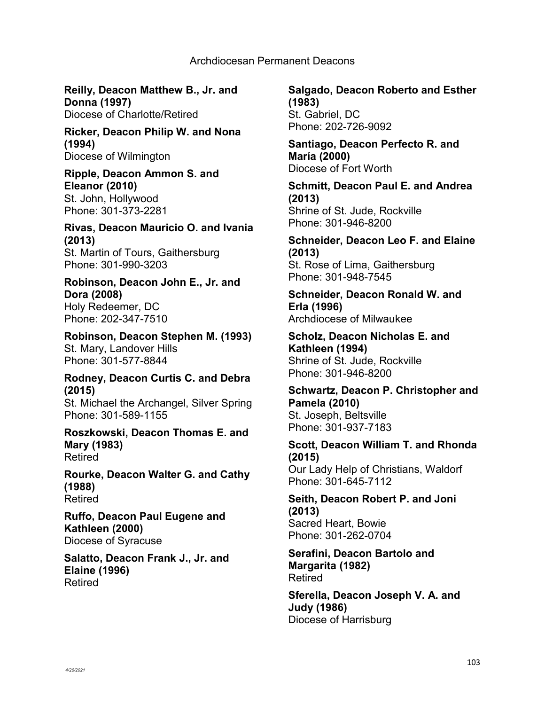**Reilly, Deacon Matthew B., Jr. and Donna (1997)** Diocese of Charlotte/Retired

**Ricker, Deacon Philip W. and Nona (1994)** Diocese of Wilmington

**Ripple, Deacon Ammon S. and Eleanor (2010)** St. John, Hollywood Phone: 301-373-2281

**Rivas, Deacon Mauricio O. and Ivania (2013)** St. Martin of Tours, Gaithersburg Phone: 301-990-3203

**Robinson, Deacon John E., Jr. and Dora (2008)** Holy Redeemer, DC Phone: 202-347-7510

**Robinson, Deacon Stephen M. (1993)** St. Mary, Landover Hills Phone: 301-577-8844

**Rodney, Deacon Curtis C. and Debra (2015)** St. Michael the Archangel, Silver Spring Phone: 301-589-1155

**Roszkowski, Deacon Thomas E. and Mary (1983)** Retired

**Rourke, Deacon Walter G. and Cathy (1988)** Retired

**Ruffo, Deacon Paul Eugene and Kathleen (2000)** Diocese of Syracuse

**Salatto, Deacon Frank J., Jr. and Elaine (1996)** Retired

**Salgado, Deacon Roberto and Esther (1983)** St. Gabriel, DC Phone: 202-726-9092

**Santiago, Deacon Perfecto R. and María (2000)** Diocese of Fort Worth

**Schmitt, Deacon Paul E. and Andrea (2013)** Shrine of St. Jude, Rockville Phone: 301-946-8200

**Schneider, Deacon Leo F. and Elaine (2013)** St. Rose of Lima, Gaithersburg Phone: 301-948-7545

**Schneider, Deacon Ronald W. and Erla (1996)** Archdiocese of Milwaukee

**Scholz, Deacon Nicholas E. and Kathleen (1994)** Shrine of St. Jude, Rockville Phone: 301-946-8200

**Schwartz, Deacon P. Christopher and Pamela (2010)** St. Joseph, Beltsville Phone: 301-937-7183

**Scott, Deacon William T. and Rhonda (2015)** Our Lady Help of Christians, Waldorf Phone: 301-645-7112

**Seith, Deacon Robert P. and Joni (2013)** Sacred Heart, Bowie Phone: 301-262-0704

**Serafini, Deacon Bartolo and Margarita (1982)** Retired

**Sferella, Deacon Joseph V. A. and Judy (1986)** Diocese of Harrisburg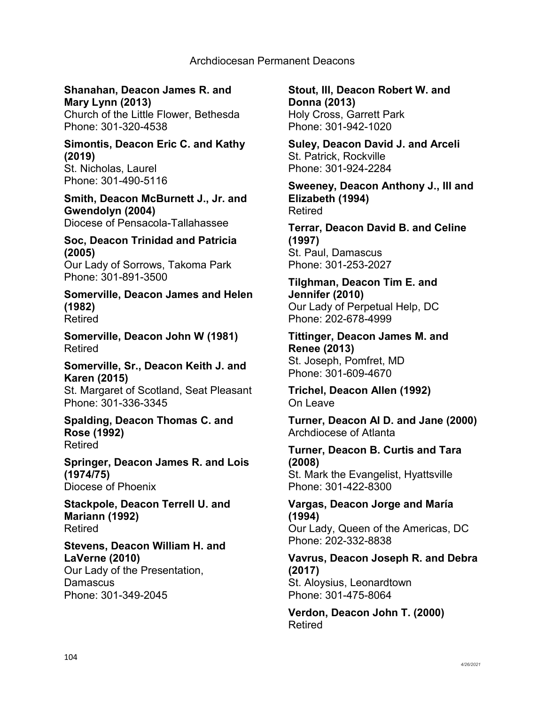# **Shanahan, Deacon James R. and Mary Lynn (2013)**

Church of the Little Flower, Bethesda Phone: 301-320-4538

#### **Simontis, Deacon Eric C. and Kathy (2019)** St. Nicholas, Laurel

Phone: 301-490-5116

# **Smith, Deacon McBurnett J., Jr. and Gwendolyn (2004)**

Diocese of Pensacola-Tallahassee

# **Soc, Deacon Trinidad and Patricia (2005)**

Our Lady of Sorrows, Takoma Park Phone: 301-891-3500

**Somerville, Deacon James and Helen (1982)** Retired

**Somerville, Deacon John W (1981)** Retired

# **Somerville, Sr., Deacon Keith J. and Karen (2015)**

St. Margaret of Scotland, Seat Pleasant Phone: 301-336-3345

## **Spalding, Deacon Thomas C. and Rose (1992)** Retired

**Springer, Deacon James R. and Lois (1974/75)** Diocese of Phoenix

**Stackpole, Deacon Terrell U. and Mariann (1992)** Retired

# **Stevens, Deacon William H. and LaVerne (2010)** Our Lady of the Presentation,

**Damascus** Phone: 301-349-2045 **Stout, III, Deacon Robert W. and Donna (2013)** Holy Cross, Garrett Park Phone: 301-942-1020

**Suley, Deacon David J. and Arceli** St. Patrick, Rockville Phone: 301-924-2284

**Sweeney, Deacon Anthony J., III and Elizabeth (1994)** Retired

**Terrar, Deacon David B. and Celine (1997)** St. Paul, Damascus Phone: 301-253-2027

**Tilghman, Deacon Tim E. and Jennifer (2010)** Our Lady of Perpetual Help, DC Phone: 202-678-4999

**Tittinger, Deacon James M. and Renee (2013)** St. Joseph, Pomfret, MD Phone: 301-609-4670

**Trichel, Deacon Allen (1992)** On Leave

**Turner, Deacon Al D. and Jane (2000)** Archdiocese of Atlanta

**Turner, Deacon B. Curtis and Tara (2008)** St. Mark the Evangelist, Hyattsville Phone: 301-422-8300

# **Vargas, Deacon Jorge and María (1994)**

Our Lady, Queen of the Americas, DC Phone: 202-332-8838

# **Vavrus, Deacon Joseph R. and Debra (2017)** St. Aloysius, Leonardtown

Phone: 301-475-8064

**Verdon, Deacon John T. (2000)** Retired